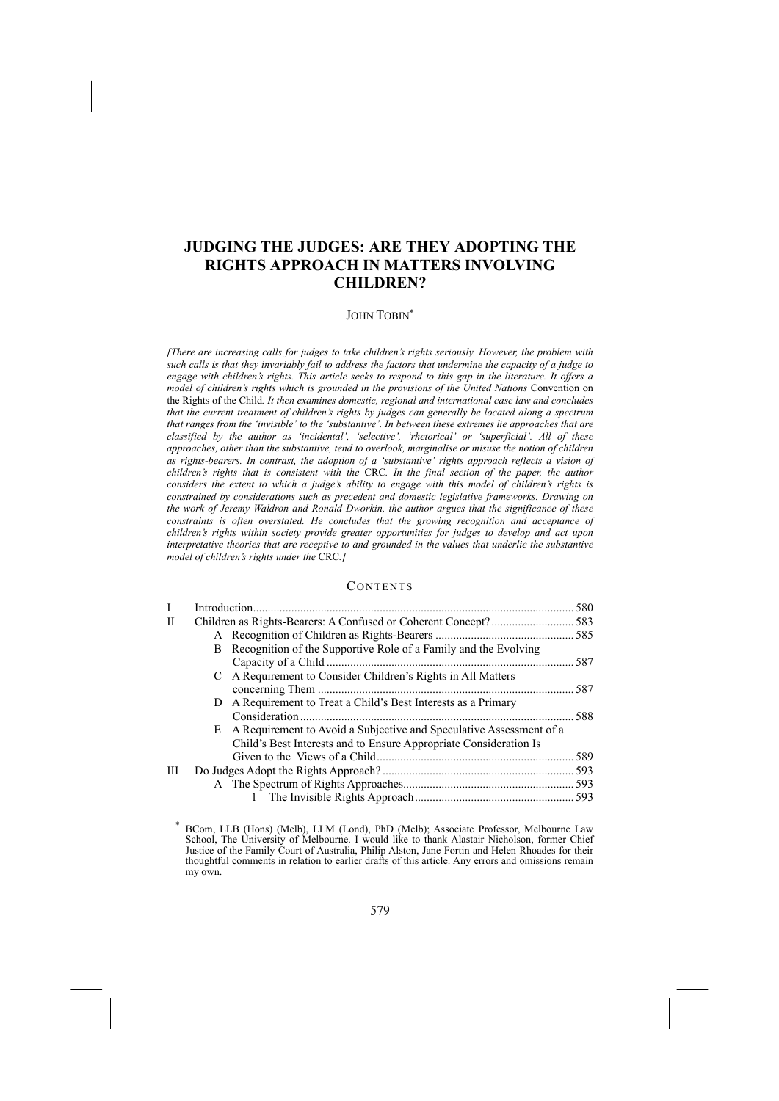# **JUDGING THE JUDGES: ARE THEY ADOPTING THE RIGHTS APPROACH IN MATTERS INVOLVING CHILDREN?**

### JOHN TOBIN\*

*[There are increasing calls for judges to take children's rights seriously. However, the problem with* such calls is that they invariably fail to address the factors that undermine the capacity of a judge to engage with children's rights. This article seeks to respond to this gap in the literature. It offers a *model of children's rights which is grounded in the provisions of the United Nations* Convention on the Rights of the Child*. It then examines domestic, regional and international case law and concludes that the current treatment of children's rights by judges can generally be located along a spectrum that ranges from the 'invisible' to the 'substantive'. In between these extremes lie approaches that are classified by the author as 'incidental', 'selective', 'rhetorical' or 'superficial'. All of these approaches, other than the substantive, tend to overlook, marginalise or misuse the notion of children as rights-bearers. In contrast, the adoption of a 'substantive' rights approach reflects a vision of children's rights that is consistent with the* CRC*. In the final section of the paper, the author considers the extent to which a judge's ability to engage with this model of children's rights is constrained by considerations such as precedent and domestic legislative frameworks. Drawing on the work of Jeremy Waldron and Ronald Dworkin, the author argues that the significance of these constraints is often overstated. He concludes that the growing recognition and acceptance of children's rights within society provide greater opportunities for judges to develop and act upon interpretative theories that are receptive to and grounded in the values that underlie the substantive model of children's rights under the* CRC*.]* 

#### **CONTENTS**

| I |    |                                                                       | 580  |
|---|----|-----------------------------------------------------------------------|------|
| Н |    |                                                                       |      |
|   |    |                                                                       |      |
|   | B. | Recognition of the Supportive Role of a Family and the Evolving       |      |
|   |    |                                                                       | .587 |
|   |    | C A Requirement to Consider Children's Rights in All Matters          |      |
|   |    |                                                                       | .587 |
|   |    | D A Requirement to Treat a Child's Best Interests as a Primary        |      |
|   |    |                                                                       | 588  |
|   |    | E A Requirement to Avoid a Subjective and Speculative Assessment of a |      |
|   |    | Child's Best Interests and to Ensure Appropriate Consideration Is     |      |
|   |    |                                                                       | .589 |
| Ш |    |                                                                       |      |
|   |    |                                                                       |      |
|   |    |                                                                       |      |
|   |    |                                                                       |      |

<sup>\*</sup> BCom, LLB (Hons) (Melb), LLM (Lond), PhD (Melb); Associate Professor, Melbourne Law School, The University of Melbourne. I would like to thank Alastair Nicholson, former Chief Justice of the Family Court of Australia, Philip Alston, Jane Fortin and Helen Rhoades for their thoughtful comments in relation to earlier drafts of this article. Any errors and omissions remain my own.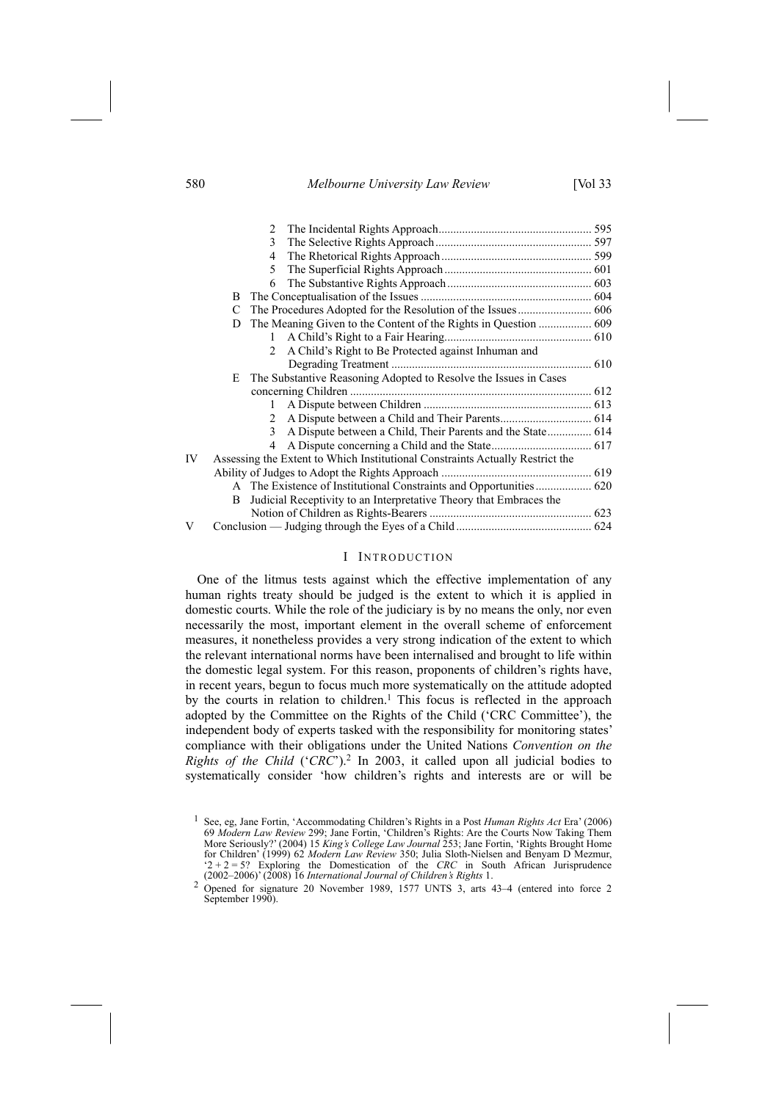## 580 *Melbourne University Law Review* [Vol 33

|    | 2                                                                             |  |
|----|-------------------------------------------------------------------------------|--|
|    | $\mathbf{3}$                                                                  |  |
|    | 4                                                                             |  |
|    | 5                                                                             |  |
|    | 6                                                                             |  |
|    | B                                                                             |  |
|    | C                                                                             |  |
|    | D                                                                             |  |
|    | 1                                                                             |  |
|    | A Child's Right to Be Protected against Inhuman and<br>$\mathfrak{D}$         |  |
|    |                                                                               |  |
|    | The Substantive Reasoning Adopted to Resolve the Issues in Cases<br>Е         |  |
|    |                                                                               |  |
|    | 1.                                                                            |  |
|    | $2^{\circ}$                                                                   |  |
|    | $\mathbf{3}$                                                                  |  |
|    | $\overline{4}$                                                                |  |
| IV | Assessing the Extent to Which Institutional Constraints Actually Restrict the |  |
|    |                                                                               |  |
|    | A The Existence of Institutional Constraints and Opportunities 620            |  |
|    | Judicial Receptivity to an Interpretative Theory that Embraces the<br>B       |  |
|    |                                                                               |  |
| V  |                                                                               |  |

## I INTRODUCTION

One of the litmus tests against which the effective implementation of any human rights treaty should be judged is the extent to which it is applied in domestic courts. While the role of the judiciary is by no means the only, nor even necessarily the most, important element in the overall scheme of enforcement measures, it nonetheless provides a very strong indication of the extent to which the relevant international norms have been internalised and brought to life within the domestic legal system. For this reason, proponents of children's rights have, in recent years, begun to focus much more systematically on the attitude adopted by the courts in relation to children.1 This focus is reflected in the approach adopted by the Committee on the Rights of the Child ('CRC Committee'), the independent body of experts tasked with the responsibility for monitoring states' compliance with their obligations under the United Nations *Convention on the Rights of the Child* ('*CRC*').2 In 2003, it called upon all judicial bodies to systematically consider 'how children's rights and interests are or will be

<sup>1</sup> See, eg, Jane Fortin, 'Accommodating Children's Rights in a Post *Human Rights Act* Era' (2006) 69 *Modern Law Review* 299; Jane Fortin, 'Children's Rights: Are the Courts Now Taking Them More Seriously?' (2004) 15 *King's College Law Journal* 253; Jane Fortin, 'Rights Brought Home for Children' (1999) 62 *Modern Law Review* 350; Julia Sloth-Nielsen and Benyam D Mezmur,  $2 + 2 = 5$ ? Exploring the Domestication of the *CRC* in South African Jurisprudence (2002–2006)' (2008) 16 *International Journal of Children's Rights* 1.

<sup>2</sup> Opened for signature 20 November 1989, 1577 UNTS 3, arts 43–4 (entered into force 2 September 1990).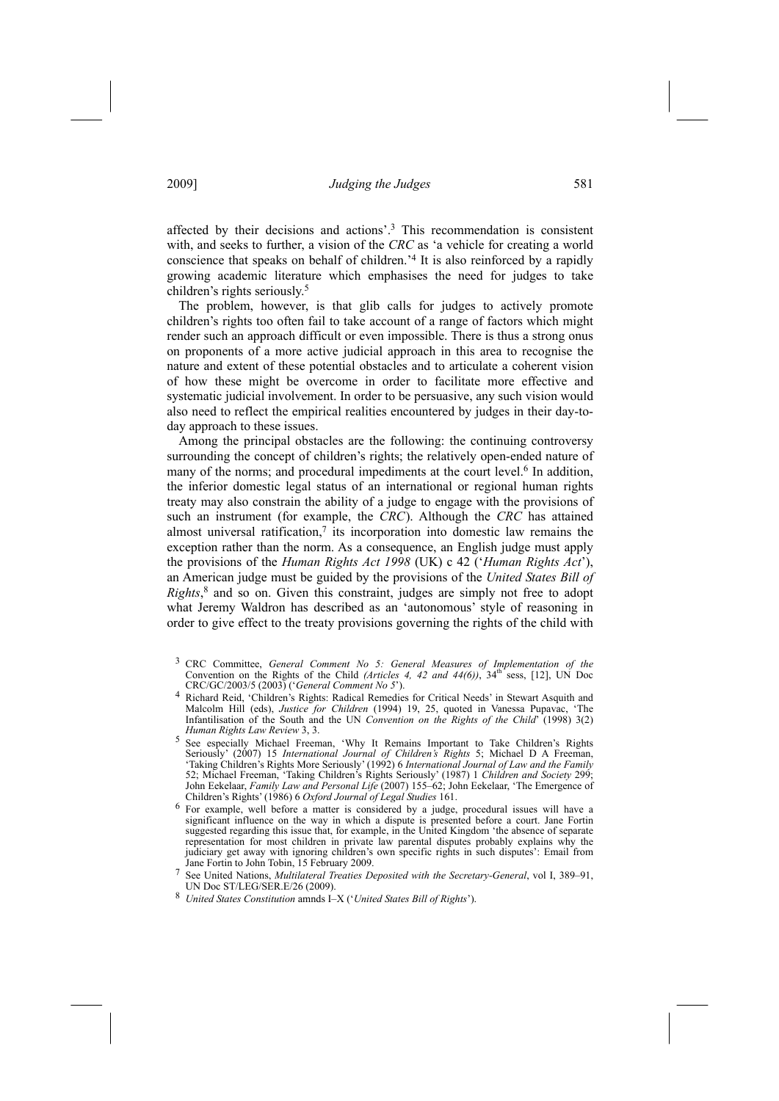affected by their decisions and actions'.3 This recommendation is consistent with, and seeks to further, a vision of the *CRC* as 'a vehicle for creating a world conscience that speaks on behalf of children.'4 It is also reinforced by a rapidly growing academic literature which emphasises the need for judges to take children's rights seriously.5

The problem, however, is that glib calls for judges to actively promote children's rights too often fail to take account of a range of factors which might render such an approach difficult or even impossible. There is thus a strong onus on proponents of a more active judicial approach in this area to recognise the nature and extent of these potential obstacles and to articulate a coherent vision of how these might be overcome in order to facilitate more effective and systematic judicial involvement. In order to be persuasive, any such vision would also need to reflect the empirical realities encountered by judges in their day-today approach to these issues.

Among the principal obstacles are the following: the continuing controversy surrounding the concept of children's rights; the relatively open-ended nature of many of the norms; and procedural impediments at the court level.<sup>6</sup> In addition, the inferior domestic legal status of an international or regional human rights treaty may also constrain the ability of a judge to engage with the provisions of such an instrument (for example, the *CRC*). Although the *CRC* has attained almost universal ratification,7 its incorporation into domestic law remains the exception rather than the norm. As a consequence, an English judge must apply the provisions of the *Human Rights Act 1998* (UK) c 42 ('*Human Rights Act*'), an American judge must be guided by the provisions of the *United States Bill of Rights*, 8 and so on. Given this constraint, judges are simply not free to adopt what Jeremy Waldron has described as an 'autonomous' style of reasoning in order to give effect to the treaty provisions governing the rights of the child with

- 3 CRC Committee, *General Comment No 5: General Measures of Implementation of the* Convention on the Rights of the Child *(Articles 4, 42 and 44(6))*,  $34<sup>th</sup>$  sess, [12], UN Doc CRC/GC/2003/5 (2003) ('*General Comment No 5*').
- <sup>4</sup> Richard Reid, 'Children's Rights: Radical Remedies for Critical Needs' in Stewart Asquith and Malcolm Hill (eds), *Justice for Children* (1994) 19, 25, quoted in Vanessa Pupavac, 'The Infantilisation of the South and the UN *Convention on the Rights of the Child*' (1998) 3(2) *Human Rights Law Review* 3, 3.
- 5 See especially Michael Freeman, 'Why It Remains Important to Take Children's Rights Seriously' (2007) 15 *International Journal of Children's Rights* 5; Michael D A Freeman, 'Taking Children's Rights More Seriously' (1992) 6 *International Journal of Law and the Family* 52; Michael Freeman, 'Taking Children's Rights Seriously' (1987) 1 *Children and Society* 299; John Eekelaar, *Family Law and Personal Life* (2007) 155–62; John Eekelaar, 'The Emergence of Children's Rights' (1986) 6 *Oxford Journal of Legal Studies* 161.
- 6 For example, well before a matter is considered by a judge, procedural issues will have a significant influence on the way in which a dispute is presented before a court. Jane Fortin suggested regarding this issue that, for example, in the United Kingdom 'the absence of separate representation for most children in private law parental disputes probably explains why the judiciary get away with ignoring children's own specific rights in such disputes': Email from Jane Fortin to John Tobin, 15 February 2009.
- 7 See United Nations, *Multilateral Treaties Deposited with the Secretary-General*, vol I, 389–91, UN Doc ST/LEG/SER.E/26 (2009).
- <sup>8</sup> *United States Constitution* amnds I–X ('*United States Bill of Rights*').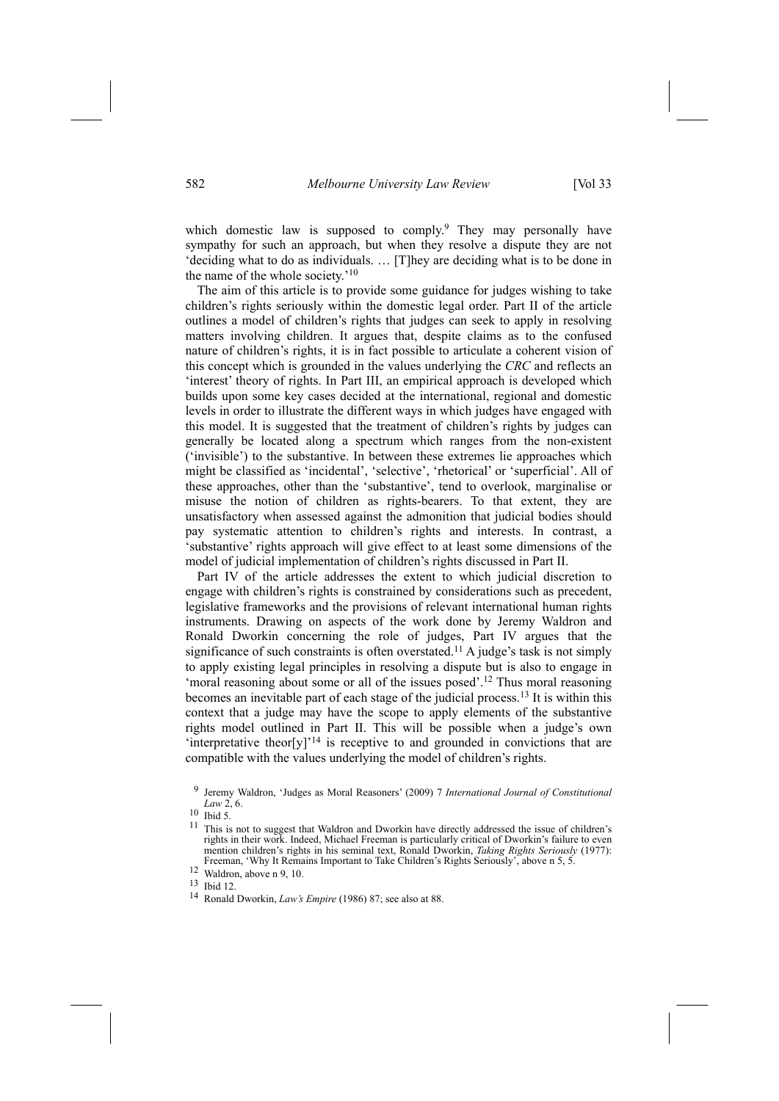which domestic law is supposed to comply.<sup>9</sup> They may personally have sympathy for such an approach, but when they resolve a dispute they are not 'deciding what to do as individuals. … [T]hey are deciding what is to be done in the name of the whole society.'10

The aim of this article is to provide some guidance for judges wishing to take children's rights seriously within the domestic legal order. Part II of the article outlines a model of children's rights that judges can seek to apply in resolving matters involving children. It argues that, despite claims as to the confused nature of children's rights, it is in fact possible to articulate a coherent vision of this concept which is grounded in the values underlying the *CRC* and reflects an 'interest' theory of rights. In Part III, an empirical approach is developed which builds upon some key cases decided at the international, regional and domestic levels in order to illustrate the different ways in which judges have engaged with this model. It is suggested that the treatment of children's rights by judges can generally be located along a spectrum which ranges from the non-existent ('invisible') to the substantive. In between these extremes lie approaches which might be classified as 'incidental', 'selective', 'rhetorical' or 'superficial'. All of these approaches, other than the 'substantive', tend to overlook, marginalise or misuse the notion of children as rights-bearers. To that extent, they are unsatisfactory when assessed against the admonition that judicial bodies should pay systematic attention to children's rights and interests. In contrast, a 'substantive' rights approach will give effect to at least some dimensions of the model of judicial implementation of children's rights discussed in Part II.

Part IV of the article addresses the extent to which judicial discretion to engage with children's rights is constrained by considerations such as precedent, legislative frameworks and the provisions of relevant international human rights instruments. Drawing on aspects of the work done by Jeremy Waldron and Ronald Dworkin concerning the role of judges, Part IV argues that the significance of such constraints is often overstated.<sup>11</sup> A judge's task is not simply to apply existing legal principles in resolving a dispute but is also to engage in 'moral reasoning about some or all of the issues posed'.12 Thus moral reasoning becomes an inevitable part of each stage of the judicial process.13 It is within this context that a judge may have the scope to apply elements of the substantive rights model outlined in Part II. This will be possible when a judge's own 'interpretative theor $[y]$ '<sup>14</sup> is receptive to and grounded in convictions that are compatible with the values underlying the model of children's rights.

13 Ibid 12.

<sup>9</sup> Jeremy Waldron, 'Judges as Moral Reasoners' (2009) 7 *International Journal of Constitutional Law* 2, 6.

 $^{10}\,$  Ibid 5.

<sup>&</sup>lt;sup>11</sup> This is not to suggest that Waldron and Dworkin have directly addressed the issue of children's rights in their work. Indeed, Michael Freeman is particularly critical of Dworkin's failure to even mention children's rights in his seminal text, Ronald Dworkin, *Taking Rights Seriously* (1977): Freeman, 'Why It Remains Important to Take Children's Rights Seriously', above n 5, 5.

<sup>12</sup> Waldron, above n 9, 10.

<sup>14</sup> Ronald Dworkin, *Law's Empire* (1986) 87; see also at 88.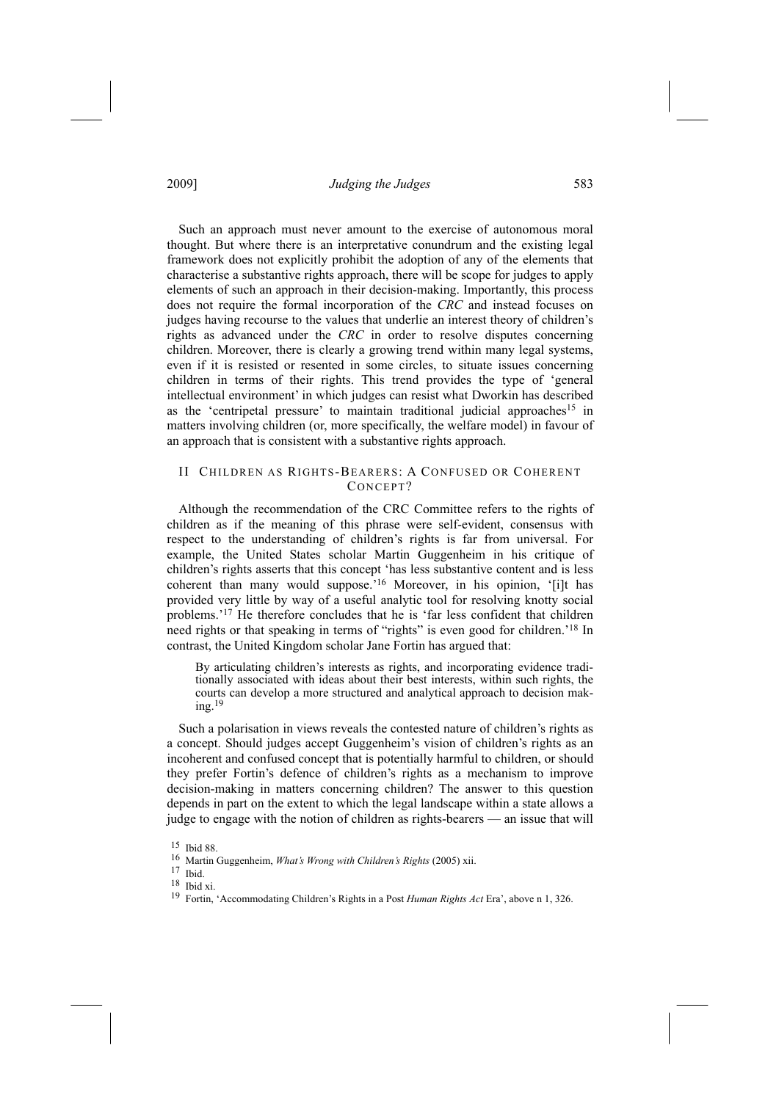Such an approach must never amount to the exercise of autonomous moral thought. But where there is an interpretative conundrum and the existing legal framework does not explicitly prohibit the adoption of any of the elements that characterise a substantive rights approach, there will be scope for judges to apply elements of such an approach in their decision-making. Importantly, this process does not require the formal incorporation of the *CRC* and instead focuses on judges having recourse to the values that underlie an interest theory of children's rights as advanced under the *CRC* in order to resolve disputes concerning children. Moreover, there is clearly a growing trend within many legal systems, even if it is resisted or resented in some circles, to situate issues concerning children in terms of their rights. This trend provides the type of 'general intellectual environment' in which judges can resist what Dworkin has described as the 'centripetal pressure' to maintain traditional judicial approaches<sup>15</sup> in matters involving children (or, more specifically, the welfare model) in favour of an approach that is consistent with a substantive rights approach.

## II CHILDREN AS RIGHTS-BEARERS: A CONFUSED OR COHERENT CONCEPT?

Although the recommendation of the CRC Committee refers to the rights of children as if the meaning of this phrase were self-evident, consensus with respect to the understanding of children's rights is far from universal. For example, the United States scholar Martin Guggenheim in his critique of children's rights asserts that this concept 'has less substantive content and is less coherent than many would suppose.<sup>'16</sup> Moreover, in his opinion, '[i]t has provided very little by way of a useful analytic tool for resolving knotty social problems.'17 He therefore concludes that he is 'far less confident that children need rights or that speaking in terms of "rights" is even good for children.'18 In contrast, the United Kingdom scholar Jane Fortin has argued that:

By articulating children's interests as rights, and incorporating evidence traditionally associated with ideas about their best interests, within such rights, the courts can develop a more structured and analytical approach to decision making.19

Such a polarisation in views reveals the contested nature of children's rights as a concept. Should judges accept Guggenheim's vision of children's rights as an incoherent and confused concept that is potentially harmful to children, or should they prefer Fortin's defence of children's rights as a mechanism to improve decision-making in matters concerning children? The answer to this question depends in part on the extent to which the legal landscape within a state allows a judge to engage with the notion of children as rights-bearers — an issue that will

<sup>15</sup> Ibid 88.

<sup>16</sup> Martin Guggenheim, *What's Wrong with Children's Rights* (2005) xii.

<sup>17</sup> Ibid.

<sup>18</sup> Ibid xi.

<sup>19</sup> Fortin, 'Accommodating Children's Rights in a Post *Human Rights Act* Era', above n 1, 326.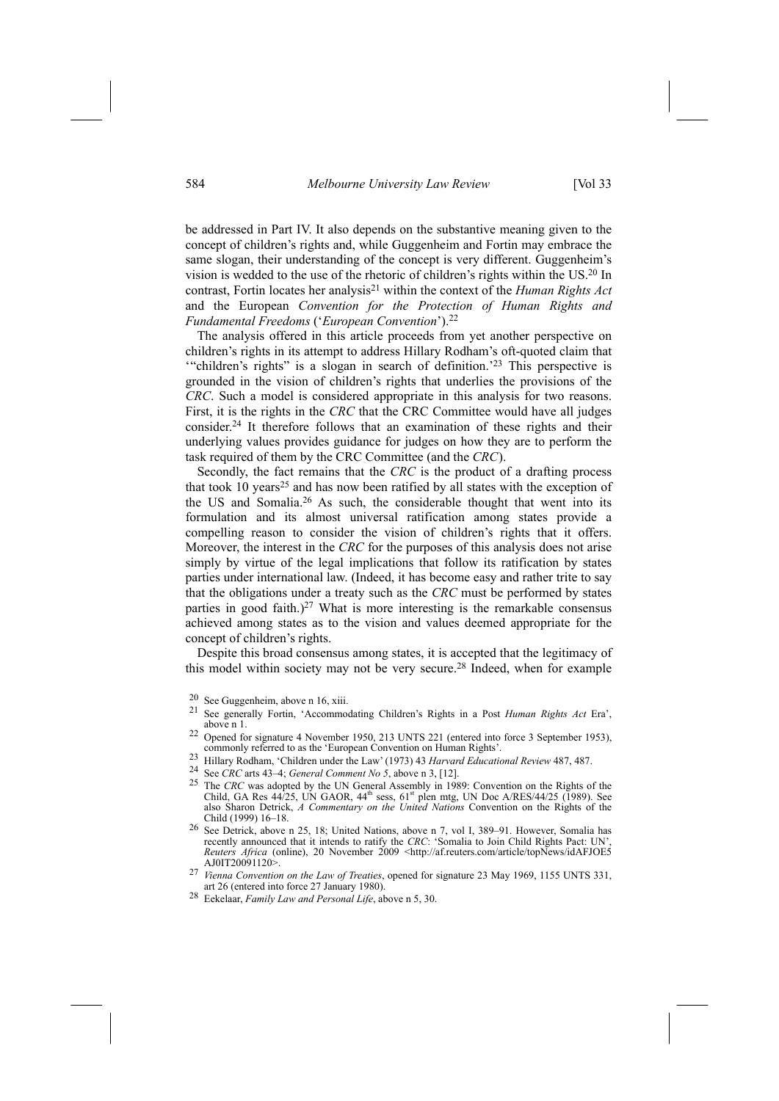be addressed in Part IV. It also depends on the substantive meaning given to the concept of children's rights and, while Guggenheim and Fortin may embrace the same slogan, their understanding of the concept is very different. Guggenheim's vision is wedded to the use of the rhetoric of children's rights within the US.20 In contrast, Fortin locates her analysis21 within the context of the *Human Rights Act* and the European *Convention for the Protection of Human Rights and Fundamental Freedoms* ('*European Convention*').22

The analysis offered in this article proceeds from yet another perspective on children's rights in its attempt to address Hillary Rodham's oft-quoted claim that '"children's rights" is a slogan in search of definition.'23 This perspective is grounded in the vision of children's rights that underlies the provisions of the *CRC*. Such a model is considered appropriate in this analysis for two reasons. First, it is the rights in the *CRC* that the CRC Committee would have all judges consider.24 It therefore follows that an examination of these rights and their underlying values provides guidance for judges on how they are to perform the task required of them by the CRC Committee (and the *CRC*).

Secondly, the fact remains that the *CRC* is the product of a drafting process that took 10 years<sup>25</sup> and has now been ratified by all states with the exception of the US and Somalia.26 As such, the considerable thought that went into its formulation and its almost universal ratification among states provide a compelling reason to consider the vision of children's rights that it offers. Moreover, the interest in the *CRC* for the purposes of this analysis does not arise simply by virtue of the legal implications that follow its ratification by states parties under international law. (Indeed, it has become easy and rather trite to say that the obligations under a treaty such as the *CRC* must be performed by states parties in good faith.) $27$  What is more interesting is the remarkable consensus achieved among states as to the vision and values deemed appropriate for the concept of children's rights.

Despite this broad consensus among states, it is accepted that the legitimacy of this model within society may not be very secure.28 Indeed, when for example

- 21 See generally Fortin, 'Accommodating Children's Rights in a Post *Human Rights Act* Era', above n 1.
- 22 Opened for signature 4 November 1950, 213 UNTS 221 (entered into force 3 September 1953), commonly referred to as the 'European Convention on Human Rights'
- 23 Hillary Rodham, 'Children under the Law' (1973) 43 *Harvard Educational Review* 487, 487.
- 24 See *CRC* arts 43–4; *General Comment No 5*, above n 3, [12].
- <sup>25</sup> The *CRC* was adopted by the UN General Assembly in 1989: Convention on the Rights of the Child, GA Res  $44/25$ , UN GAOR,  $44<sup>th</sup>$  sess,  $61<sup>st</sup>$  plen mtg, UN Doc A/RES/44/25 (1989). See also Sharon Detrick, *A Commentary on the United Nations* Convention on the Rights of the Child (1999) 16–18.
- <sup>26</sup> See Detrick, above n 25, 18; United Nations, above n 7, vol I, 389–91. However, Somalia has recently announced that it intends to ratify the *CRC*: 'Somalia to Join Child Rights Pact: UN', *Reuters Africa* (online), 20 November 2009 <http://af.reuters.com/article/topNews/idAFJOE5  $AJOIT20091120$ .
- <sup>27</sup> *Vienna Convention on the Law of Treaties*, opened for signature 23 May 1969, 1155 UNTS 331, art 26 (entered into force 27 January 1980).
- 28 Eekelaar, *Family Law and Personal Life*, above n 5, 30.

<sup>20</sup> See Guggenheim, above n 16, xiii.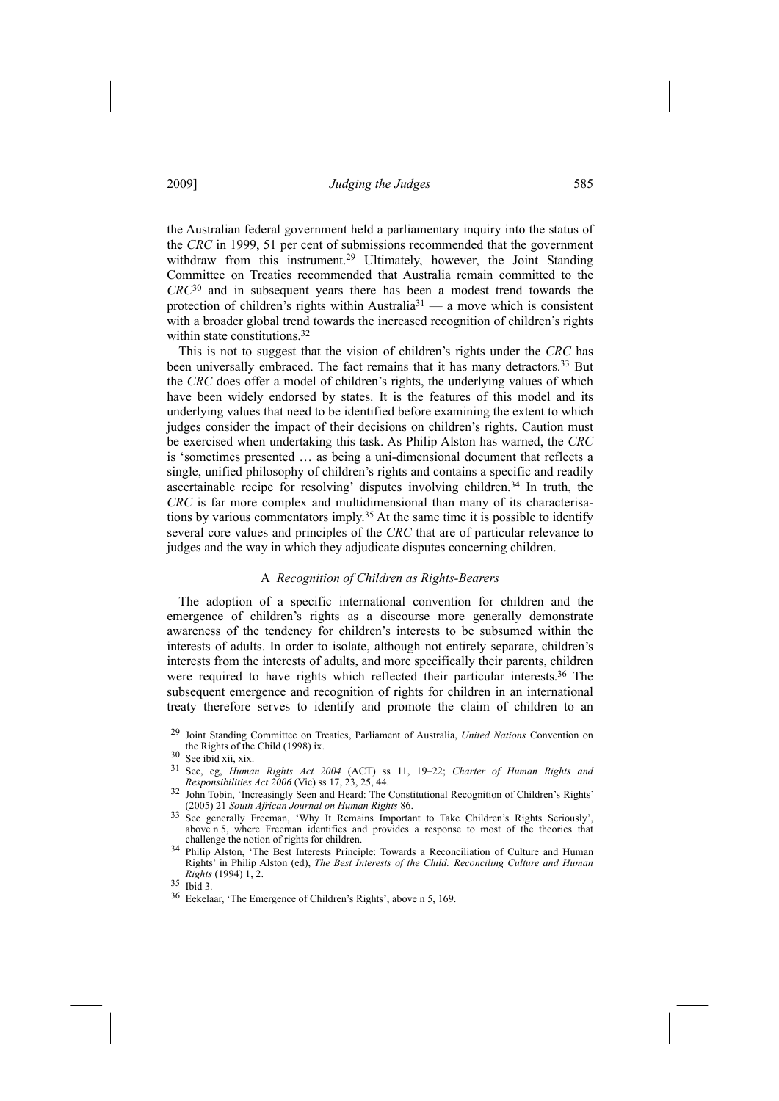the Australian federal government held a parliamentary inquiry into the status of the *CRC* in 1999, 51 per cent of submissions recommended that the government withdraw from this instrument.<sup>29</sup> Ultimately, however, the Joint Standing Committee on Treaties recommended that Australia remain committed to the *CRC*30 and in subsequent years there has been a modest trend towards the protection of children's rights within Australia<sup>31</sup> — a move which is consistent with a broader global trend towards the increased recognition of children's rights within state constitutions.<sup>32</sup>

This is not to suggest that the vision of children's rights under the *CRC* has been universally embraced. The fact remains that it has many detractors.33 But the *CRC* does offer a model of children's rights, the underlying values of which have been widely endorsed by states. It is the features of this model and its underlying values that need to be identified before examining the extent to which judges consider the impact of their decisions on children's rights. Caution must be exercised when undertaking this task. As Philip Alston has warned, the *CRC* is 'sometimes presented … as being a uni-dimensional document that reflects a single, unified philosophy of children's rights and contains a specific and readily ascertainable recipe for resolving' disputes involving children.<sup>34</sup> In truth, the *CRC* is far more complex and multidimensional than many of its characterisations by various commentators imply.35 At the same time it is possible to identify several core values and principles of the *CRC* that are of particular relevance to judges and the way in which they adjudicate disputes concerning children.

#### A *Recognition of Children as Rights-Bearers*

The adoption of a specific international convention for children and the emergence of children's rights as a discourse more generally demonstrate awareness of the tendency for children's interests to be subsumed within the interests of adults. In order to isolate, although not entirely separate, children's interests from the interests of adults, and more specifically their parents, children were required to have rights which reflected their particular interests.<sup>36</sup> The subsequent emergence and recognition of rights for children in an international treaty therefore serves to identify and promote the claim of children to an

- 31 See, eg, *Human Rights Act 2004* (ACT) ss 11, 19–22; *Charter of Human Rights and Responsibilities Act 2006* (Vic) ss 17, 23, 25, 44.
- <sup>32</sup> John Tobin, 'Increasingly Seen and Heard: The Constitutional Recognition of Children's Rights' (2005) 21 *South African Journal on Human Rights* 86.
- See generally Freeman, 'Why It Remains Important to Take Children's Rights Seriously' above n 5, where Freeman identifies and provides a response to most of the theories that challenge the notion of rights for children.
- <sup>34</sup> Philip Alston, 'The Best Interests Principle: Towards a Reconciliation of Culture and Human Rights' in Philip Alston (ed), *The Best Interests of the Child: Reconciling Culture and Human Rights* (1994) 1, 2.

36 Eekelaar, 'The Emergence of Children's Rights', above n 5, 169.

<sup>29</sup> Joint Standing Committee on Treaties, Parliament of Australia, *United Nations* Convention on the Rights of the Child (1998) ix.

 $30\text{ See ibid xii, xix.}$ <br> $31\text{ See } 25$  *Hymn* 

<sup>35</sup> Ibid 3.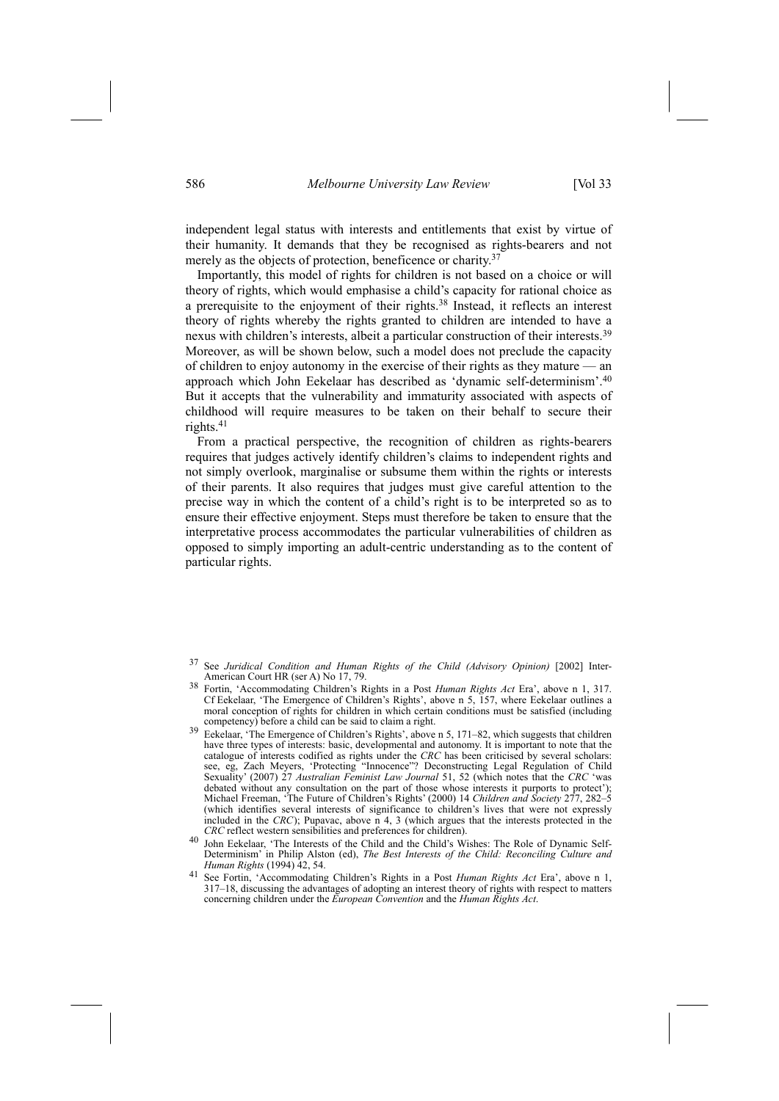independent legal status with interests and entitlements that exist by virtue of their humanity. It demands that they be recognised as rights-bearers and not merely as the objects of protection, beneficence or charity.<sup>37</sup>

Importantly, this model of rights for children is not based on a choice or will theory of rights, which would emphasise a child's capacity for rational choice as a prerequisite to the enjoyment of their rights.38 Instead, it reflects an interest theory of rights whereby the rights granted to children are intended to have a nexus with children's interests, albeit a particular construction of their interests.<sup>39</sup> Moreover, as will be shown below, such a model does not preclude the capacity of children to enjoy autonomy in the exercise of their rights as they mature — an approach which John Eekelaar has described as 'dynamic self-determinism'.40 But it accepts that the vulnerability and immaturity associated with aspects of childhood will require measures to be taken on their behalf to secure their rights.41

From a practical perspective, the recognition of children as rights-bearers requires that judges actively identify children's claims to independent rights and not simply overlook, marginalise or subsume them within the rights or interests of their parents. It also requires that judges must give careful attention to the precise way in which the content of a child's right is to be interpreted so as to ensure their effective enjoyment. Steps must therefore be taken to ensure that the interpretative process accommodates the particular vulnerabilities of children as opposed to simply importing an adult-centric understanding as to the content of particular rights.

<sup>37</sup> See *Juridical Condition and Human Rights of the Child (Advisory Opinion)* [2002] Inter-American Court HR (ser A) No 17, 79.

<sup>38</sup> Fortin, 'Accommodating Children's Rights in a Post *Human Rights Act* Era', above n 1, 317. Cf Eekelaar, 'The Emergence of Children's Rights', above n 5, 157, where Eekelaar outlines a moral conception of rights for children in which certain conditions must be satisfied (including competency) before a child can be said to claim a right.

<sup>39</sup> Eekelaar, 'The Emergence of Children's Rights', above n 5, 171–82, which suggests that children have three types of interests: basic, developmental and autonomy. It is important to note that the catalogue of interests codified as rights under the *CRC* has been criticised by several scholars: see, eg, Zach Meyers, 'Protecting "Innocence"? Deconstructing Legal Regulation of Child Sexuality' (2007) 27 *Australian Feminist Law Journal* 51, 52 (which notes that the *CRC* 'was debated without any consultation on the part of those whose interests it purports to protect'); Michael Freeman, 'The Future of Children's Rights' (2000) 14 *Children and Society* 277, 282–5 (which identifies several interests of significance to children's lives that were not expressly included in the *CRC*); Pupavac, above n 4, 3 (which argues that the interests protected in the *CRC* reflect western sensibilities and preferences for children).

<sup>40</sup> John Eekelaar, 'The Interests of the Child and the Child's Wishes: The Role of Dynamic Self-Determinism' in Philip Alston (ed), *The Best Interests of the Child: Reconciling Culture and Human Rights* (1994) 42, 54.

<sup>41</sup> See Fortin, 'Accommodating Children's Rights in a Post *Human Rights Act* Era', above n 1, 317–18, discussing the advantages of adopting an interest theory of rights with respect to matters concerning children under the *European Convention* and the *Human Rights Act*.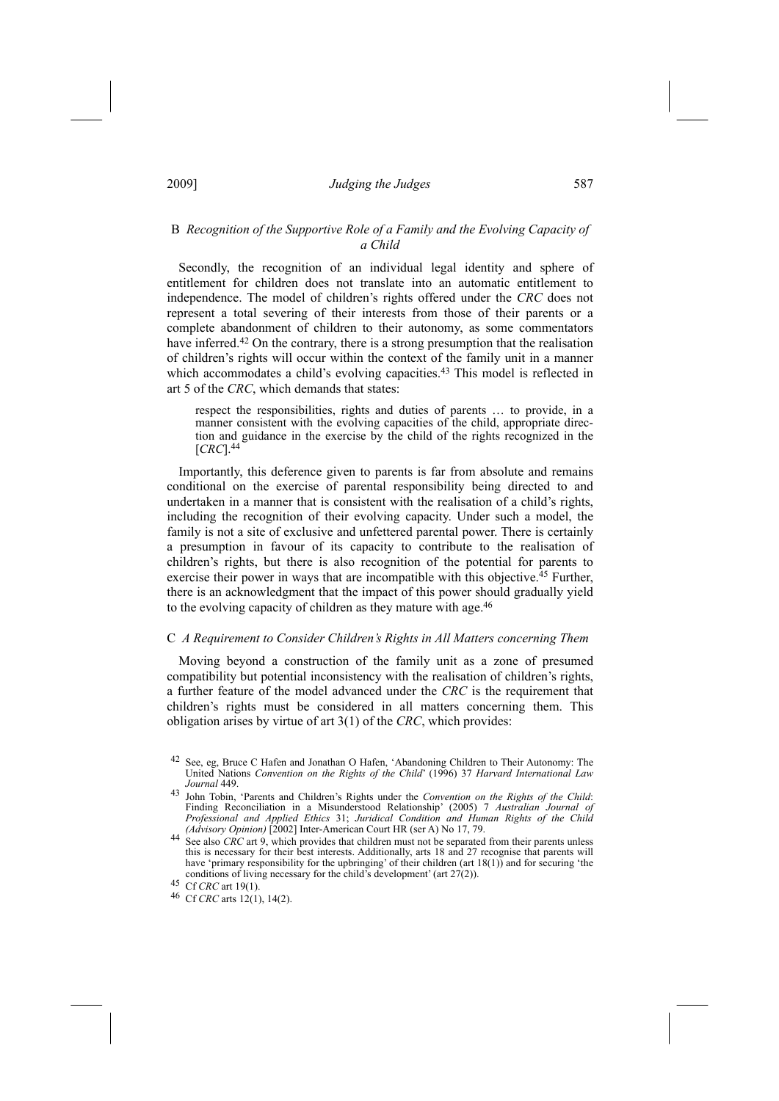## B *Recognition of the Supportive Role of a Family and the Evolving Capacity of a Child*

Secondly, the recognition of an individual legal identity and sphere of entitlement for children does not translate into an automatic entitlement to independence. The model of children's rights offered under the *CRC* does not represent a total severing of their interests from those of their parents or a complete abandonment of children to their autonomy, as some commentators have inferred.<sup>42</sup> On the contrary, there is a strong presumption that the realisation of children's rights will occur within the context of the family unit in a manner which accommodates a child's evolving capacities.<sup>43</sup> This model is reflected in art 5 of the *CRC*, which demands that states:

respect the responsibilities, rights and duties of parents … to provide, in a manner consistent with the evolving capacities of the child, appropriate direction and guidance in the exercise by the child of the rights recognized in the  $[CRC]$ .<sup>44</sup>

Importantly, this deference given to parents is far from absolute and remains conditional on the exercise of parental responsibility being directed to and undertaken in a manner that is consistent with the realisation of a child's rights, including the recognition of their evolving capacity. Under such a model, the family is not a site of exclusive and unfettered parental power. There is certainly a presumption in favour of its capacity to contribute to the realisation of children's rights, but there is also recognition of the potential for parents to exercise their power in ways that are incompatible with this objective.<sup>45</sup> Further, there is an acknowledgment that the impact of this power should gradually yield to the evolving capacity of children as they mature with age.<sup>46</sup>

### C *A Requirement to Consider Children's Rights in All Matters concerning Them*

Moving beyond a construction of the family unit as a zone of presumed compatibility but potential inconsistency with the realisation of children's rights, a further feature of the model advanced under the *CRC* is the requirement that children's rights must be considered in all matters concerning them. This obligation arises by virtue of art 3(1) of the *CRC*, which provides:

See, eg, Bruce C Hafen and Jonathan O Hafen, 'Abandoning Children to Their Autonomy: The United Nations *Convention on the Rights of the Child*' (1996) 37 *Harvard International Law Journal* 449.

<sup>43</sup> John Tobin, 'Parents and Children's Rights under the *Convention on the Rights of the Child*: Finding Reconciliation in a Misunderstood Relationship' (2005) 7 *Australian Journal of Professional and Applied Ethics* 31; *Juridical Condition and Human Rights of the Child (Advisory Opinion)* [2002] Inter-American Court HR (ser A) No 17, 79.

<sup>44</sup> See also *CRC* art 9, which provides that children must not be separated from their parents unless this is necessary for their best interests. Additionally, arts 18 and 27 recognise that parents will have 'primary responsibility for the upbringing' of their children (art 18(1)) and for securing 'the conditions of living necessary for the child's development' (art  $27(2)$ ).

<sup>45</sup> Cf *CRC* art 19(1).

<sup>46</sup> Cf *CRC* arts 12(1), 14(2).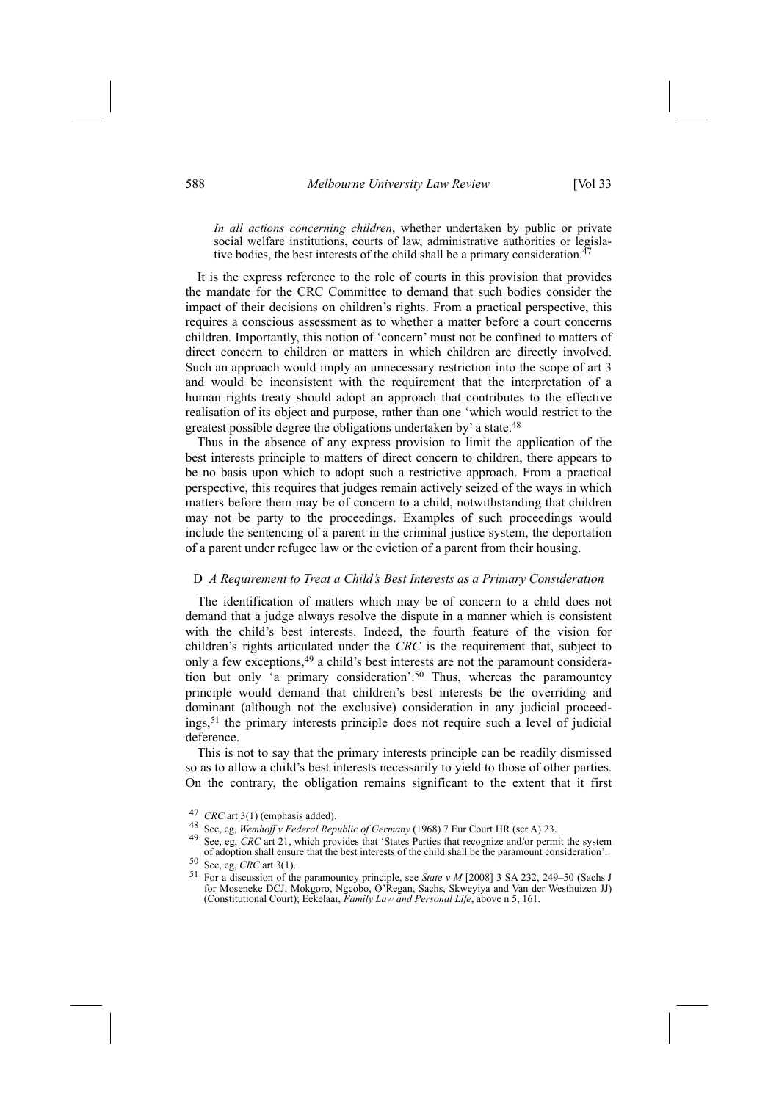*In all actions concerning children*, whether undertaken by public or private social welfare institutions, courts of law, administrative authorities or legislative bodies, the best interests of the child shall be a primary consideration.<sup>47</sup>

It is the express reference to the role of courts in this provision that provides the mandate for the CRC Committee to demand that such bodies consider the impact of their decisions on children's rights. From a practical perspective, this requires a conscious assessment as to whether a matter before a court concerns children. Importantly, this notion of 'concern' must not be confined to matters of direct concern to children or matters in which children are directly involved. Such an approach would imply an unnecessary restriction into the scope of art 3 and would be inconsistent with the requirement that the interpretation of a human rights treaty should adopt an approach that contributes to the effective realisation of its object and purpose, rather than one 'which would restrict to the greatest possible degree the obligations undertaken by' a state.<sup>48</sup>

Thus in the absence of any express provision to limit the application of the best interests principle to matters of direct concern to children, there appears to be no basis upon which to adopt such a restrictive approach. From a practical perspective, this requires that judges remain actively seized of the ways in which matters before them may be of concern to a child, notwithstanding that children may not be party to the proceedings. Examples of such proceedings would include the sentencing of a parent in the criminal justice system, the deportation of a parent under refugee law or the eviction of a parent from their housing.

## D *A Requirement to Treat a Child's Best Interests as a Primary Consideration*

The identification of matters which may be of concern to a child does not demand that a judge always resolve the dispute in a manner which is consistent with the child's best interests. Indeed, the fourth feature of the vision for children's rights articulated under the *CRC* is the requirement that, subject to only a few exceptions,<sup>49</sup> a child's best interests are not the paramount consideration but only 'a primary consideration'.50 Thus, whereas the paramountcy principle would demand that children's best interests be the overriding and dominant (although not the exclusive) consideration in any judicial proceedings,51 the primary interests principle does not require such a level of judicial deference.

This is not to say that the primary interests principle can be readily dismissed so as to allow a child's best interests necessarily to yield to those of other parties. On the contrary, the obligation remains significant to the extent that it first

48 See, eg, *Wemhoff v Federal Republic of Germany* (1968) 7 Eur Court HR (ser A) 23.

49 See, eg, *CRC* art 21, which provides that 'States Parties that recognize and/or permit the system of adoption shall ensure that the best interests of the child shall be the paramount consideration'.

<sup>47</sup> *CRC* art 3(1) (emphasis added).

<sup>50</sup> See, eg, *CRC* art 3(1).

<sup>51</sup> For a discussion of the paramountcy principle, see *State v M* [2008] 3 SA 232, 249–50 (Sachs J for Moseneke DCJ, Mokgoro, Ngcobo, O'Regan, Sachs, Skweyiya and Van der Westhuizen JJ) (Constitutional Court); Eekelaar, *Family Law and Personal Life*, above n 5, 161.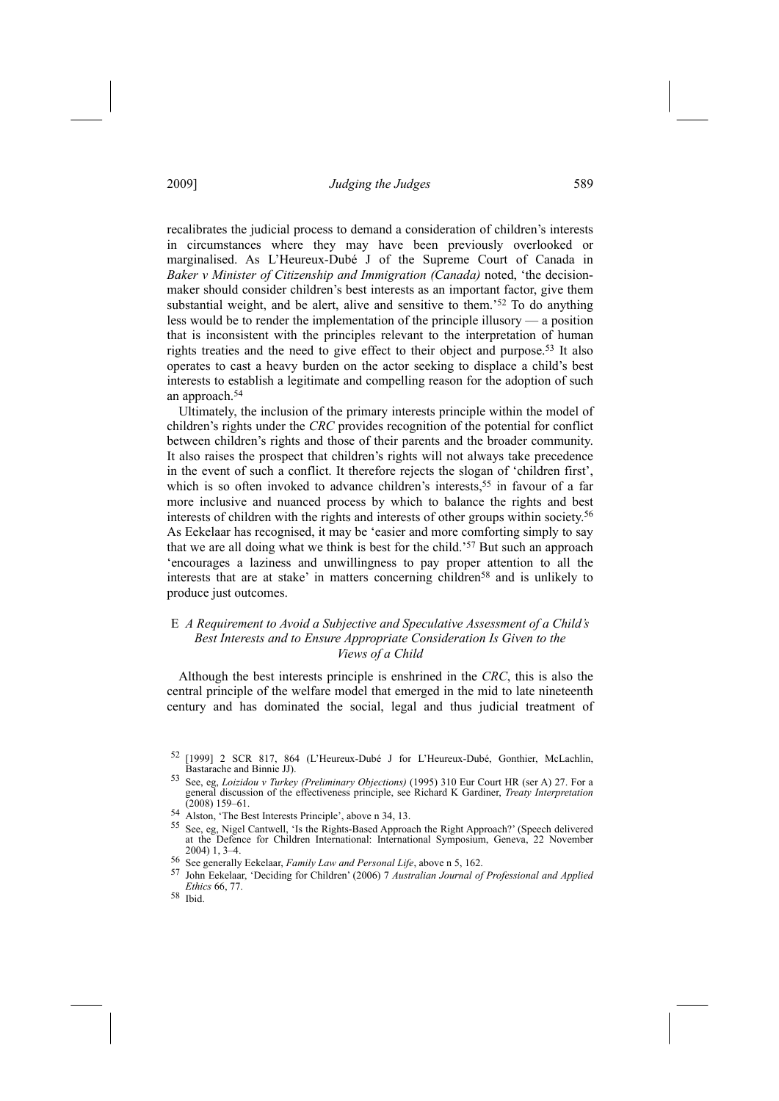recalibrates the judicial process to demand a consideration of children's interests in circumstances where they may have been previously overlooked or marginalised. As L'Heureux-Dubé J of the Supreme Court of Canada in *Baker v Minister of Citizenship and Immigration (Canada)* noted, 'the decisionmaker should consider children's best interests as an important factor, give them substantial weight, and be alert, alive and sensitive to them.<sup>'52</sup> To do anything less would be to render the implementation of the principle illusory — a position that is inconsistent with the principles relevant to the interpretation of human rights treaties and the need to give effect to their object and purpose.53 It also operates to cast a heavy burden on the actor seeking to displace a child's best interests to establish a legitimate and compelling reason for the adoption of such an approach.54

Ultimately, the inclusion of the primary interests principle within the model of children's rights under the *CRC* provides recognition of the potential for conflict between children's rights and those of their parents and the broader community. It also raises the prospect that children's rights will not always take precedence in the event of such a conflict. It therefore rejects the slogan of 'children first', which is so often invoked to advance children's interests,<sup>55</sup> in favour of a far more inclusive and nuanced process by which to balance the rights and best interests of children with the rights and interests of other groups within society.56 As Eekelaar has recognised, it may be 'easier and more comforting simply to say that we are all doing what we think is best for the child.'57 But such an approach 'encourages a laziness and unwillingness to pay proper attention to all the interests that are at stake' in matters concerning children<sup>58</sup> and is unlikely to produce just outcomes.

## E *A Requirement to Avoid a Subjective and Speculative Assessment of a Child's Best Interests and to Ensure Appropriate Consideration Is Given to the Views of a Child*

Although the best interests principle is enshrined in the *CRC*, this is also the central principle of the welfare model that emerged in the mid to late nineteenth century and has dominated the social, legal and thus judicial treatment of

<sup>52 [1999] 2</sup> SCR 817, 864 (L'Heureux-Dubé J for L'Heureux-Dubé, Gonthier, McLachlin, Bastarache and Binnie JJ).

<sup>53</sup> See, eg, *Loizidou v Turkey (Preliminary Objections)* (1995) 310 Eur Court HR (ser A) 27. For a general discussion of the effectiveness principle, see Richard K Gardiner, *Treaty Interpretation* (2008) 159–61.

<sup>54</sup> Alston, 'The Best Interests Principle', above n 34, 13.

<sup>55</sup> See, eg, Nigel Cantwell, 'Is the Rights-Based Approach the Right Approach?' (Speech delivered at the Defence for Children International: International Symposium, Geneva, 22 November 2004) 1, 3–4.

<sup>56</sup> See generally Eekelaar, *Family Law and Personal Life*, above n 5, 162.

<sup>57</sup> John Eekelaar, 'Deciding for Children' (2006) 7 *Australian Journal of Professional and Applied Ethics* 66, 77.

<sup>58</sup> Ibid.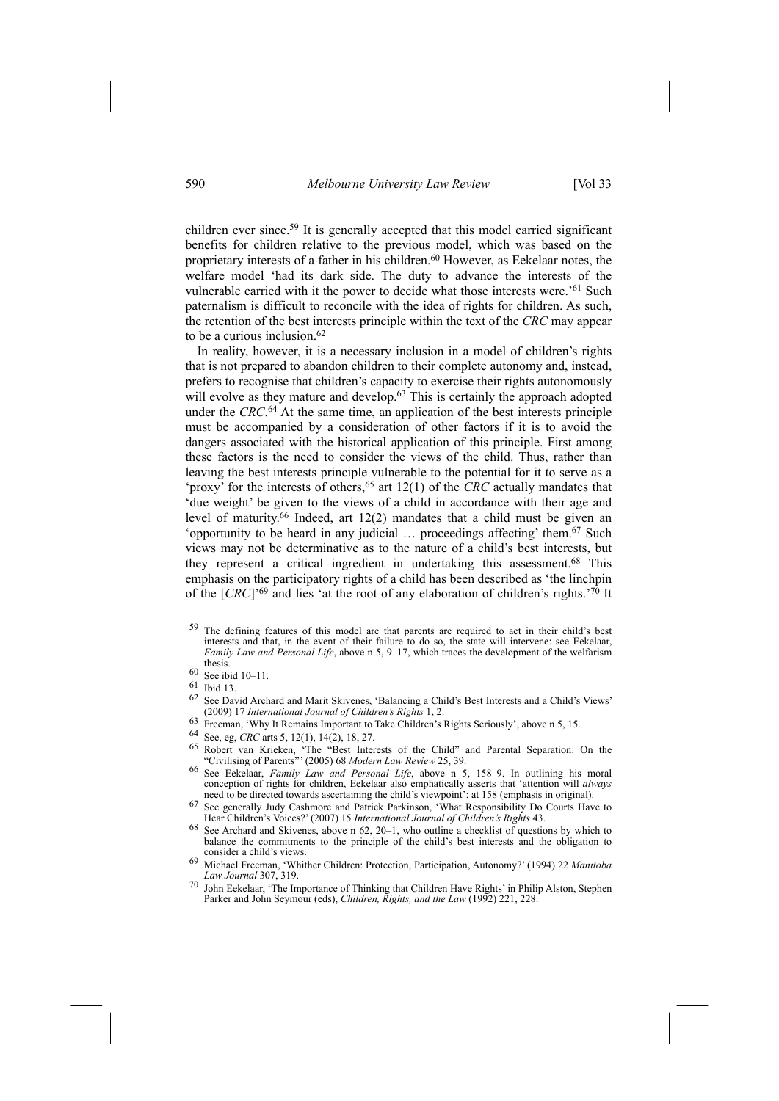children ever since.59 It is generally accepted that this model carried significant benefits for children relative to the previous model, which was based on the proprietary interests of a father in his children.60 However, as Eekelaar notes, the welfare model 'had its dark side. The duty to advance the interests of the vulnerable carried with it the power to decide what those interests were.'61 Such paternalism is difficult to reconcile with the idea of rights for children. As such, the retention of the best interests principle within the text of the *CRC* may appear to be a curious inclusion.62

In reality, however, it is a necessary inclusion in a model of children's rights that is not prepared to abandon children to their complete autonomy and, instead, prefers to recognise that children's capacity to exercise their rights autonomously will evolve as they mature and develop.<sup>63</sup> This is certainly the approach adopted under the *CRC*. 64 At the same time, an application of the best interests principle must be accompanied by a consideration of other factors if it is to avoid the dangers associated with the historical application of this principle. First among these factors is the need to consider the views of the child. Thus, rather than leaving the best interests principle vulnerable to the potential for it to serve as a 'proxy' for the interests of others,<sup>65</sup> art 12(1) of the *CRC* actually mandates that 'due weight' be given to the views of a child in accordance with their age and level of maturity.66 Indeed, art 12(2) mandates that a child must be given an 'opportunity to be heard in any judicial ... proceedings affecting' them.<sup>67</sup> Such views may not be determinative as to the nature of a child's best interests, but they represent a critical ingredient in undertaking this assessment.68 This emphasis on the participatory rights of a child has been described as 'the linchpin of the [*CRC*]'69 and lies 'at the root of any elaboration of children's rights.'70 It

- 59 The defining features of this model are that parents are required to act in their child's best interests and that, in the event of their failure to do so, the state will intervene: see Eekelaar, *Family Law and Personal Life*, above n 5, 9–17, which traces the development of the welfarism thesis.
- $60$  See ibid  $10-11$ .
- $\frac{61}{62}$  Ibid 13.
- 62 See David Archard and Marit Skivenes, 'Balancing a Child's Best Interests and a Child's Views' (2009) 17 *International Journal of Children's Rights* 1, 2.
- 63 Freeman, 'Why It Remains Important to Take Children's Rights Seriously', above n 5, 15.
- 64 See, eg, *CRC* arts 5, 12(1), 14(2), 18, 27.
- 65 Robert van Krieken, 'The "Best Interests of the Child" and Parental Separation: On the "Civilising of Parents"' (2005) 68 *Modern Law Review* 25, 39.
- 66 See Eekelaar, *Family Law and Personal Life*, above n 5, 158–9. In outlining his moral conception of rights for children, Eekelaar also emphatically asserts that 'attention will *always* need to be directed towards ascertaining the child's viewpoint': at 158 (emphasis in original).
- 67 See generally Judy Cashmore and Patrick Parkinson, 'What Responsibility Do Courts Have to Hear Children's Voices?' (2007) 15 *International Journal of Children's Rights* 43.
- $68$  See Archard and Skivenes, above n 62, 20–1, who outline a checklist of questions by which to balance the commitments to the principle of the child's best interests and the obligation to consider a child's views.
- 69 Michael Freeman, 'Whither Children: Protection, Participation, Autonomy?' (1994) 22 *Manitoba Law Journal* 307, 319.
- 70 John Eekelaar, 'The Importance of Thinking that Children Have Rights' in Philip Alston, Stephen Parker and John Seymour (eds), *Children, Rights, and the Law* (1992) 221, 228.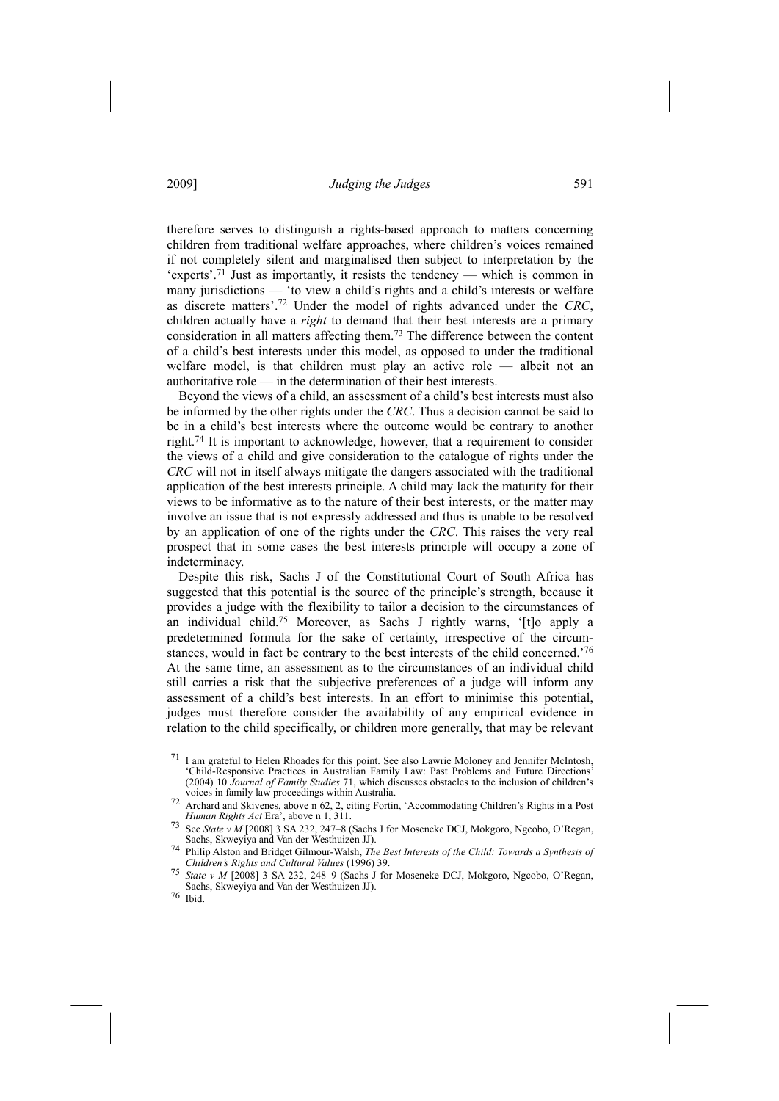therefore serves to distinguish a rights-based approach to matters concerning children from traditional welfare approaches, where children's voices remained if not completely silent and marginalised then subject to interpretation by the 'experts'.71 Just as importantly, it resists the tendency — which is common in many jurisdictions — 'to view a child's rights and a child's interests or welfare as discrete matters'.72 Under the model of rights advanced under the *CRC*, children actually have a *right* to demand that their best interests are a primary consideration in all matters affecting them.73 The difference between the content of a child's best interests under this model, as opposed to under the traditional welfare model, is that children must play an active role — albeit not an authoritative role — in the determination of their best interests.

Beyond the views of a child, an assessment of a child's best interests must also be informed by the other rights under the *CRC*. Thus a decision cannot be said to be in a child's best interests where the outcome would be contrary to another right.74 It is important to acknowledge, however, that a requirement to consider the views of a child and give consideration to the catalogue of rights under the *CRC* will not in itself always mitigate the dangers associated with the traditional application of the best interests principle. A child may lack the maturity for their views to be informative as to the nature of their best interests, or the matter may involve an issue that is not expressly addressed and thus is unable to be resolved by an application of one of the rights under the *CRC*. This raises the very real prospect that in some cases the best interests principle will occupy a zone of indeterminacy.

Despite this risk, Sachs J of the Constitutional Court of South Africa has suggested that this potential is the source of the principle's strength, because it provides a judge with the flexibility to tailor a decision to the circumstances of an individual child.75 Moreover, as Sachs J rightly warns, '[t]o apply a predetermined formula for the sake of certainty, irrespective of the circumstances, would in fact be contrary to the best interests of the child concerned.'76 At the same time, an assessment as to the circumstances of an individual child still carries a risk that the subjective preferences of a judge will inform any assessment of a child's best interests. In an effort to minimise this potential, judges must therefore consider the availability of any empirical evidence in relation to the child specifically, or children more generally, that may be relevant

<sup>71</sup> I am grateful to Helen Rhoades for this point. See also Lawrie Moloney and Jennifer McIntosh, 'Child-Responsive Practices in Australian Family Law: Past Problems and Future Directions' (2004) 10 *Journal of Family Studies* 71, which discusses obstacles to the inclusion of children's voices in family law proceedings within Australia.

<sup>72</sup> Archard and Skivenes, above n 62, 2, citing Fortin, 'Accommodating Children's Rights in a Post *Human Rights Act* Era', above n 1, 311.

<sup>73</sup> See *State v M* [2008] 3 SA 232, 247–8 (Sachs J for Moseneke DCJ, Mokgoro, Ngcobo, O'Regan, Sachs, Skweyiya and Van der Westhuizen JJ).

<sup>74</sup> Philip Alston and Bridget Gilmour-Walsh, *The Best Interests of the Child: Towards a Synthesis of Children's Rights and Cultural Values* (1996) 39.

<sup>75</sup> *State v M* [2008] 3 SA 232, 248–9 (Sachs J for Moseneke DCJ, Mokgoro, Ngcobo, O'Regan, Sachs, Skweyiya and Van der Westhuizen JJ).

<sup>76</sup> Ibid.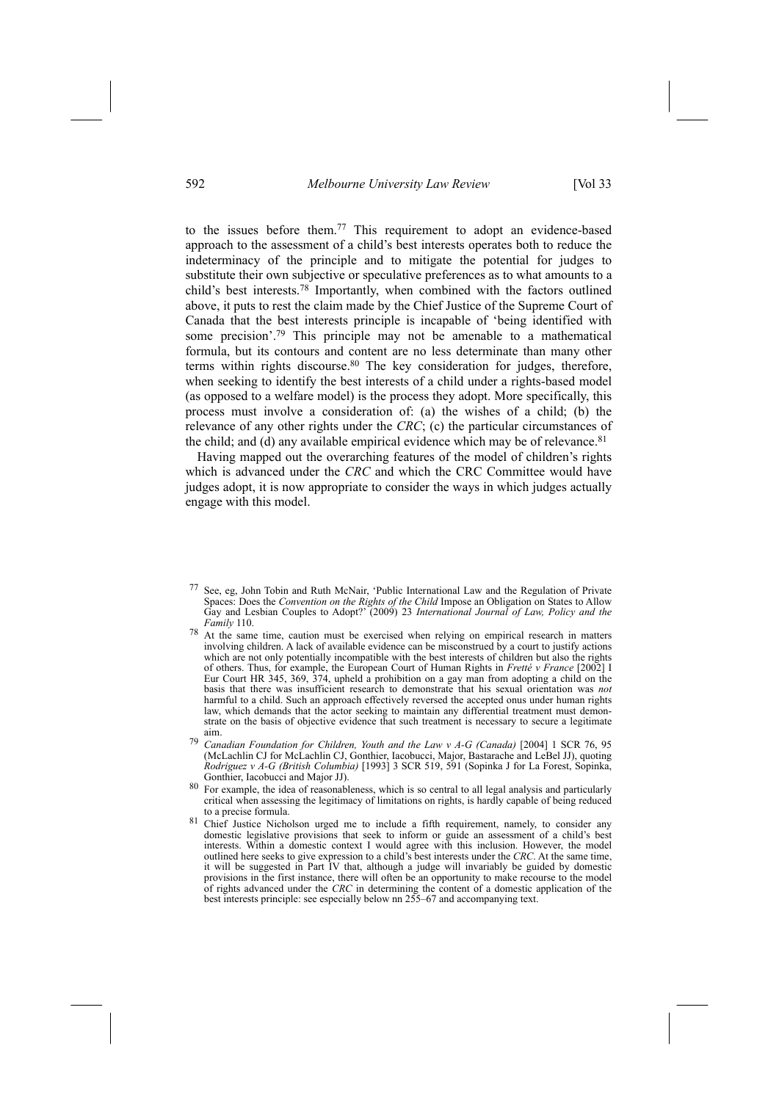## 592 *Melbourne University Law Review* [Vol 33

to the issues before them.77 This requirement to adopt an evidence-based approach to the assessment of a child's best interests operates both to reduce the indeterminacy of the principle and to mitigate the potential for judges to substitute their own subjective or speculative preferences as to what amounts to a child's best interests.78 Importantly, when combined with the factors outlined above, it puts to rest the claim made by the Chief Justice of the Supreme Court of Canada that the best interests principle is incapable of 'being identified with some precision'.79 This principle may not be amenable to a mathematical formula, but its contours and content are no less determinate than many other terms within rights discourse.<sup>80</sup> The key consideration for judges, therefore, when seeking to identify the best interests of a child under a rights-based model (as opposed to a welfare model) is the process they adopt. More specifically, this process must involve a consideration of: (a) the wishes of a child; (b) the relevance of any other rights under the *CRC*; (c) the particular circumstances of the child; and (d) any available empirical evidence which may be of relevance.<sup>81</sup>

Having mapped out the overarching features of the model of children's rights which is advanced under the *CRC* and which the CRC Committee would have judges adopt, it is now appropriate to consider the ways in which judges actually engage with this model.

<sup>77</sup> See, eg, John Tobin and Ruth McNair, 'Public International Law and the Regulation of Private Spaces: Does the *Convention on the Rights of the Child* Impose an Obligation on States to Allow Gay and Lesbian Couples to Adopt?' (2009) 23 *International Journal of Law, Policy and the Family* 110.

<sup>78</sup> At the same time, caution must be exercised when relying on empirical research in matters involving children. A lack of available evidence can be misconstrued by a court to justify actions which are not only potentially incompatible with the best interests of children but also the rights of others. Thus, for example, the European Court of Human Rights in *Fretté v France* [2002] I Eur Court HR 345, 369, 374, upheld a prohibition on a gay man from adopting a child on the basis that there was insufficient research to demonstrate that his sexual orientation was *not* harmful to a child. Such an approach effectively reversed the accepted onus under human rights law, which demands that the actor seeking to maintain any differential treatment must demonstrate on the basis of objective evidence that such treatment is necessary to secure a legitimate aim.

<sup>79</sup> *Canadian Foundation for Children, Youth and the Law v A-G (Canada)* [2004] 1 SCR 76, 95 (McLachlin CJ for McLachlin CJ, Gonthier, Iacobucci, Major, Bastarache and LeBel JJ), quoting *Rodriguez v A-G (British Columbia)* [1993] 3 SCR 519, 591 (Sopinka J for La Forest, Sopinka, Gonthier, Iacobucci and Major JJ).

 $80\,$  For example, the idea of reasonableness, which is so central to all legal analysis and particularly critical when assessing the legitimacy of limitations on rights, is hardly capable of being reduced to a precise formula.

<sup>81</sup> Chief Justice Nicholson urged me to include a fifth requirement, namely, to consider any domestic legislative provisions that seek to inform or guide an assessment of a child's best interests. Within a domestic context I would agree with this inclusion. However, the model outlined here seeks to give expression to a child's best interests under the *CRC*. At the same time, it will be suggested in Part IV that, although a judge will invariably be guided by domestic provisions in the first instance, there will often be an opportunity to make recourse to the model of rights advanced under the *CRC* in determining the content of a domestic application of the best interests principle: see especially below nn 255–67 and accompanying text.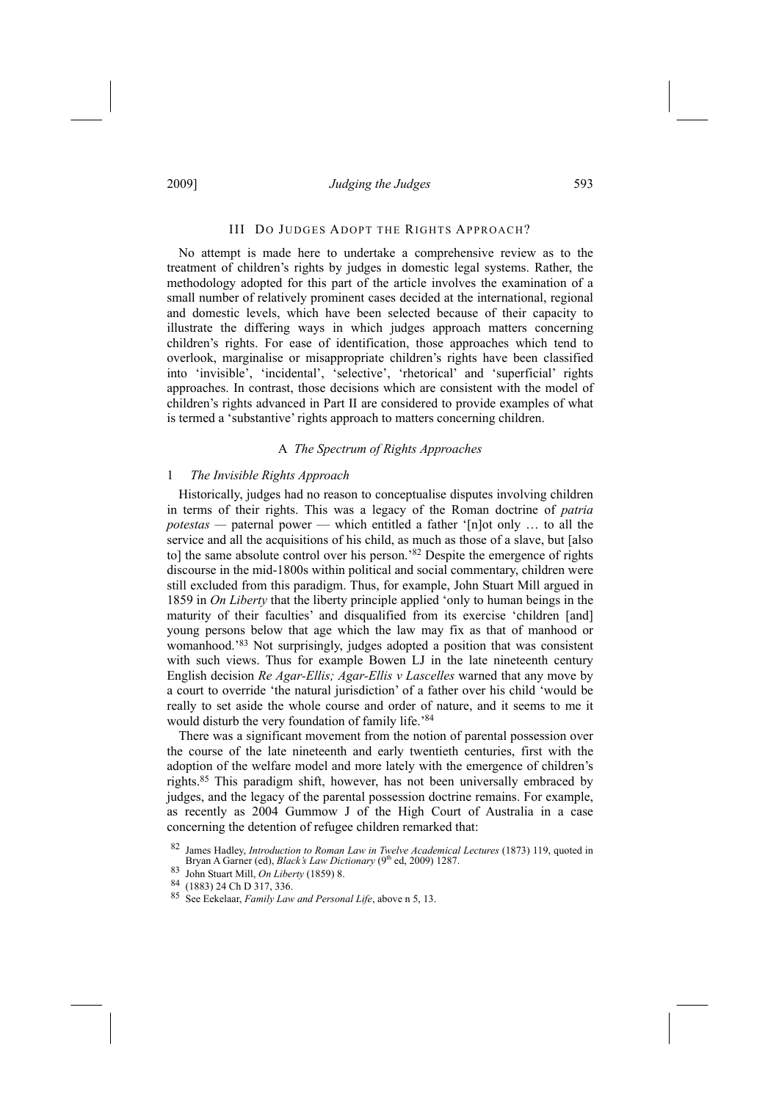#### III DO JUDGES ADOPT THE RIGHTS APPROACH?

No attempt is made here to undertake a comprehensive review as to the treatment of children's rights by judges in domestic legal systems. Rather, the methodology adopted for this part of the article involves the examination of a small number of relatively prominent cases decided at the international, regional and domestic levels, which have been selected because of their capacity to illustrate the differing ways in which judges approach matters concerning children's rights. For ease of identification, those approaches which tend to overlook, marginalise or misappropriate children's rights have been classified into 'invisible', 'incidental', 'selective', 'rhetorical' and 'superficial' rights approaches. In contrast, those decisions which are consistent with the model of children's rights advanced in Part II are considered to provide examples of what is termed a 'substantive' rights approach to matters concerning children.

### A *The Spectrum of Rights Approaches*

#### 1 *The Invisible Rights Approach*

Historically, judges had no reason to conceptualise disputes involving children in terms of their rights. This was a legacy of the Roman doctrine of *patria potestas* — paternal power — which entitled a father '[n]ot only ... to all the service and all the acquisitions of his child, as much as those of a slave, but [also to] the same absolute control over his person.'82 Despite the emergence of rights discourse in the mid-1800s within political and social commentary, children were still excluded from this paradigm. Thus, for example, John Stuart Mill argued in 1859 in *On Liberty* that the liberty principle applied 'only to human beings in the maturity of their faculties' and disqualified from its exercise 'children [and] young persons below that age which the law may fix as that of manhood or womanhood.'83 Not surprisingly, judges adopted a position that was consistent with such views. Thus for example Bowen LJ in the late nineteenth century English decision *Re Agar-Ellis; Agar-Ellis v Lascelles* warned that any move by a court to override 'the natural jurisdiction' of a father over his child 'would be really to set aside the whole course and order of nature, and it seems to me it would disturb the very foundation of family life.'84

There was a significant movement from the notion of parental possession over the course of the late nineteenth and early twentieth centuries, first with the adoption of the welfare model and more lately with the emergence of children's rights.85 This paradigm shift, however, has not been universally embraced by judges, and the legacy of the parental possession doctrine remains. For example, as recently as 2004 Gummow J of the High Court of Australia in a case concerning the detention of refugee children remarked that:

<sup>82</sup> James Hadley, *Introduction to Roman Law in Twelve Academical Lectures* (1873) 119, quoted in Bryan A Garner (ed), *Black's Law Dictionary* (9<sup>th</sup> ed, 2009) 1287.

<sup>83</sup> John Stuart Mill, *On Liberty* (1859) 8.

<sup>84 (1883) 24</sup> Ch D 317, 336.

<sup>85</sup> See Eekelaar, *Family Law and Personal Life*, above n 5, 13.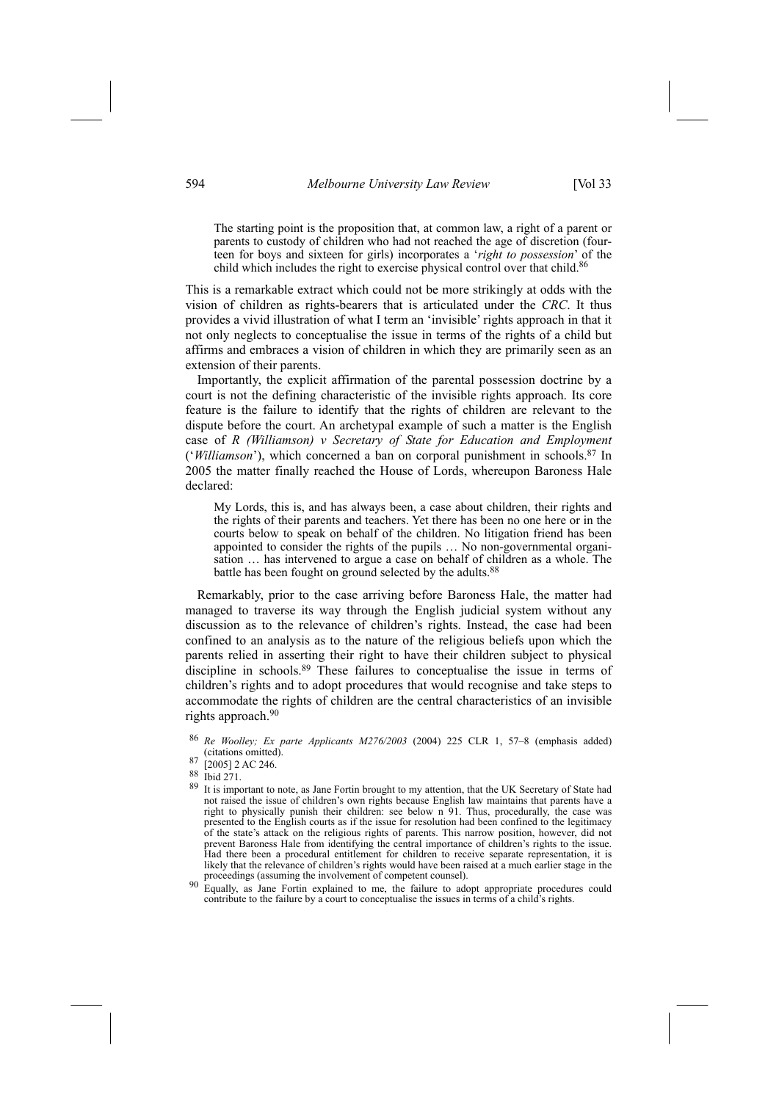The starting point is the proposition that, at common law, a right of a parent or parents to custody of children who had not reached the age of discretion (fourteen for boys and sixteen for girls) incorporates a '*right to possession*' of the child which includes the right to exercise physical control over that child.<sup>86</sup>

This is a remarkable extract which could not be more strikingly at odds with the vision of children as rights-bearers that is articulated under the *CRC*. It thus provides a vivid illustration of what I term an 'invisible' rights approach in that it not only neglects to conceptualise the issue in terms of the rights of a child but affirms and embraces a vision of children in which they are primarily seen as an extension of their parents.

Importantly, the explicit affirmation of the parental possession doctrine by a court is not the defining characteristic of the invisible rights approach. Its core feature is the failure to identify that the rights of children are relevant to the dispute before the court. An archetypal example of such a matter is the English case of *R (Williamson) v Secretary of State for Education and Employment* ('*Williamson*'), which concerned a ban on corporal punishment in schools.87 In 2005 the matter finally reached the House of Lords, whereupon Baroness Hale declared:

My Lords, this is, and has always been, a case about children, their rights and the rights of their parents and teachers. Yet there has been no one here or in the courts below to speak on behalf of the children. No litigation friend has been appointed to consider the rights of the pupils … No non-governmental organisation … has intervened to argue a case on behalf of children as a whole. The battle has been fought on ground selected by the adults.<sup>88</sup>

Remarkably, prior to the case arriving before Baroness Hale, the matter had managed to traverse its way through the English judicial system without any discussion as to the relevance of children's rights. Instead, the case had been confined to an analysis as to the nature of the religious beliefs upon which the parents relied in asserting their right to have their children subject to physical discipline in schools.<sup>89</sup> These failures to conceptualise the issue in terms of children's rights and to adopt procedures that would recognise and take steps to accommodate the rights of children are the central characteristics of an invisible rights approach.90

<sup>90</sup> Equally, as Jane Fortin explained to me, the failure to adopt appropriate procedures could contribute to the failure by a court to conceptualise the issues in terms of a child's rights.

<sup>86</sup> *Re Woolley; Ex parte Applicants M276/2003* (2004) 225 CLR 1, 57–8 (emphasis added) (citations omitted).

<sup>87 [2005] 2</sup> AC 246.

 $\frac{88}{10}$  Ibid 271.

It is important to note, as Jane Fortin brought to my attention, that the UK Secretary of State had not raised the issue of children's own rights because English law maintains that parents have a right to physically punish their children: see below n 91. Thus, procedurally, the case was presented to the English courts as if the issue for resolution had been confined to the legitimacy of the state's attack on the religious rights of parents. This narrow position, however, did not prevent Baroness Hale from identifying the central importance of children's rights to the issue. Had there been a procedural entitlement for children to receive separate representation, it is likely that the relevance of children's rights would have been raised at a much earlier stage in the proceedings (assuming the involvement of competent counsel).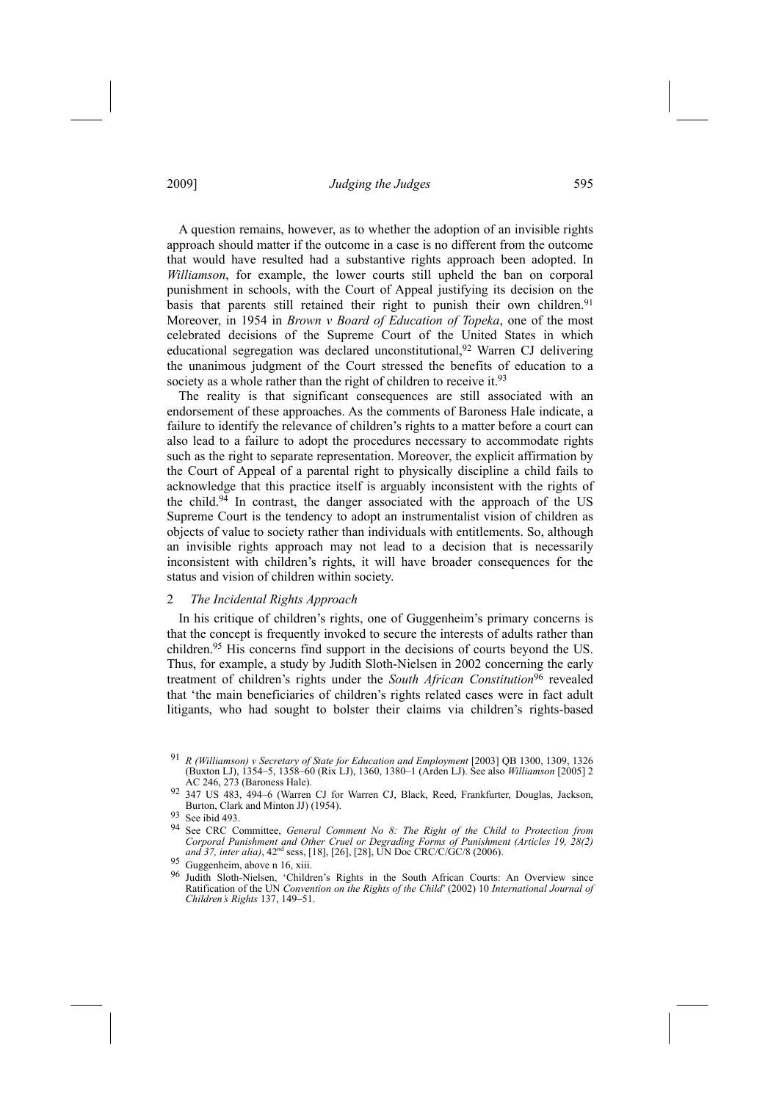A question remains, however, as to whether the adoption of an invisible rights approach should matter if the outcome in a case is no different from the outcome that would have resulted had a substantive rights approach been adopted. In *Williamson*, for example, the lower courts still upheld the ban on corporal punishment in schools, with the Court of Appeal justifying its decision on the basis that parents still retained their right to punish their own children.<sup>91</sup> Moreover, in 1954 in *Brown v Board of Education of Topeka*, one of the most celebrated decisions of the Supreme Court of the United States in which educational segregation was declared unconstitutional,92 Warren CJ delivering the unanimous judgment of the Court stressed the benefits of education to a society as a whole rather than the right of children to receive it.<sup>93</sup>

The reality is that significant consequences are still associated with an endorsement of these approaches. As the comments of Baroness Hale indicate, a failure to identify the relevance of children's rights to a matter before a court can also lead to a failure to adopt the procedures necessary to accommodate rights such as the right to separate representation. Moreover, the explicit affirmation by the Court of Appeal of a parental right to physically discipline a child fails to acknowledge that this practice itself is arguably inconsistent with the rights of the child.94 In contrast, the danger associated with the approach of the US Supreme Court is the tendency to adopt an instrumentalist vision of children as objects of value to society rather than individuals with entitlements. So, although an invisible rights approach may not lead to a decision that is necessarily inconsistent with children's rights, it will have broader consequences for the status and vision of children within society.

## 2 *The Incidental Rights Approach*

In his critique of children's rights, one of Guggenheim's primary concerns is that the concept is frequently invoked to secure the interests of adults rather than children.95 His concerns find support in the decisions of courts beyond the US. Thus, for example, a study by Judith Sloth-Nielsen in 2002 concerning the early treatment of children's rights under the *South African Constitution*96 revealed that 'the main beneficiaries of children's rights related cases were in fact adult litigants, who had sought to bolster their claims via children's rights-based

<sup>91</sup> *R (Williamson) v Secretary of State for Education and Employment* [2003] QB 1300, 1309, 1326 (Buxton LJ), 1354–5, 1358–60 (Rix LJ), 1360, 1380–1 (Arden LJ). See also *Williamson* [2005] 2  $AC$  246, 273 (Baroness Hale).

<sup>92 347</sup> US 483, 494–6 (Warren CJ for Warren CJ, Black, Reed, Frankfurter, Douglas, Jackson, Burton, Clark and Minton JJ) (1954).

See ibid 493.

<sup>94</sup> See CRC Committee, *General Comment No 8: The Right of the Child to Protection from* Corporal Punishment and Other Cruel or Degrading Forms of Punishment (Articles 19, 28(2) and 37, inter alia),  $42<sup>nd</sup>$  sess, [18], [26], [28], UN Doc CRC/C/GC/8 (2006).

<sup>95</sup> Guggenheim, above n 16, xiii.

<sup>96</sup> Judith Sloth-Nielsen, 'Children's Rights in the South African Courts: An Overview since Ratification of the UN *Convention on the Rights of the Child*' (2002) 10 *International Journal of Children's Rights* 137, 149–51.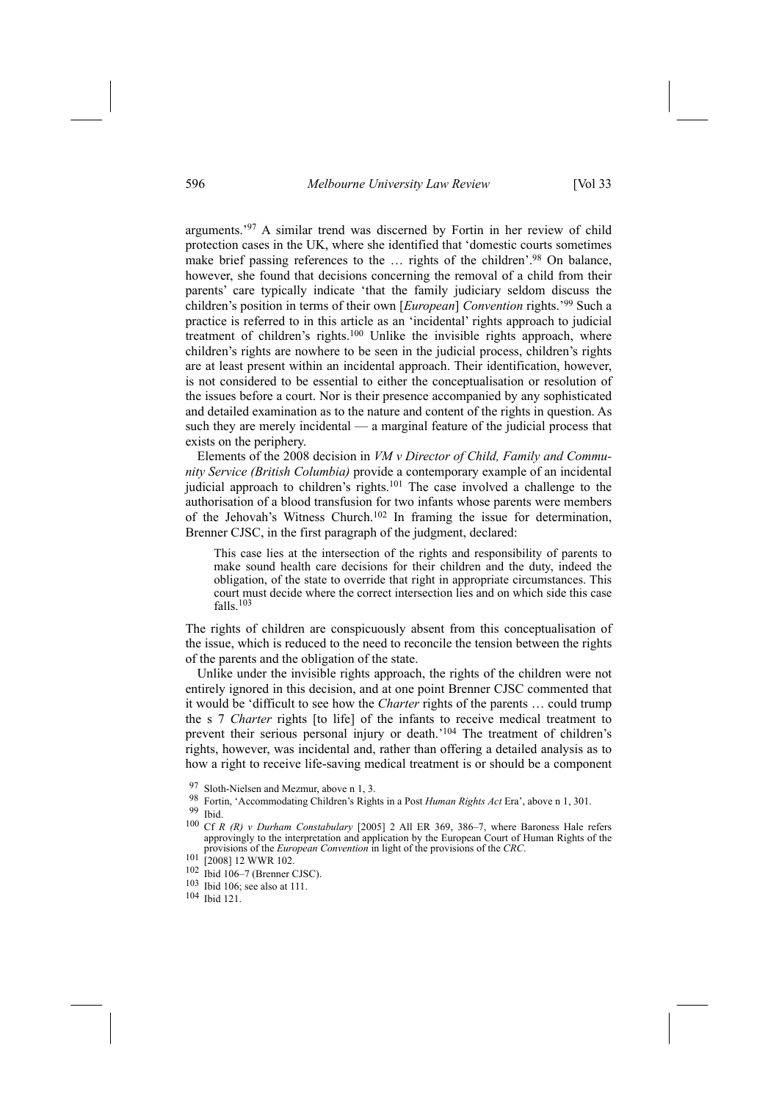arguments.'97 A similar trend was discerned by Fortin in her review of child protection cases in the UK, where she identified that 'domestic courts sometimes make brief passing references to the … rights of the children'.98 On balance, however, she found that decisions concerning the removal of a child from their parents' care typically indicate 'that the family judiciary seldom discuss the children's position in terms of their own [*European*] *Convention* rights.'99 Such a practice is referred to in this article as an 'incidental' rights approach to judicial treatment of children's rights.100 Unlike the invisible rights approach, where children's rights are nowhere to be seen in the judicial process, children's rights are at least present within an incidental approach. Their identification, however, is not considered to be essential to either the conceptualisation or resolution of the issues before a court. Nor is their presence accompanied by any sophisticated and detailed examination as to the nature and content of the rights in question. As such they are merely incidental — a marginal feature of the judicial process that exists on the periphery.

Elements of the 2008 decision in *VM v Director of Child, Family and Community Service (British Columbia)* provide a contemporary example of an incidental judicial approach to children's rights.<sup>101</sup> The case involved a challenge to the authorisation of a blood transfusion for two infants whose parents were members of the Jehovah's Witness Church.102 In framing the issue for determination, Brenner CJSC, in the first paragraph of the judgment, declared:

This case lies at the intersection of the rights and responsibility of parents to make sound health care decisions for their children and the duty, indeed the obligation, of the state to override that right in appropriate circumstances. This court must decide where the correct intersection lies and on which side this case falls.103

The rights of children are conspicuously absent from this conceptualisation of the issue, which is reduced to the need to reconcile the tension between the rights of the parents and the obligation of the state.

Unlike under the invisible rights approach, the rights of the children were not entirely ignored in this decision, and at one point Brenner CJSC commented that it would be 'difficult to see how the *Charter* rights of the parents … could trump the s 7 *Charter* rights [to life] of the infants to receive medical treatment to prevent their serious personal injury or death.'104 The treatment of children's rights, however, was incidental and, rather than offering a detailed analysis as to how a right to receive life-saving medical treatment is or should be a component

98 Fortin, 'Accommodating Children's Rights in a Post *Human Rights Act* Era', above n 1, 301.

- 100 Cf *R (R) v Durham Constabulary* [2005] 2 All ER 369, 386–7, where Baroness Hale refers approvingly to the interpretation and application by the European Court of Human Rights of the provisions of the *European Convention* in light of the provisions of the *CRC*. 101 [2008] 12 WWR 102.
- 
- $^{101}$  [2008] 12 WWR 102.<br> $^{102}$  Ibid 106–7 (Brenner CJSC).
- 103 Ibid 106; see also at 111.

<sup>97</sup> Sloth-Nielsen and Mezmur, above n 1, 3.

<sup>99</sup> Ibid.

<sup>104</sup> Ibid 121.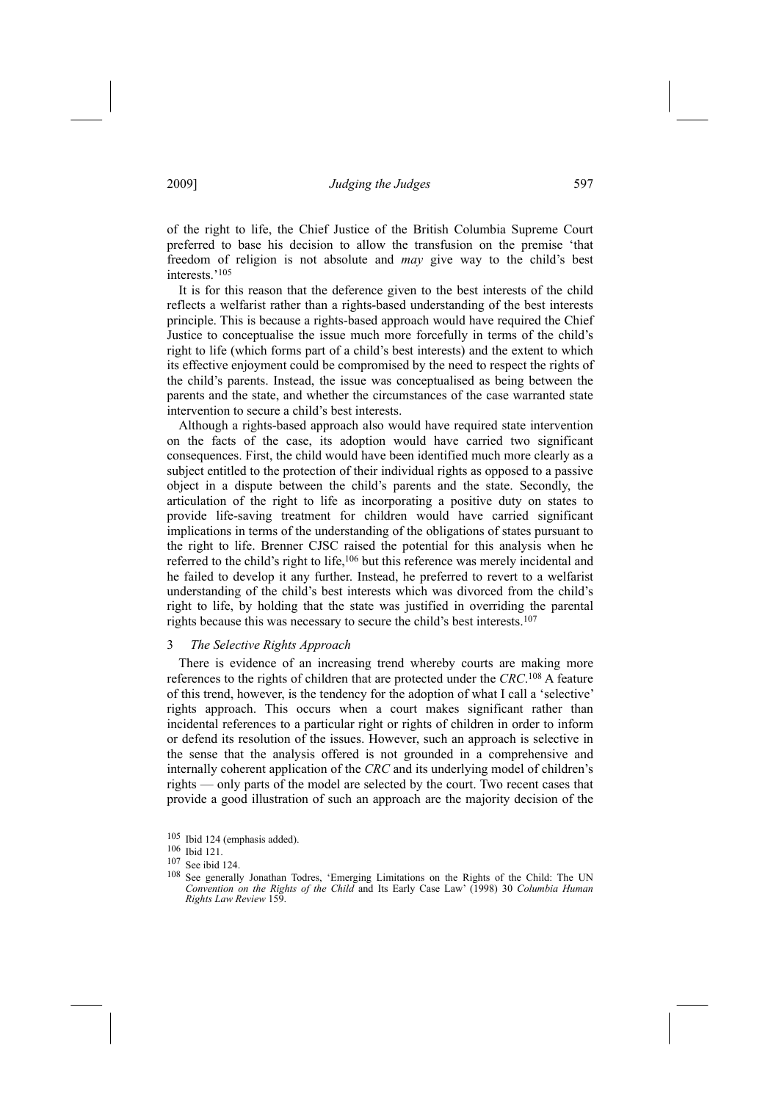of the right to life, the Chief Justice of the British Columbia Supreme Court preferred to base his decision to allow the transfusion on the premise 'that freedom of religion is not absolute and *may* give way to the child's best interests.'105

It is for this reason that the deference given to the best interests of the child reflects a welfarist rather than a rights-based understanding of the best interests principle. This is because a rights-based approach would have required the Chief Justice to conceptualise the issue much more forcefully in terms of the child's right to life (which forms part of a child's best interests) and the extent to which its effective enjoyment could be compromised by the need to respect the rights of the child's parents. Instead, the issue was conceptualised as being between the parents and the state, and whether the circumstances of the case warranted state intervention to secure a child's best interests.

Although a rights-based approach also would have required state intervention on the facts of the case, its adoption would have carried two significant consequences. First, the child would have been identified much more clearly as a subject entitled to the protection of their individual rights as opposed to a passive object in a dispute between the child's parents and the state. Secondly, the articulation of the right to life as incorporating a positive duty on states to provide life-saving treatment for children would have carried significant implications in terms of the understanding of the obligations of states pursuant to the right to life. Brenner CJSC raised the potential for this analysis when he referred to the child's right to life,<sup>106</sup> but this reference was merely incidental and he failed to develop it any further. Instead, he preferred to revert to a welfarist understanding of the child's best interests which was divorced from the child's right to life, by holding that the state was justified in overriding the parental rights because this was necessary to secure the child's best interests.107

#### 3 *The Selective Rights Approach*

There is evidence of an increasing trend whereby courts are making more references to the rights of children that are protected under the *CRC*. 108 A feature of this trend, however, is the tendency for the adoption of what I call a 'selective' rights approach. This occurs when a court makes significant rather than incidental references to a particular right or rights of children in order to inform or defend its resolution of the issues. However, such an approach is selective in the sense that the analysis offered is not grounded in a comprehensive and internally coherent application of the *CRC* and its underlying model of children's rights — only parts of the model are selected by the court. Two recent cases that provide a good illustration of such an approach are the majority decision of the

<sup>105</sup> Ibid 124 (emphasis added).

<sup>106</sup> Ibid 121.

<sup>107</sup> See ibid 124.

<sup>108</sup> See generally Jonathan Todres, 'Emerging Limitations on the Rights of the Child: The UN *Convention on the Rights of the Child* and Its Early Case Law' (1998) 30 *Columbia Human Rights Law Review* 159.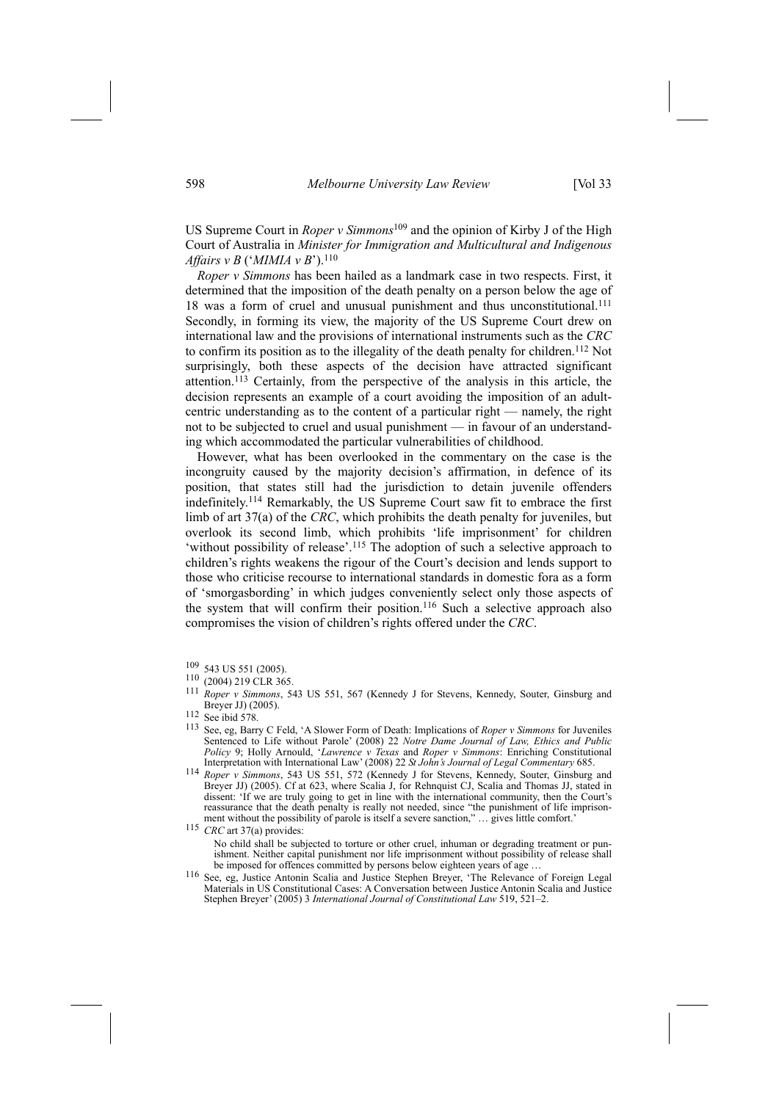US Supreme Court in *Roper v Simmons*109 and the opinion of Kirby J of the High Court of Australia in *Minister for Immigration and Multicultural and Indigenous Affairs v B* ('*MIMIA v B*').110

*Roper v Simmons* has been hailed as a landmark case in two respects. First, it determined that the imposition of the death penalty on a person below the age of 18 was a form of cruel and unusual punishment and thus unconstitutional.<sup>111</sup> Secondly, in forming its view, the majority of the US Supreme Court drew on international law and the provisions of international instruments such as the *CRC* to confirm its position as to the illegality of the death penalty for children.<sup>112</sup> Not surprisingly, both these aspects of the decision have attracted significant attention.113 Certainly, from the perspective of the analysis in this article, the decision represents an example of a court avoiding the imposition of an adultcentric understanding as to the content of a particular right — namely, the right not to be subjected to cruel and usual punishment — in favour of an understanding which accommodated the particular vulnerabilities of childhood.

However, what has been overlooked in the commentary on the case is the incongruity caused by the majority decision's affirmation, in defence of its position, that states still had the jurisdiction to detain juvenile offenders indefinitely.114 Remarkably, the US Supreme Court saw fit to embrace the first limb of art 37(a) of the *CRC*, which prohibits the death penalty for juveniles, but overlook its second limb, which prohibits 'life imprisonment' for children 'without possibility of release'.<sup>115</sup> The adoption of such a selective approach to children's rights weakens the rigour of the Court's decision and lends support to those who criticise recourse to international standards in domestic fora as a form of 'smorgasbording' in which judges conveniently select only those aspects of the system that will confirm their position.<sup>116</sup> Such a selective approach also compromises the vision of children's rights offered under the *CRC*.

<sup>109 543</sup> US 551 (2005).

<sup>110 (2004) 219</sup> CLR 365.

<sup>111</sup> *Roper v Simmons*, 543 US 551, 567 (Kennedy J for Stevens, Kennedy, Souter, Ginsburg and Breyer JJ) (2005).

<sup>112</sup> See ibid 578.

<sup>113</sup> See, eg, Barry C Feld, 'A Slower Form of Death: Implications of *Roper v Simmons* for Juveniles Sentenced to Life without Parole' (2008) 22 *Notre Dame Journal of Law, Ethics and Public Policy* 9; Holly Arnould, '*Lawrence v Texas* and *Roper v Simmons*: Enriching Constitutional Interpretation with International Law' (2008) 22 *St John's Journal of Legal Commentary* 685.

<sup>114</sup> *Roper v Simmons*, 543 US 551, 572 (Kennedy J for Stevens, Kennedy, Souter, Ginsburg and Breyer JJ) (2005). Cf at 623, where Scalia J, for Rehnquist CJ, Scalia and Thomas JJ, stated in dissent: 'If we are truly going to get in line with the international community, then the Court's reassurance that the death penalty is really not needed, since "the punishment of life imprisonment without the possibility of parole is itself a severe sanction," ... gives little comfort.

<sup>115</sup> *CRC* art 37(a) provides:

No child shall be subjected to torture or other cruel, inhuman or degrading treatment or punishment. Neither capital punishment nor life imprisonment without possibility of release shall be imposed for offences committed by persons below eighteen years of age ..

<sup>116</sup> See, eg, Justice Antonin Scalia and Justice Stephen Breyer, 'The Relevance of Foreign Legal Materials in US Constitutional Cases: A Conversation between Justice Antonin Scalia and Justice Stephen Breyer' (2005) 3 *International Journal of Constitutional Law* 519, 521–2.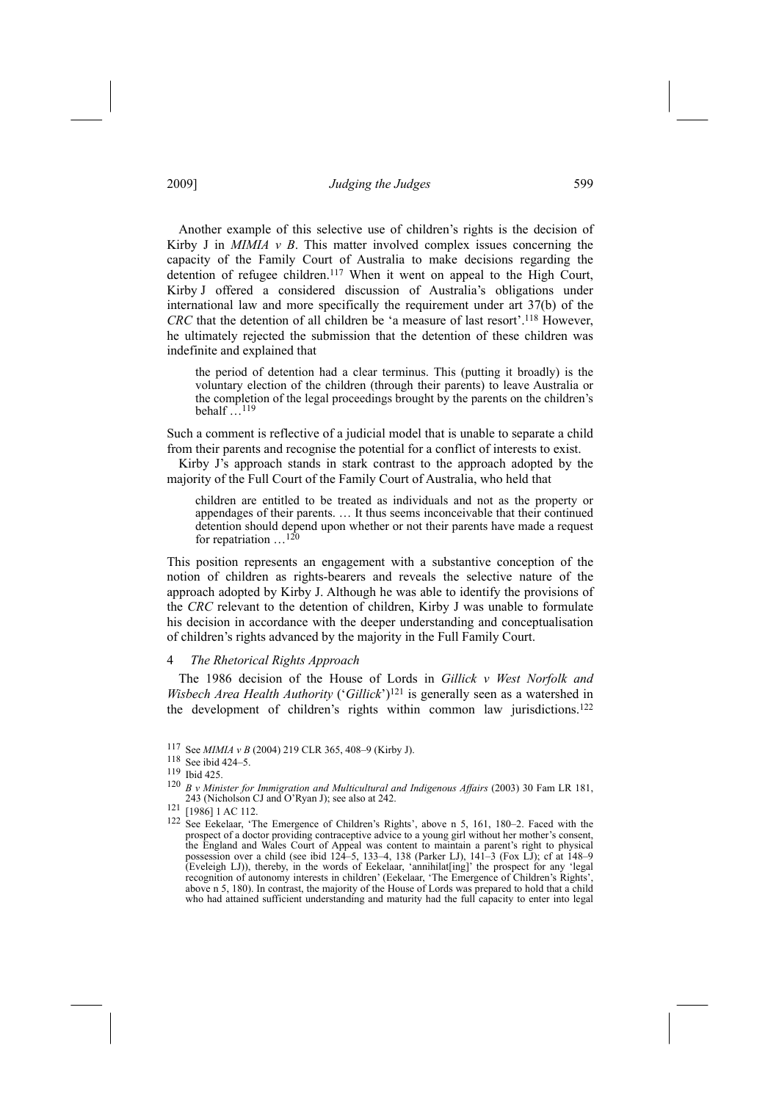Another example of this selective use of children's rights is the decision of Kirby J in *MIMIA v B*. This matter involved complex issues concerning the capacity of the Family Court of Australia to make decisions regarding the detention of refugee children.<sup>117</sup> When it went on appeal to the High Court, Kirby J offered a considered discussion of Australia's obligations under international law and more specifically the requirement under art 37(b) of the *CRC* that the detention of all children be 'a measure of last resort'.118 However, he ultimately rejected the submission that the detention of these children was indefinite and explained that

the period of detention had a clear terminus. This (putting it broadly) is the voluntary election of the children (through their parents) to leave Australia or the completion of the legal proceedings brought by the parents on the children's behalf  $\ldots$ <sup>119</sup>

Such a comment is reflective of a judicial model that is unable to separate a child from their parents and recognise the potential for a conflict of interests to exist.

Kirby J's approach stands in stark contrast to the approach adopted by the majority of the Full Court of the Family Court of Australia, who held that

children are entitled to be treated as individuals and not as the property or appendages of their parents. … It thus seems inconceivable that their continued detention should depend upon whether or not their parents have made a request for repatriation  $\dots$ <sup>120</sup>

This position represents an engagement with a substantive conception of the notion of children as rights-bearers and reveals the selective nature of the approach adopted by Kirby J. Although he was able to identify the provisions of the *CRC* relevant to the detention of children, Kirby J was unable to formulate his decision in accordance with the deeper understanding and conceptualisation of children's rights advanced by the majority in the Full Family Court.

## 4 *The Rhetorical Rights Approach*

The 1986 decision of the House of Lords in *Gillick v West Norfolk and Wisbech Area Health Authority* ('*Gillick*')121 is generally seen as a watershed in the development of children's rights within common law jurisdictions.122

<sup>117</sup> See *MIMIA v B* (2004) 219 CLR 365, 408–9 (Kirby J).

<sup>118</sup> See ibid 424–5.

<sup>119</sup> Ibid 425.

<sup>120</sup> *B v Minister for Immigration and Multicultural and Indigenous Affairs* (2003) 30 Fam LR 181, 243 (Nicholson CJ and O'Ryan J); see also at 242.

<sup>121</sup> [1986] 1 AC 112.

<sup>122</sup> See Eekelaar, 'The Emergence of Children's Rights', above n 5, 161, 180–2. Faced with the prospect of a doctor providing contraceptive advice to a young girl without her mother's consent, the England and Wales Court of Appeal was content to maintain a parent's right to physical possession over a child (see ibid 124–5, 133–4, 138 (Parker LJ), 141–3 (Fox LJ); cf at 148–9 (Eveleigh LJ)), thereby, in the words of Eekelaar, 'annihilat[ing]' the prospect for any 'legal recognition of autonomy interests in children' (Eekelaar, 'The Emergence of Children's Rights', above n 5, 180). In contrast, the majority of the House of Lords was prepared to hold that a child who had attained sufficient understanding and maturity had the full capacity to enter into legal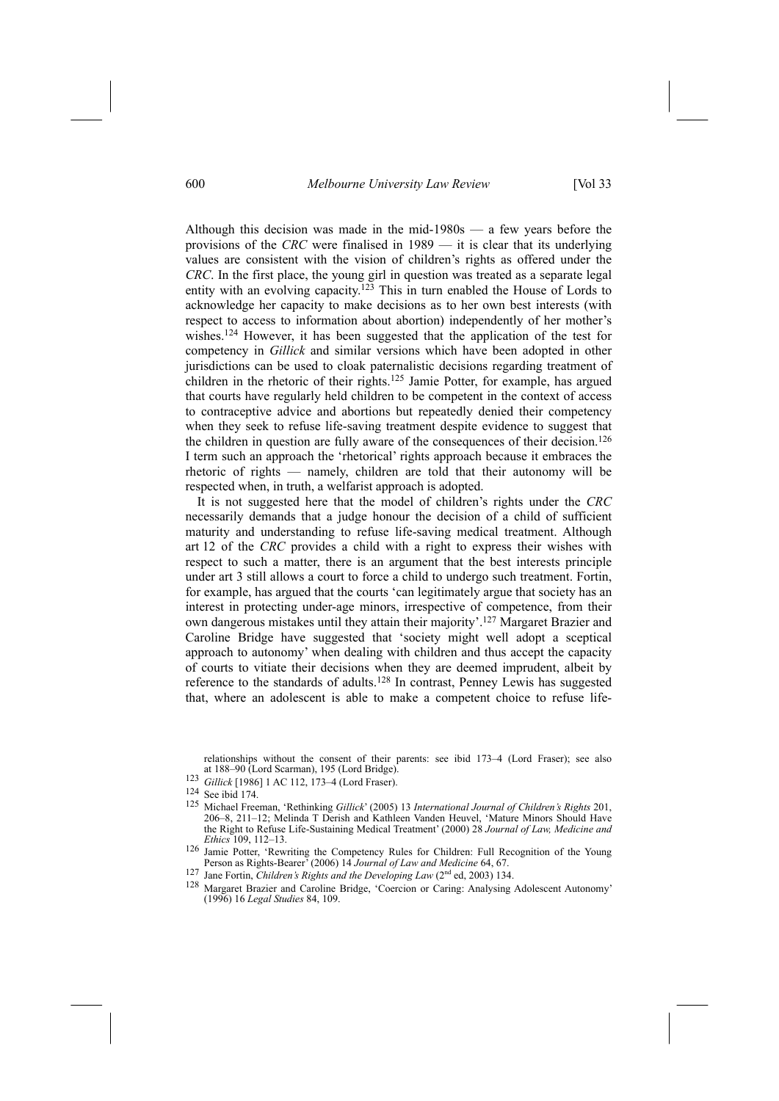600 *Melbourne University Law Review* [Vol 33

Although this decision was made in the mid-1980s — a few years before the provisions of the *CRC* were finalised in 1989 — it is clear that its underlying values are consistent with the vision of children's rights as offered under the *CRC*. In the first place, the young girl in question was treated as a separate legal entity with an evolving capacity.123 This in turn enabled the House of Lords to acknowledge her capacity to make decisions as to her own best interests (with respect to access to information about abortion) independently of her mother's wishes.124 However, it has been suggested that the application of the test for competency in *Gillick* and similar versions which have been adopted in other jurisdictions can be used to cloak paternalistic decisions regarding treatment of children in the rhetoric of their rights.125 Jamie Potter, for example, has argued that courts have regularly held children to be competent in the context of access to contraceptive advice and abortions but repeatedly denied their competency when they seek to refuse life-saving treatment despite evidence to suggest that the children in question are fully aware of the consequences of their decision.126 I term such an approach the 'rhetorical' rights approach because it embraces the rhetoric of rights — namely, children are told that their autonomy will be respected when, in truth, a welfarist approach is adopted.

It is not suggested here that the model of children's rights under the *CRC* necessarily demands that a judge honour the decision of a child of sufficient maturity and understanding to refuse life-saving medical treatment. Although art 12 of the *CRC* provides a child with a right to express their wishes with respect to such a matter, there is an argument that the best interests principle under art 3 still allows a court to force a child to undergo such treatment. Fortin, for example, has argued that the courts 'can legitimately argue that society has an interest in protecting under-age minors, irrespective of competence, from their own dangerous mistakes until they attain their majority'.127 Margaret Brazier and Caroline Bridge have suggested that 'society might well adopt a sceptical approach to autonomy' when dealing with children and thus accept the capacity of courts to vitiate their decisions when they are deemed imprudent, albeit by reference to the standards of adults.128 In contrast, Penney Lewis has suggested that, where an adolescent is able to make a competent choice to refuse life-

relationships without the consent of their parents: see ibid 173–4 (Lord Fraser); see also at 188–90 (Lord Scarman), 195 (Lord Bridge).

- <sup>123</sup> *Gillick* [1986] 1 AC 112, 173–4 (Lord Fraser).
- 124 See ibid 174.
- 125 Michael Freeman, 'Rethinking *Gillick*' (2005) 13 *International Journal of Children's Rights* 201, 206–8, 211–12; Melinda T Derish and Kathleen Vanden Heuvel, 'Mature Minors Should Have the Right to Refuse Life-Sustaining Medical Treatment' (2000) 28 *Journal of Law, Medicine and Ethics* 109, 112–13.
- 126 Jamie Potter, 'Rewriting the Competency Rules for Children: Full Recognition of the Young Person as Rights-Bearer' (2006) 14 *Journal of Law and Medicine* 64, 67.
- 127 Jane Fortin, *Children's Rights and the Developing Law* (2nd ed, 2003) 134.
- 128 Margaret Brazier and Caroline Bridge, 'Coercion or Caring: Analysing Adolescent Autonomy' (1996) 16 *Legal Studies* 84, 109.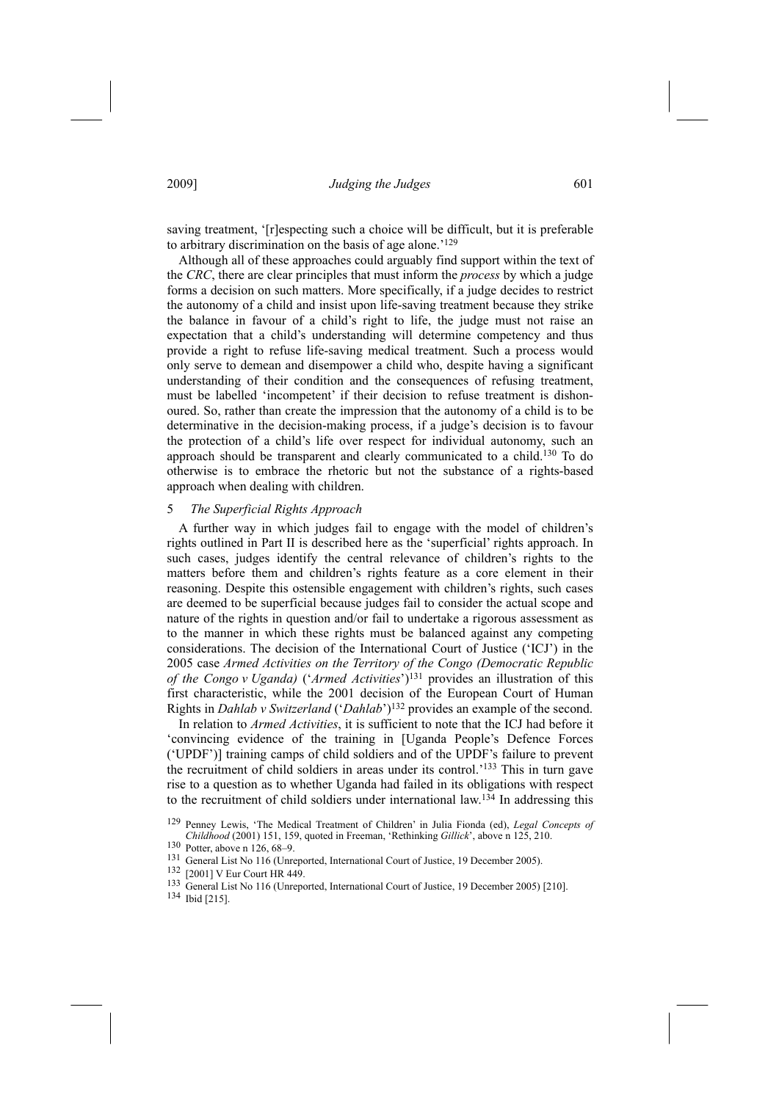saving treatment, '[r]especting such a choice will be difficult, but it is preferable to arbitrary discrimination on the basis of age alone.'129

Although all of these approaches could arguably find support within the text of the *CRC*, there are clear principles that must inform the *process* by which a judge forms a decision on such matters. More specifically, if a judge decides to restrict the autonomy of a child and insist upon life-saving treatment because they strike the balance in favour of a child's right to life, the judge must not raise an expectation that a child's understanding will determine competency and thus provide a right to refuse life-saving medical treatment. Such a process would only serve to demean and disempower a child who, despite having a significant understanding of their condition and the consequences of refusing treatment, must be labelled 'incompetent' if their decision to refuse treatment is dishonoured. So, rather than create the impression that the autonomy of a child is to be determinative in the decision-making process, if a judge's decision is to favour the protection of a child's life over respect for individual autonomy, such an approach should be transparent and clearly communicated to a child.130 To do otherwise is to embrace the rhetoric but not the substance of a rights-based approach when dealing with children.

## 5 *The Superficial Rights Approach*

A further way in which judges fail to engage with the model of children's rights outlined in Part II is described here as the 'superficial' rights approach. In such cases, judges identify the central relevance of children's rights to the matters before them and children's rights feature as a core element in their reasoning. Despite this ostensible engagement with children's rights, such cases are deemed to be superficial because judges fail to consider the actual scope and nature of the rights in question and/or fail to undertake a rigorous assessment as to the manner in which these rights must be balanced against any competing considerations. The decision of the International Court of Justice ('ICJ') in the 2005 case *Armed Activities on the Territory of the Congo (Democratic Republic of the Congo v Uganda)* ('*Armed Activities*')131 provides an illustration of this first characteristic, while the 2001 decision of the European Court of Human Rights in *Dahlab v Switzerland* ('*Dahlab*')132 provides an example of the second.

In relation to *Armed Activities*, it is sufficient to note that the ICJ had before it 'convincing evidence of the training in [Uganda People's Defence Forces ('UPDF')] training camps of child soldiers and of the UPDF's failure to prevent the recruitment of child soldiers in areas under its control.'133 This in turn gave rise to a question as to whether Uganda had failed in its obligations with respect to the recruitment of child soldiers under international law.134 In addressing this

134 Ibid [215].

<sup>129</sup> Penney Lewis, 'The Medical Treatment of Children' in Julia Fionda (ed), *Legal Concepts of Childhood* (2001) 151, 159, quoted in Freeman, 'Rethinking *Gillick*', above n 125, 210.

<sup>130</sup> Potter, above n 126, 68–9.

<sup>131</sup> General List No 116 (Unreported, International Court of Justice, 19 December 2005).

<sup>132 [2001]</sup> V Eur Court HR 449.

<sup>133</sup> General List No 116 (Unreported, International Court of Justice, 19 December 2005) [210].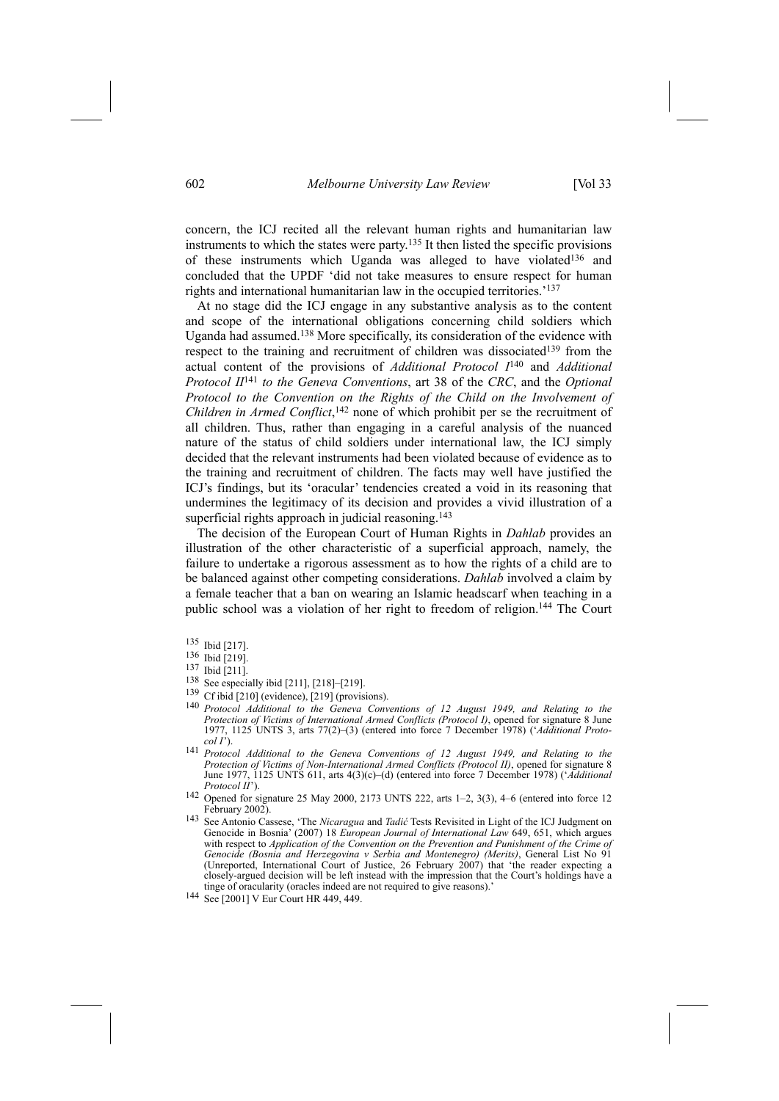concern, the ICJ recited all the relevant human rights and humanitarian law instruments to which the states were party.135 It then listed the specific provisions of these instruments which Uganda was alleged to have violated<sup>136</sup> and concluded that the UPDF 'did not take measures to ensure respect for human rights and international humanitarian law in the occupied territories.'137

At no stage did the ICJ engage in any substantive analysis as to the content and scope of the international obligations concerning child soldiers which Uganda had assumed.138 More specifically, its consideration of the evidence with respect to the training and recruitment of children was dissociated<sup>139</sup> from the actual content of the provisions of *Additional Protocol I*140 and *Additional Protocol II*<sup>141</sup> *to the Geneva Conventions*, art 38 of the *CRC*, and the *Optional Protocol to the Convention on the Rights of the Child on the Involvement of Children in Armed Conflict*, 142 none of which prohibit per se the recruitment of all children. Thus, rather than engaging in a careful analysis of the nuanced nature of the status of child soldiers under international law, the ICJ simply decided that the relevant instruments had been violated because of evidence as to the training and recruitment of children. The facts may well have justified the ICJ's findings, but its 'oracular' tendencies created a void in its reasoning that undermines the legitimacy of its decision and provides a vivid illustration of a superficial rights approach in judicial reasoning.<sup>143</sup>

The decision of the European Court of Human Rights in *Dahlab* provides an illustration of the other characteristic of a superficial approach, namely, the failure to undertake a rigorous assessment as to how the rights of a child are to be balanced against other competing considerations. *Dahlab* involved a claim by a female teacher that a ban on wearing an Islamic headscarf when teaching in a public school was a violation of her right to freedom of religion.144 The Court

- 139 Cf ibid [210] (evidence), [219] (provisions).
- <sup>140</sup> *Protocol Additional to the Geneva Conventions of 12 August 1949, and Relating to the Protection of Victims of International Armed Conflicts (Protocol I)*, opened for signature 8 June 1977, 1125 UNTS 3, arts 77(2)–(3) (entered into force 7 December 1978) ('*Additional Proto* $col I^{\prime}$ .
- <sup>141</sup> *Protocol Additional to the Geneva Conventions of 12 August 1949, and Relating to the Protection of Victims of Non-International Armed Conflicts (Protocol II)*, opened for signature 8 June 1977, 1125 UNTS 611, arts 4(3)(c)–(d) (entered into force 7 December 1978) ('*Additional Protocol II*').
- 142 Opened for signature 25 May 2000, 2173 UNTS 222, arts 1–2, 3(3), 4–6 (entered into force 12 February 2002).
- 143 See Antonio Cassese, 'The *Nicaragua* and *Tadić* Tests Revisited in Light of the ICJ Judgment on Genocide in Bosnia' (2007) 18 *European Journal of International Law* 649, 651, which argues with respect to *Application of the Convention on the Prevention and Punishment of the Crime of Genocide (Bosnia and Herzegovina v Serbia and Montenegro) (Merits)*, General List No 91 (Unreported, International Court of Justice, 26 February 2007) that 'the reader expecting a closely-argued decision will be left instead with the impression that the Court's holdings have a tinge of oracularity (oracles indeed are not required to give reasons).

<sup>135</sup> Ibid [217].

<sup>136</sup> Ibid [219].

<sup>137</sup> Ibid [211].

<sup>138</sup> See especially ibid [211], [218]–[219].

<sup>144</sup> See [2001] V Eur Court HR 449, 449.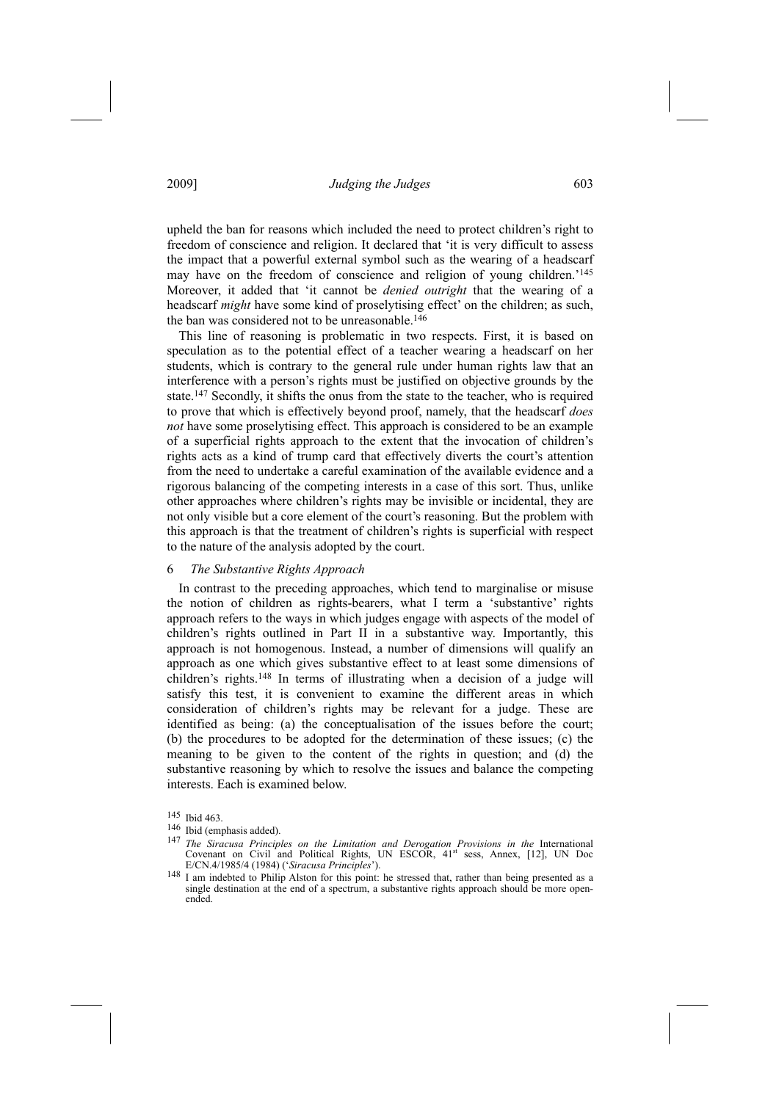upheld the ban for reasons which included the need to protect children's right to freedom of conscience and religion. It declared that 'it is very difficult to assess the impact that a powerful external symbol such as the wearing of a headscarf may have on the freedom of conscience and religion of young children.<sup>'145</sup> Moreover, it added that 'it cannot be *denied outright* that the wearing of a headscarf *might* have some kind of proselytising effect' on the children; as such, the ban was considered not to be unreasonable.<sup>146</sup>

This line of reasoning is problematic in two respects. First, it is based on speculation as to the potential effect of a teacher wearing a headscarf on her students, which is contrary to the general rule under human rights law that an interference with a person's rights must be justified on objective grounds by the state.147 Secondly, it shifts the onus from the state to the teacher, who is required to prove that which is effectively beyond proof, namely, that the headscarf *does not* have some proselytising effect. This approach is considered to be an example of a superficial rights approach to the extent that the invocation of children's rights acts as a kind of trump card that effectively diverts the court's attention from the need to undertake a careful examination of the available evidence and a rigorous balancing of the competing interests in a case of this sort. Thus, unlike other approaches where children's rights may be invisible or incidental, they are not only visible but a core element of the court's reasoning. But the problem with this approach is that the treatment of children's rights is superficial with respect to the nature of the analysis adopted by the court.

#### 6 *The Substantive Rights Approach*

In contrast to the preceding approaches, which tend to marginalise or misuse the notion of children as rights-bearers, what I term a 'substantive' rights approach refers to the ways in which judges engage with aspects of the model of children's rights outlined in Part II in a substantive way. Importantly, this approach is not homogenous. Instead, a number of dimensions will qualify an approach as one which gives substantive effect to at least some dimensions of children's rights.148 In terms of illustrating when a decision of a judge will satisfy this test, it is convenient to examine the different areas in which consideration of children's rights may be relevant for a judge. These are identified as being: (a) the conceptualisation of the issues before the court; (b) the procedures to be adopted for the determination of these issues; (c) the meaning to be given to the content of the rights in question; and (d) the substantive reasoning by which to resolve the issues and balance the competing interests. Each is examined below.

- 146 Ibid (emphasis added).
- <sup>147</sup> *The Siracusa Principles on the Limitation and Derogation Provisions in the* International Covenant on Civil and Political Rights, UN ESCOR, 41<sup>st</sup> sess, Annex, [12], UN Doc E/CN.4/1985/4 (1984) ('*Siracusa Principles*').
- <sup>148</sup> I am indebted to Philip Alston for this point: he stressed that, rather than being presented as a single destination at the end of a spectrum, a substantive rights approach should be more openended.

<sup>145</sup> Ibid 463.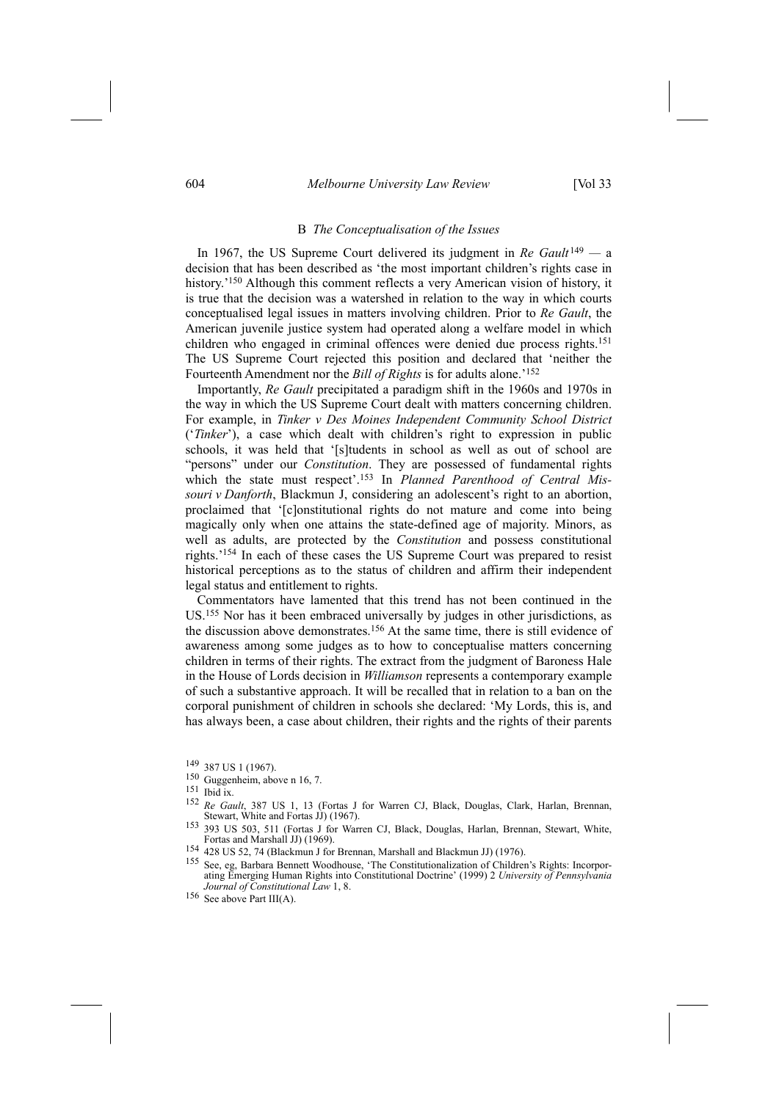## 604 *Melbourne University Law Review* [Vol 33

## B *The Conceptualisation of the Issues*

In 1967, the US Supreme Court delivered its judgment in *Re Gault* <sup>149</sup> *—* a decision that has been described as 'the most important children's rights case in history.<sup>'150</sup> Although this comment reflects a very American vision of history, it is true that the decision was a watershed in relation to the way in which courts conceptualised legal issues in matters involving children. Prior to *Re Gault*, the American juvenile justice system had operated along a welfare model in which children who engaged in criminal offences were denied due process rights.151 The US Supreme Court rejected this position and declared that 'neither the Fourteenth Amendment nor the *Bill of Rights* is for adults alone.'152

Importantly, *Re Gault* precipitated a paradigm shift in the 1960s and 1970s in the way in which the US Supreme Court dealt with matters concerning children. For example, in *Tinker v Des Moines Independent Community School District* ('*Tinker*'), a case which dealt with children's right to expression in public schools, it was held that '[s]tudents in school as well as out of school are "persons" under our *Constitution*. They are possessed of fundamental rights which the state must respect'.<sup>153</sup> In *Planned Parenthood of Central Missouri v Danforth*, Blackmun J, considering an adolescent's right to an abortion, proclaimed that '[c]onstitutional rights do not mature and come into being magically only when one attains the state-defined age of majority. Minors, as well as adults, are protected by the *Constitution* and possess constitutional rights.'154 In each of these cases the US Supreme Court was prepared to resist historical perceptions as to the status of children and affirm their independent legal status and entitlement to rights.

Commentators have lamented that this trend has not been continued in the US.155 Nor has it been embraced universally by judges in other jurisdictions, as the discussion above demonstrates.156 At the same time, there is still evidence of awareness among some judges as to how to conceptualise matters concerning children in terms of their rights. The extract from the judgment of Baroness Hale in the House of Lords decision in *Williamson* represents a contemporary example of such a substantive approach. It will be recalled that in relation to a ban on the corporal punishment of children in schools she declared: 'My Lords, this is, and has always been, a case about children, their rights and the rights of their parents

<sup>152</sup> *Re Gault*, 387 US 1, 13 (Fortas J for Warren CJ, Black, Douglas, Clark, Harlan, Brennan, Stewart, White and Fortas JJ) (1967).

- 154 428 US 52, 74 (Blackmun J for Brennan, Marshall and Blackmun JJ) (1976).
- 155 See, eg, Barbara Bennett Woodhouse, 'The Constitutionalization of Children's Rights: Incorporating Emerging Human Rights into Constitutional Doctrine' (1999) 2 *University of Pennsylvania Journal of Constitutional Law* 1, 8.
- <sup>156</sup> See above Part III(A).

<sup>149 387</sup> US 1 (1967).

<sup>150</sup> Guggenheim, above n 16, 7.

<sup>151</sup> Ibid ix.

<sup>153 393</sup> US 503, 511 (Fortas J for Warren CJ, Black, Douglas, Harlan, Brennan, Stewart, White, Fortas and Marshall JJ) (1969).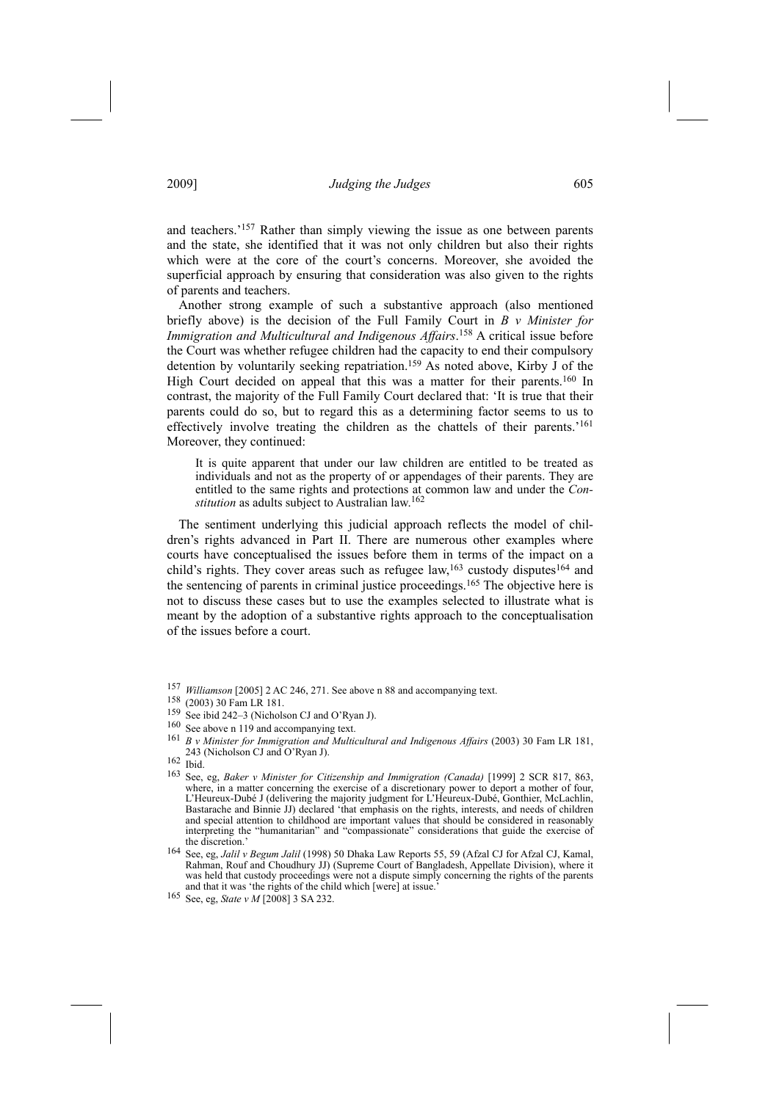and teachers.'157 Rather than simply viewing the issue as one between parents and the state, she identified that it was not only children but also their rights which were at the core of the court's concerns. Moreover, she avoided the superficial approach by ensuring that consideration was also given to the rights of parents and teachers.

Another strong example of such a substantive approach (also mentioned briefly above) is the decision of the Full Family Court in *B v Minister for Immigration and Multicultural and Indigenous Affairs*. 158 A critical issue before the Court was whether refugee children had the capacity to end their compulsory detention by voluntarily seeking repatriation.159 As noted above, Kirby J of the High Court decided on appeal that this was a matter for their parents.<sup>160</sup> In contrast, the majority of the Full Family Court declared that: 'It is true that their parents could do so, but to regard this as a determining factor seems to us to effectively involve treating the children as the chattels of their parents.'161 Moreover, they continued:

It is quite apparent that under our law children are entitled to be treated as individuals and not as the property of or appendages of their parents. They are entitled to the same rights and protections at common law and under the *Constitution* as adults subject to Australian law.162

The sentiment underlying this judicial approach reflects the model of children's rights advanced in Part II. There are numerous other examples where courts have conceptualised the issues before them in terms of the impact on a child's rights. They cover areas such as refugee law,<sup>163</sup> custody disputes<sup>164</sup> and the sentencing of parents in criminal justice proceedings.165 The objective here is not to discuss these cases but to use the examples selected to illustrate what is meant by the adoption of a substantive rights approach to the conceptualisation of the issues before a court.

<sup>157</sup> *Williamson* [2005] 2 AC 246, 271. See above n 88 and accompanying text.

<sup>158 (2003) 30</sup> Fam LR 181.

<sup>159</sup> See ibid 242–3 (Nicholson CJ and O'Ryan J).

<sup>160</sup> See above n 119 and accompanying text.

<sup>161</sup> *B v Minister for Immigration and Multicultural and Indigenous Affairs* (2003) 30 Fam LR 181, 243 (Nicholson CJ and O'Ryan J).

<sup>162</sup> Ibid.

<sup>163</sup> See, eg, *Baker v Minister for Citizenship and Immigration (Canada)* [1999] 2 SCR 817, 863, where, in a matter concerning the exercise of a discretionary power to deport a mother of four, L'Heureux-Dubé J (delivering the majority judgment for L'Heureux-Dubé, Gonthier, McLachlin, Bastarache and Binnie JJ) declared 'that emphasis on the rights, interests, and needs of children and special attention to childhood are important values that should be considered in reasonably interpreting the "humanitarian" and "compassionate" considerations that guide the exercise of the discretion.'

<sup>164</sup> See, eg, *Jalil v Begum Jalil* (1998) 50 Dhaka Law Reports 55, 59 (Afzal CJ for Afzal CJ, Kamal, Rahman, Rouf and Choudhury JJ) (Supreme Court of Bangladesh, Appellate Division), where it was held that custody proceedings were not a dispute simply concerning the rights of the parents and that it was 'the rights of the child which [were] at issue.

<sup>165</sup> See, eg, *State v M* [2008] 3 SA 232.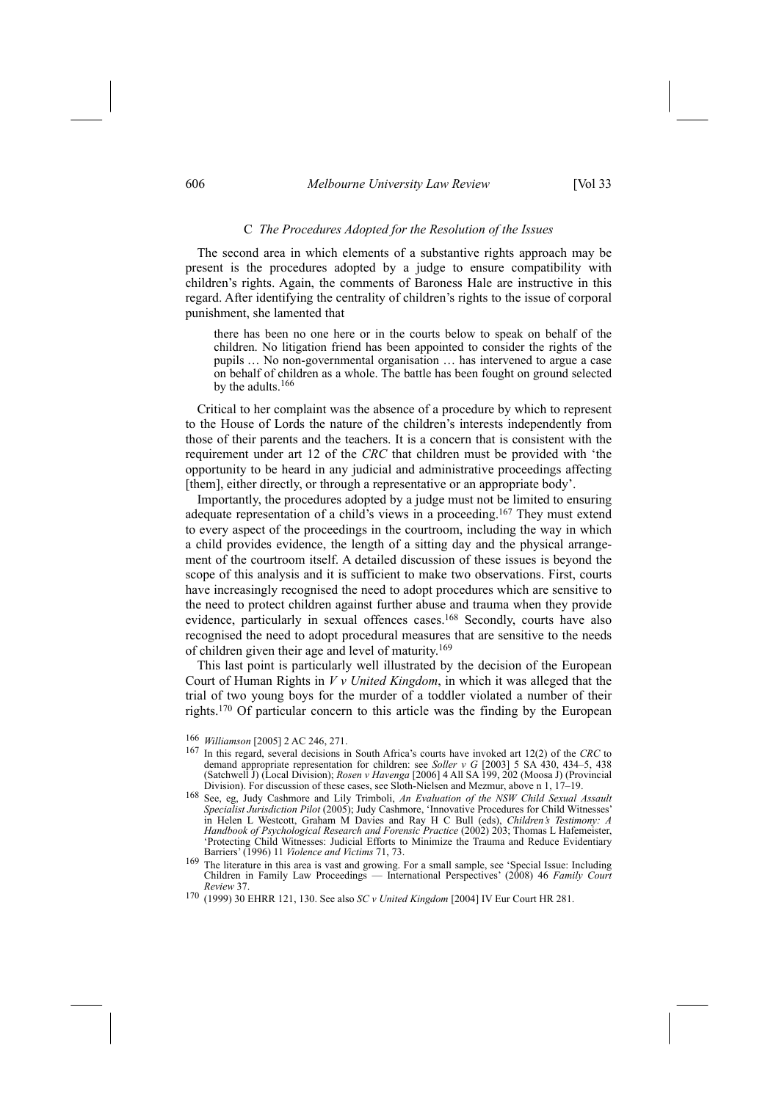### 606 *Melbourne University Law Review* [Vol 33

#### C *The Procedures Adopted for the Resolution of the Issues*

The second area in which elements of a substantive rights approach may be present is the procedures adopted by a judge to ensure compatibility with children's rights. Again, the comments of Baroness Hale are instructive in this regard. After identifying the centrality of children's rights to the issue of corporal punishment, she lamented that

there has been no one here or in the courts below to speak on behalf of the children. No litigation friend has been appointed to consider the rights of the pupils … No non-governmental organisation … has intervened to argue a case on behalf of children as a whole. The battle has been fought on ground selected by the adults.166

Critical to her complaint was the absence of a procedure by which to represent to the House of Lords the nature of the children's interests independently from those of their parents and the teachers. It is a concern that is consistent with the requirement under art 12 of the *CRC* that children must be provided with 'the opportunity to be heard in any judicial and administrative proceedings affecting [them], either directly, or through a representative or an appropriate body'.

Importantly, the procedures adopted by a judge must not be limited to ensuring adequate representation of a child's views in a proceeding.167 They must extend to every aspect of the proceedings in the courtroom, including the way in which a child provides evidence, the length of a sitting day and the physical arrangement of the courtroom itself. A detailed discussion of these issues is beyond the scope of this analysis and it is sufficient to make two observations. First, courts have increasingly recognised the need to adopt procedures which are sensitive to the need to protect children against further abuse and trauma when they provide evidence, particularly in sexual offences cases.<sup>168</sup> Secondly, courts have also recognised the need to adopt procedural measures that are sensitive to the needs of children given their age and level of maturity.169

This last point is particularly well illustrated by the decision of the European Court of Human Rights in *V v United Kingdom*, in which it was alleged that the trial of two young boys for the murder of a toddler violated a number of their rights.170 Of particular concern to this article was the finding by the European

167 In this regard, several decisions in South Africa's courts have invoked art 12(2) of the *CRC* to demand appropriate representation for children: see *Soller v G* [2003] 5 SA 430, 434–5, 438 (Satchwell J) (Local Division); *Rosen v Havenga* [2006] 4 All SA 199, 202 (Moosa J) (Provincial Division). For discussion of these cases, see Sloth-Nielsen and Mezmur, above n 1, 17–19.

<sup>166</sup> *Williamson* [2005] 2 AC 246, 271.

<sup>168</sup> See, eg, Judy Cashmore and Lily Trimboli, *An Evaluation of the NSW Child Sexual Assault Specialist Jurisdiction Pilot* (2005); Judy Cashmore, 'Innovative Procedures for Child Witnesses' in Helen L Westcott, Graham M Davies and Ray H C Bull (eds), *Children's Testimony: A Handbook of Psychological Research and Forensic Practice* (2002) 203; Thomas L Hafemeister, 'Protecting Child Witnesses: Judicial Efforts to Minimize the Trauma and Reduce Evidentiary Barriers' (1996) 11 *Violence and Victims* 71, 73.

<sup>169</sup> The literature in this area is vast and growing. For a small sample, see 'Special Issue: Including Children in Family Law Proceedings — International Perspectives' (2008) 46 *Family Court Review* 37.

<sup>170 (1999) 30</sup> EHRR 121, 130. See also *SC v United Kingdom* [2004] IV Eur Court HR 281.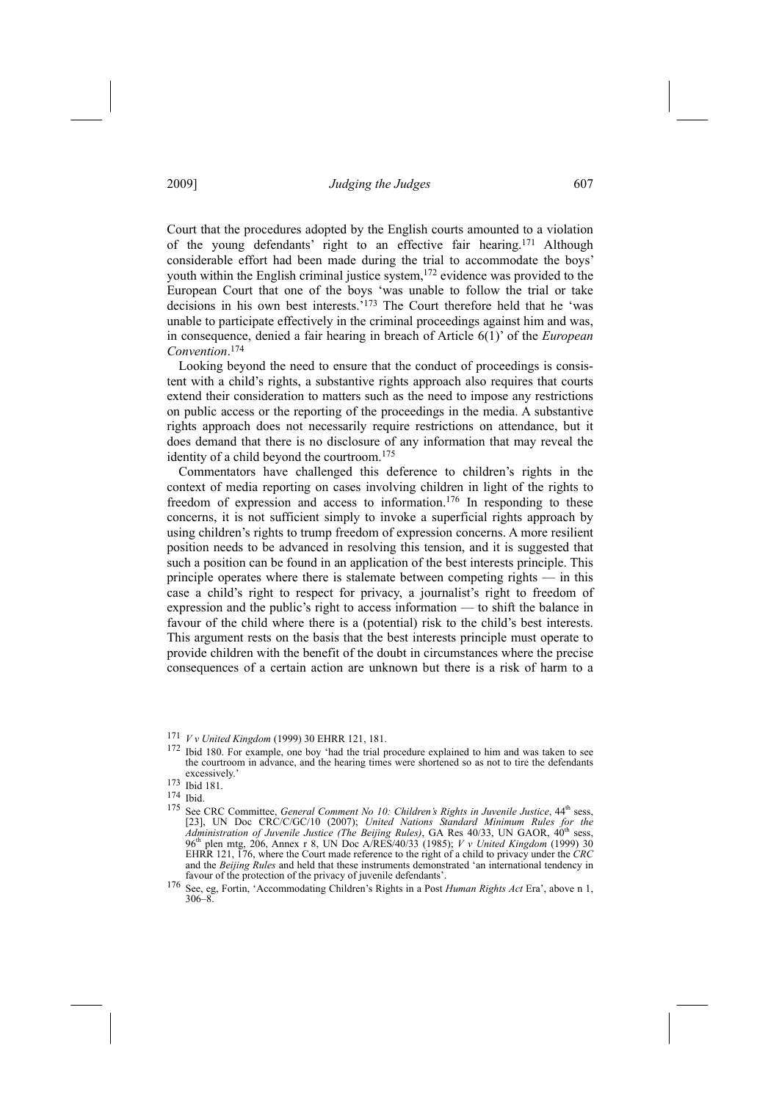Court that the procedures adopted by the English courts amounted to a violation of the young defendants' right to an effective fair hearing.171 Although considerable effort had been made during the trial to accommodate the boys' youth within the English criminal justice system,<sup>172</sup> evidence was provided to the European Court that one of the boys 'was unable to follow the trial or take decisions in his own best interests.'173 The Court therefore held that he 'was unable to participate effectively in the criminal proceedings against him and was, in consequence, denied a fair hearing in breach of Article 6(1)' of the *European Convention*. 174

Looking beyond the need to ensure that the conduct of proceedings is consistent with a child's rights, a substantive rights approach also requires that courts extend their consideration to matters such as the need to impose any restrictions on public access or the reporting of the proceedings in the media. A substantive rights approach does not necessarily require restrictions on attendance, but it does demand that there is no disclosure of any information that may reveal the identity of a child beyond the courtroom.175

Commentators have challenged this deference to children's rights in the context of media reporting on cases involving children in light of the rights to freedom of expression and access to information.176 In responding to these concerns, it is not sufficient simply to invoke a superficial rights approach by using children's rights to trump freedom of expression concerns. A more resilient position needs to be advanced in resolving this tension, and it is suggested that such a position can be found in an application of the best interests principle. This principle operates where there is stalemate between competing rights — in this case a child's right to respect for privacy, a journalist's right to freedom of expression and the public's right to access information — to shift the balance in favour of the child where there is a (potential) risk to the child's best interests. This argument rests on the basis that the best interests principle must operate to provide children with the benefit of the doubt in circumstances where the precise consequences of a certain action are unknown but there is a risk of harm to a

<sup>171</sup> *V v United Kingdom* (1999) 30 EHRR 121, 181.

<sup>&</sup>lt;sup>172</sup> Ibid 180. For example, one boy 'had the trial procedure explained to him and was taken to see the courtroom in advance, and the hearing times were shortened so as not to tire the defendants excessively.'

<sup>173</sup> Ibid 181.

<sup>174</sup> Ibid.

<sup>175</sup> See CRC Committee, *General Comment No 10: Children's Rights in Juvenile Justice*, 44th sess, [23], UN Doc CRC/C/GC/10 (2007); United Nations Standard Minimum Rules for the Administration of Juvenile Justice (The Beijing Rules), GA Res 40/33, UN GAOR, 40<sup>th</sup> sess, 96th plen mtg, 206, Annex r 8, UN Doc A/RES/40/33 (1985); *V v United Kingdom* (1999) 30 EHRR 121, 176, where the Court made reference to the right of a child to privacy under the *CRC* and the *Beijing Rules* and held that these instruments demonstrated 'an international tendency in favour of the protection of the privacy of juvenile defendants'.

<sup>176</sup> See, eg, Fortin, 'Accommodating Children's Rights in a Post *Human Rights Act* Era', above n 1, 306–8.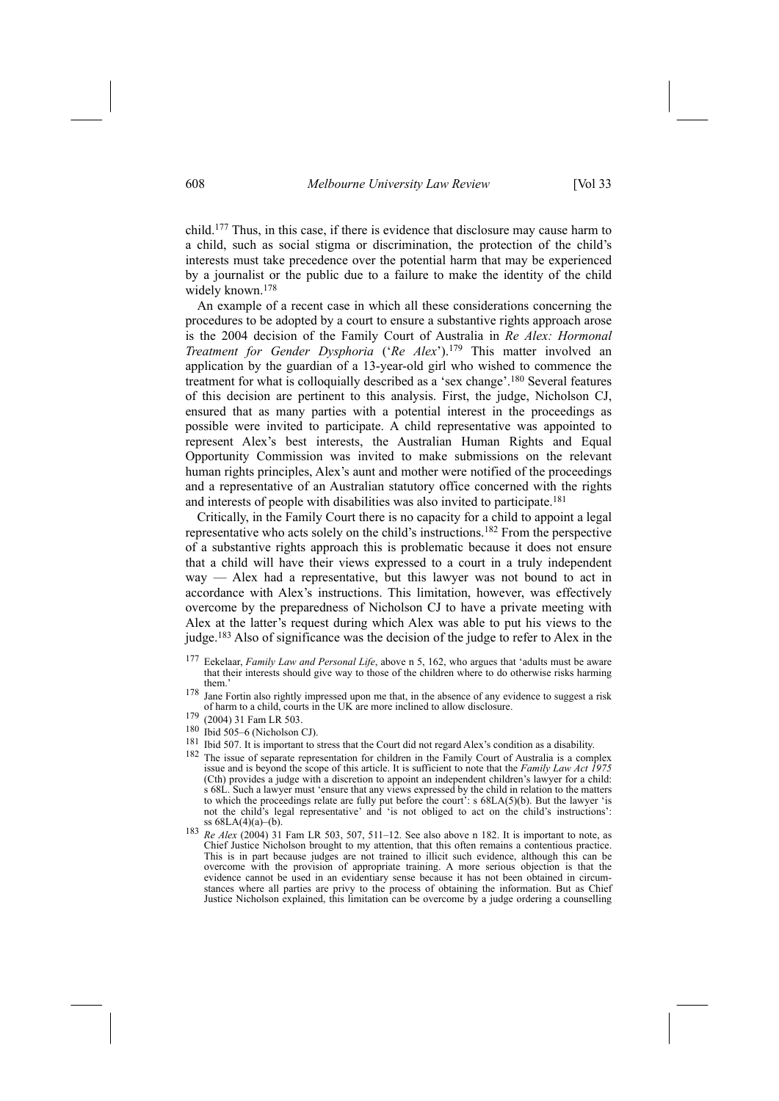child.177 Thus, in this case, if there is evidence that disclosure may cause harm to a child, such as social stigma or discrimination, the protection of the child's interests must take precedence over the potential harm that may be experienced by a journalist or the public due to a failure to make the identity of the child widely known.<sup>178</sup>

An example of a recent case in which all these considerations concerning the procedures to be adopted by a court to ensure a substantive rights approach arose is the 2004 decision of the Family Court of Australia in *Re Alex: Hormonal Treatment for Gender Dysphoria* ('*Re Alex*').179 This matter involved an application by the guardian of a 13-year-old girl who wished to commence the treatment for what is colloquially described as a 'sex change'.180 Several features of this decision are pertinent to this analysis. First, the judge, Nicholson CJ, ensured that as many parties with a potential interest in the proceedings as possible were invited to participate. A child representative was appointed to represent Alex's best interests, the Australian Human Rights and Equal Opportunity Commission was invited to make submissions on the relevant human rights principles, Alex's aunt and mother were notified of the proceedings and a representative of an Australian statutory office concerned with the rights and interests of people with disabilities was also invited to participate.<sup>181</sup>

Critically, in the Family Court there is no capacity for a child to appoint a legal representative who acts solely on the child's instructions.182 From the perspective of a substantive rights approach this is problematic because it does not ensure that a child will have their views expressed to a court in a truly independent way — Alex had a representative, but this lawyer was not bound to act in accordance with Alex's instructions. This limitation, however, was effectively overcome by the preparedness of Nicholson CJ to have a private meeting with Alex at the latter's request during which Alex was able to put his views to the judge.183 Also of significance was the decision of the judge to refer to Alex in the

- 177 Eekelaar, *Family Law and Personal Life*, above n 5, 162, who argues that 'adults must be aware that their interests should give way to those of the children where to do otherwise risks harming them.'
- $178$  Jane Fortin also rightly impressed upon me that, in the absence of any evidence to suggest a risk of harm to a child, courts in the UK are more inclined to allow disclosure.
- (2004) 31 Fam LR 503.
- $180$  Ibid 505–6 (Nicholson CJ).
- <sup>181</sup> Ibid 507. It is important to stress that the Court did not regard Alex's condition as a disability.
- <sup>182</sup> The issue of separate representation for children in the Family Court of Australia is a complex issue and is beyond the scope of this article. It is sufficient to note that the *Family Law Act 1975* (Cth) provides a judge with a discretion to appoint an independent children's lawyer for a child: s 68L. Such a lawyer must 'ensure that any views expressed by the child in relation to the matters to which the proceedings relate are fully put before the court':  $s$  68LA(5)(b). But the lawyer 'is not the child's legal representative' and 'is not obliged to act on the child's instructions': ss  $68LA(4)(a)–(b)$ .
- <sup>183</sup> *Re Alex* (2004) 31 Fam LR 503, 507, 511–12. See also above n 182. It is important to note, as Chief Justice Nicholson brought to my attention, that this often remains a contentious practice. This is in part because judges are not trained to illicit such evidence, although this can be overcome with the provision of appropriate training. A more serious objection is that the evidence cannot be used in an evidentiary sense because it has not been obtained in circumstances where all parties are privy to the process of obtaining the information. But as Chief Justice Nicholson explained, this limitation can be overcome by a judge ordering a counselling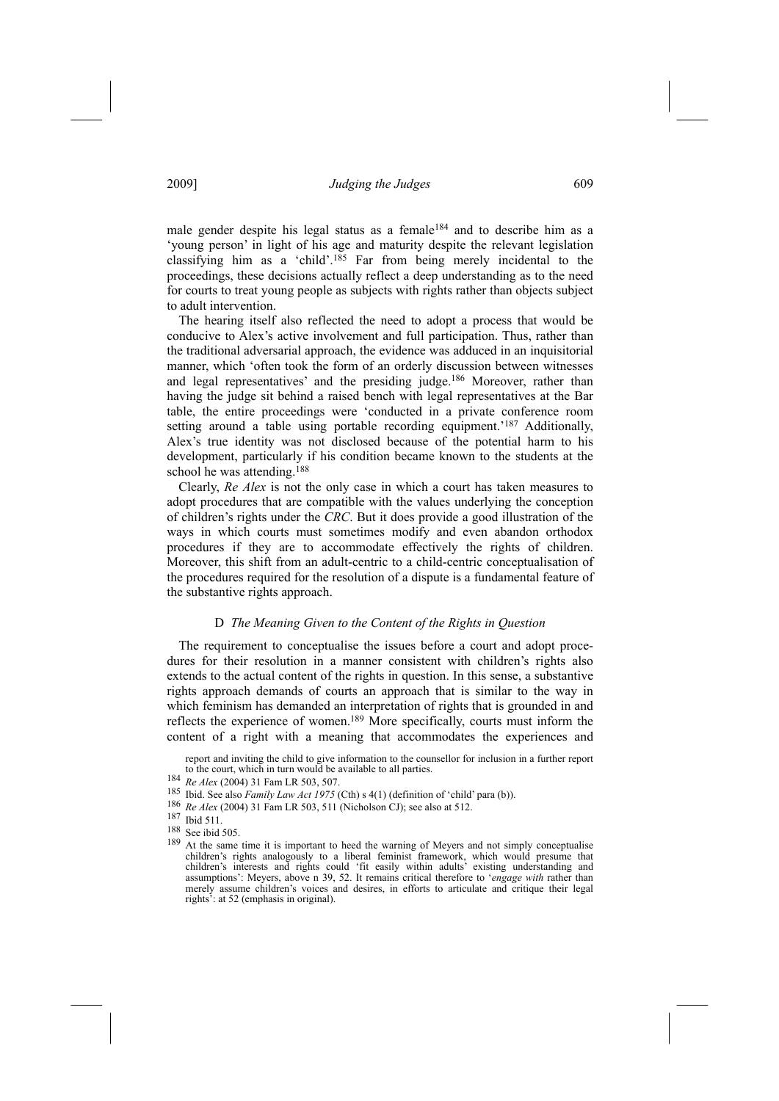male gender despite his legal status as a female<sup>184</sup> and to describe him as a 'young person' in light of his age and maturity despite the relevant legislation classifying him as a 'child'.185 Far from being merely incidental to the proceedings, these decisions actually reflect a deep understanding as to the need for courts to treat young people as subjects with rights rather than objects subject to adult intervention.

The hearing itself also reflected the need to adopt a process that would be conducive to Alex's active involvement and full participation. Thus, rather than the traditional adversarial approach, the evidence was adduced in an inquisitorial manner, which 'often took the form of an orderly discussion between witnesses and legal representatives' and the presiding judge.186 Moreover, rather than having the judge sit behind a raised bench with legal representatives at the Bar table, the entire proceedings were 'conducted in a private conference room setting around a table using portable recording equipment.<sup>'187</sup> Additionally, Alex's true identity was not disclosed because of the potential harm to his development, particularly if his condition became known to the students at the school he was attending.<sup>188</sup>

Clearly, *Re Alex* is not the only case in which a court has taken measures to adopt procedures that are compatible with the values underlying the conception of children's rights under the *CRC*. But it does provide a good illustration of the ways in which courts must sometimes modify and even abandon orthodox procedures if they are to accommodate effectively the rights of children. Moreover, this shift from an adult-centric to a child-centric conceptualisation of the procedures required for the resolution of a dispute is a fundamental feature of the substantive rights approach.

## D *The Meaning Given to the Content of the Rights in Question*

The requirement to conceptualise the issues before a court and adopt procedures for their resolution in a manner consistent with children's rights also extends to the actual content of the rights in question. In this sense, a substantive rights approach demands of courts an approach that is similar to the way in which feminism has demanded an interpretation of rights that is grounded in and reflects the experience of women.189 More specifically, courts must inform the content of a right with a meaning that accommodates the experiences and

report and inviting the child to give information to the counsellor for inclusion in a further report to the court, which in turn would be available to all parties.

<sup>184</sup> *Re Alex* (2004) 31 Fam LR 503, 507.

<sup>185</sup> Ibid. See also *Family Law Act 1975* (Cth) s 4(1) (definition of 'child' para (b)).

<sup>186</sup> *Re Alex* (2004) 31 Fam LR 503, 511 (Nicholson CJ); see also at 512.

<sup>187</sup> Ibid 511.

<sup>188</sup> See ibid 505.

<sup>189</sup> At the same time it is important to heed the warning of Meyers and not simply conceptualise children's rights analogously to a liberal feminist framework, which would presume that children's interests and rights could 'fit easily within adults' existing understanding and assumptions': Meyers, above n 39, 52. It remains critical therefore to '*engage with* rather than merely assume children's voices and desires, in efforts to articulate and critique their legal rights': at 52 (emphasis in original).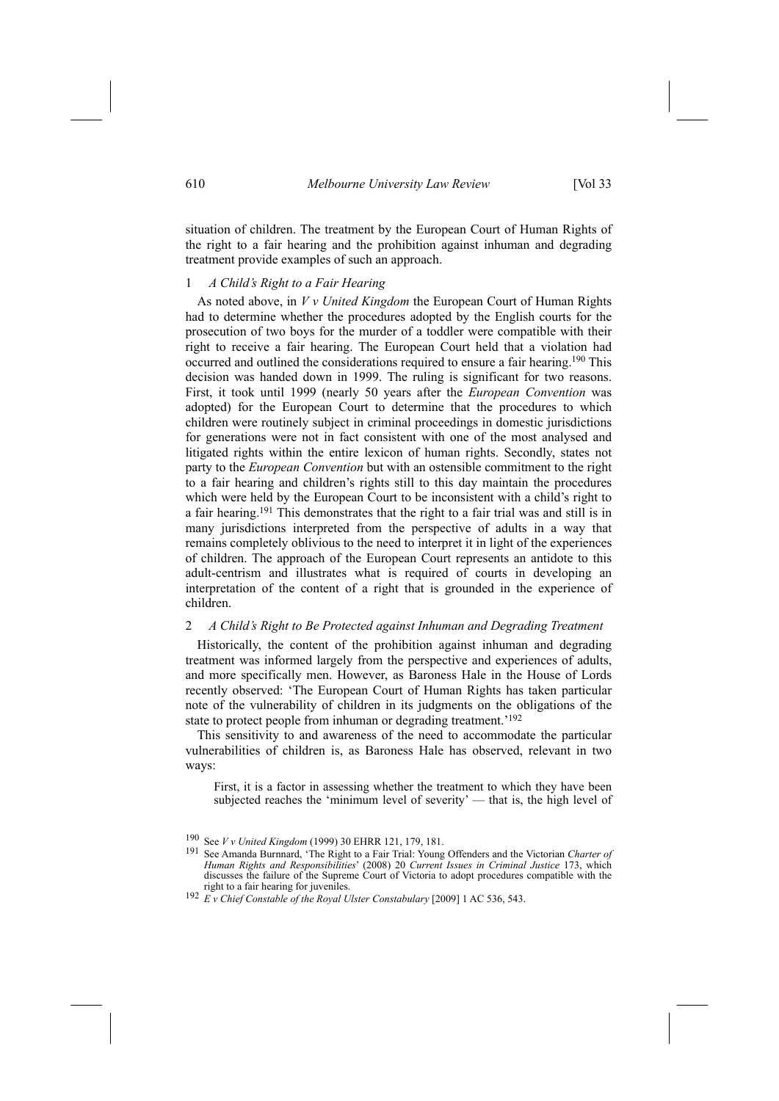situation of children. The treatment by the European Court of Human Rights of the right to a fair hearing and the prohibition against inhuman and degrading treatment provide examples of such an approach.

## 1 *A Child's Right to a Fair Hearing*

As noted above, in *V v United Kingdom* the European Court of Human Rights had to determine whether the procedures adopted by the English courts for the prosecution of two boys for the murder of a toddler were compatible with their right to receive a fair hearing. The European Court held that a violation had occurred and outlined the considerations required to ensure a fair hearing.190 This decision was handed down in 1999. The ruling is significant for two reasons. First, it took until 1999 (nearly 50 years after the *European Convention* was adopted) for the European Court to determine that the procedures to which children were routinely subject in criminal proceedings in domestic jurisdictions for generations were not in fact consistent with one of the most analysed and litigated rights within the entire lexicon of human rights. Secondly, states not party to the *European Convention* but with an ostensible commitment to the right to a fair hearing and children's rights still to this day maintain the procedures which were held by the European Court to be inconsistent with a child's right to a fair hearing.191 This demonstrates that the right to a fair trial was and still is in many jurisdictions interpreted from the perspective of adults in a way that remains completely oblivious to the need to interpret it in light of the experiences of children. The approach of the European Court represents an antidote to this adult-centrism and illustrates what is required of courts in developing an interpretation of the content of a right that is grounded in the experience of children.

### 2 *A Child's Right to Be Protected against Inhuman and Degrading Treatment*

Historically, the content of the prohibition against inhuman and degrading treatment was informed largely from the perspective and experiences of adults, and more specifically men. However, as Baroness Hale in the House of Lords recently observed: 'The European Court of Human Rights has taken particular note of the vulnerability of children in its judgments on the obligations of the state to protect people from inhuman or degrading treatment.'192

This sensitivity to and awareness of the need to accommodate the particular vulnerabilities of children is, as Baroness Hale has observed, relevant in two ways:

First, it is a factor in assessing whether the treatment to which they have been subjected reaches the 'minimum level of severity' — that is, the high level of

<sup>190</sup> See *V v United Kingdom* (1999) 30 EHRR 121, 179, 181.

<sup>191</sup> See Amanda Burnnard, 'The Right to a Fair Trial: Young Offenders and the Victorian *Charter of Human Rights and Responsibilities*' (2008) 20 *Current Issues in Criminal Justice* 173, which discusses the failure of the Supreme Court of Victoria to adopt procedures compatible with the right to a fair hearing for juveniles.

<sup>192</sup> *E v Chief Constable of the Royal Ulster Constabulary* [2009] 1 AC 536, 543.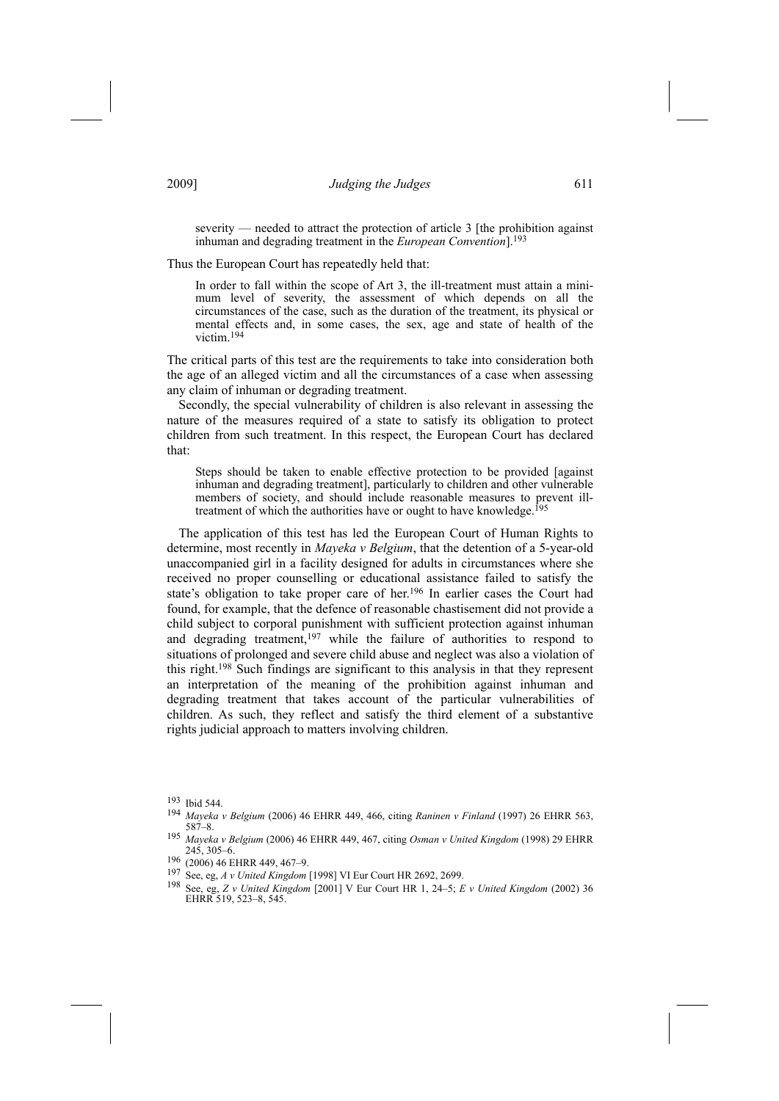severity — needed to attract the protection of article 3 [the prohibition against inhuman and degrading treatment in the *European Convention*].<sup>193</sup>

Thus the European Court has repeatedly held that:

In order to fall within the scope of Art 3, the ill-treatment must attain a minimum level of severity, the assessment of which depends on all the circumstances of the case, such as the duration of the treatment, its physical or mental effects and, in some cases, the sex, age and state of health of the victim.194

The critical parts of this test are the requirements to take into consideration both the age of an alleged victim and all the circumstances of a case when assessing any claim of inhuman or degrading treatment.

Secondly, the special vulnerability of children is also relevant in assessing the nature of the measures required of a state to satisfy its obligation to protect children from such treatment. In this respect, the European Court has declared that:

Steps should be taken to enable effective protection to be provided [against inhuman and degrading treatment], particularly to children and other vulnerable members of society, and should include reasonable measures to prevent illtreatment of which the authorities have or ought to have knowledge.<sup>195</sup>

The application of this test has led the European Court of Human Rights to determine, most recently in *Mayeka v Belgium*, that the detention of a 5-year-old unaccompanied girl in a facility designed for adults in circumstances where she received no proper counselling or educational assistance failed to satisfy the state's obligation to take proper care of her.<sup>196</sup> In earlier cases the Court had found, for example, that the defence of reasonable chastisement did not provide a child subject to corporal punishment with sufficient protection against inhuman and degrading treatment,<sup>197</sup> while the failure of authorities to respond to situations of prolonged and severe child abuse and neglect was also a violation of this right.198 Such findings are significant to this analysis in that they represent an interpretation of the meaning of the prohibition against inhuman and degrading treatment that takes account of the particular vulnerabilities of children. As such, they reflect and satisfy the third element of a substantive rights judicial approach to matters involving children.

193 Ibid 544.

- <sup>194</sup> *Mayeka v Belgium* (2006) 46 EHRR 449, 466, citing *Raninen v Finland* (1997) 26 EHRR 563, 587–8.
- <sup>195</sup> *Mayeka v Belgium* (2006) 46 EHRR 449, 467, citing *Osman v United Kingdom* (1998) 29 EHRR  $245, 305-6.$
- $196$  (2006) 46 EHRR 449, 467–9.

<sup>197</sup> See, eg, *A v United Kingdom* [1998] VI Eur Court HR 2692, 2699.

<sup>198</sup> See, eg, *Z v United Kingdom* [2001] V Eur Court HR 1, 24–5; *E v United Kingdom* (2002) 36 EHRR 519, 523–8, 545.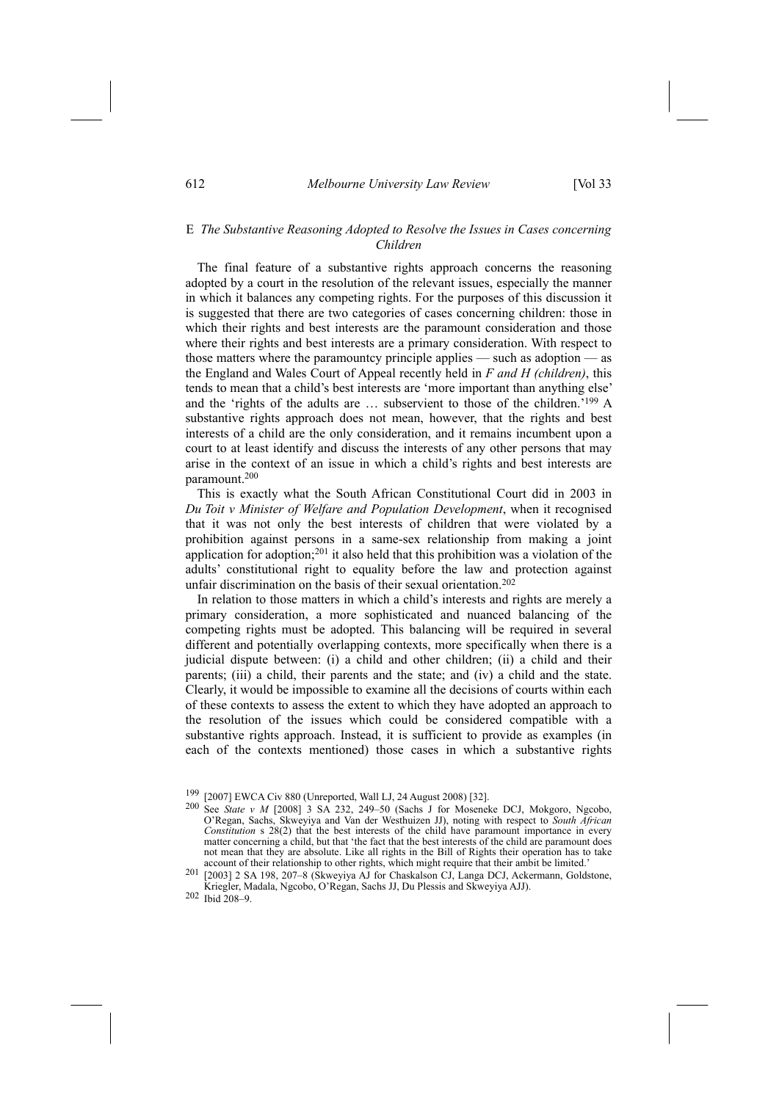#### 612 *Melbourne University Law Review* [Vol 33

## E *The Substantive Reasoning Adopted to Resolve the Issues in Cases concerning Children*

The final feature of a substantive rights approach concerns the reasoning adopted by a court in the resolution of the relevant issues, especially the manner in which it balances any competing rights. For the purposes of this discussion it is suggested that there are two categories of cases concerning children: those in which their rights and best interests are the paramount consideration and those where their rights and best interests are a primary consideration. With respect to those matters where the paramountcy principle applies — such as adoption — as the England and Wales Court of Appeal recently held in *F and H (children)*, this tends to mean that a child's best interests are 'more important than anything else' and the 'rights of the adults are … subservient to those of the children.'199 A substantive rights approach does not mean, however, that the rights and best interests of a child are the only consideration, and it remains incumbent upon a court to at least identify and discuss the interests of any other persons that may arise in the context of an issue in which a child's rights and best interests are paramount.200

This is exactly what the South African Constitutional Court did in 2003 in *Du Toit v Minister of Welfare and Population Development*, when it recognised that it was not only the best interests of children that were violated by a prohibition against persons in a same-sex relationship from making a joint application for adoption;<sup>201</sup> it also held that this prohibition was a violation of the adults' constitutional right to equality before the law and protection against unfair discrimination on the basis of their sexual orientation.<sup>202</sup>

In relation to those matters in which a child's interests and rights are merely a primary consideration, a more sophisticated and nuanced balancing of the competing rights must be adopted. This balancing will be required in several different and potentially overlapping contexts, more specifically when there is a judicial dispute between: (i) a child and other children; (ii) a child and their parents; (iii) a child, their parents and the state; and (iv) a child and the state. Clearly, it would be impossible to examine all the decisions of courts within each of these contexts to assess the extent to which they have adopted an approach to the resolution of the issues which could be considered compatible with a substantive rights approach. Instead, it is sufficient to provide as examples (in each of the contexts mentioned) those cases in which a substantive rights

202 Ibid 208–9.

<sup>199 [2007]</sup> EWCA Civ 880 (Unreported, Wall LJ, 24 August 2008) [32].

See *State v M* [2008] 3 SA 232, 249–50 (Sachs J for Moseneke DCJ, Mokgoro, Ngcobo, O'Regan, Sachs, Skweyiya and Van der Westhuizen JJ), noting with respect to *South African Constitution* s 28(2) that the best interests of the child have paramount importance in every matter concerning a child, but that 'the fact that the best interests of the child are paramount does not mean that they are absolute. Like all rights in the Bill of Rights their operation has to take account of their relationship to other rights, which might require that their ambit be limited.'

<sup>[2003] 2</sup> SA 198, 207-8 (Skweyiya AJ for Chaskalson CJ, Langa DCJ, Ackermann, Goldstone, Kriegler, Madala, Ngcobo, O'Regan, Sachs JJ, Du Plessis and Skweyiya AJJ).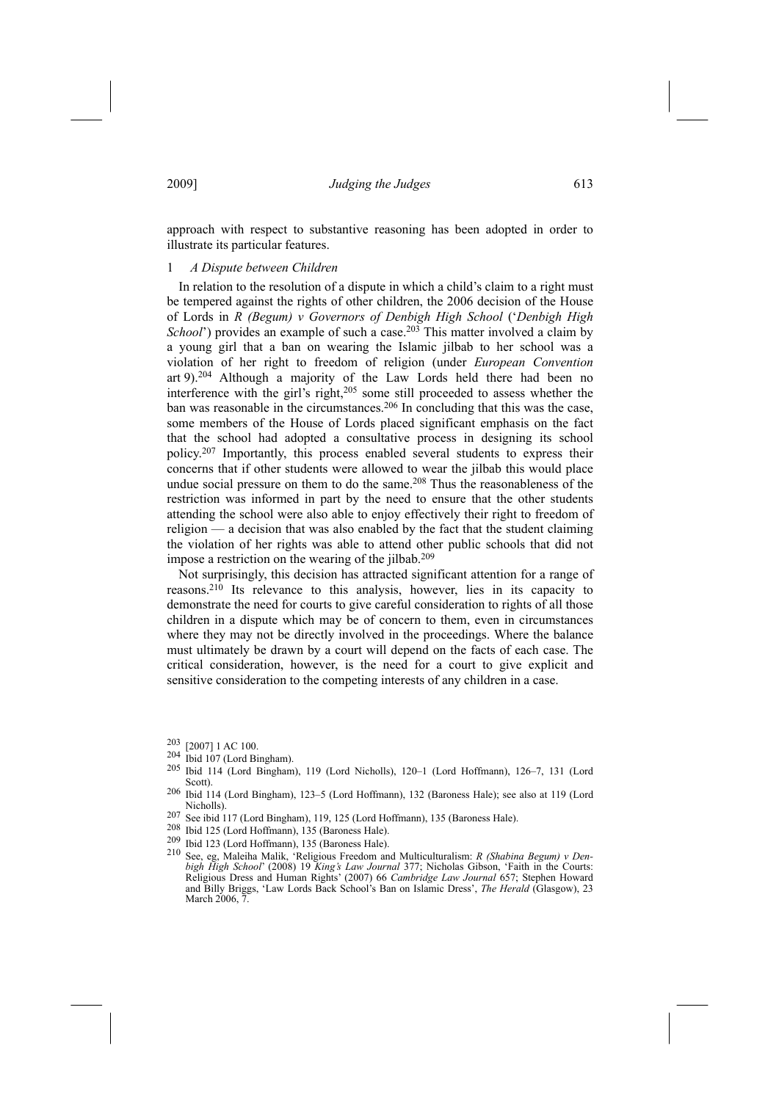approach with respect to substantive reasoning has been adopted in order to illustrate its particular features.

## 1 *A Dispute between Children*

In relation to the resolution of a dispute in which a child's claim to a right must be tempered against the rights of other children, the 2006 decision of the House of Lords in *R (Begum) v Governors of Denbigh High School* ('*Denbigh High School*') provides an example of such a case.<sup>203</sup> This matter involved a claim by a young girl that a ban on wearing the Islamic jilbab to her school was a violation of her right to freedom of religion (under *European Convention* art 9).204 Although a majority of the Law Lords held there had been no interference with the girl's right,205 some still proceeded to assess whether the ban was reasonable in the circumstances.206 In concluding that this was the case, some members of the House of Lords placed significant emphasis on the fact that the school had adopted a consultative process in designing its school policy.207 Importantly, this process enabled several students to express their concerns that if other students were allowed to wear the jilbab this would place undue social pressure on them to do the same.<sup>208</sup> Thus the reasonableness of the restriction was informed in part by the need to ensure that the other students attending the school were also able to enjoy effectively their right to freedom of religion — a decision that was also enabled by the fact that the student claiming the violation of her rights was able to attend other public schools that did not impose a restriction on the wearing of the jilbab.209

Not surprisingly, this decision has attracted significant attention for a range of reasons.210 Its relevance to this analysis, however, lies in its capacity to demonstrate the need for courts to give careful consideration to rights of all those children in a dispute which may be of concern to them, even in circumstances where they may not be directly involved in the proceedings. Where the balance must ultimately be drawn by a court will depend on the facts of each case. The critical consideration, however, is the need for a court to give explicit and sensitive consideration to the competing interests of any children in a case.

203 [2007] 1 AC 100.

- 204 Ibid 107 (Lord Bingham).
- 205 Ibid 114 (Lord Bingham), 119 (Lord Nicholls), 120–1 (Lord Hoffmann), 126–7, 131 (Lord Scott).
- 206 Ibid 114 (Lord Bingham), 123–5 (Lord Hoffmann), 132 (Baroness Hale); see also at 119 (Lord Nicholls).
- 207 See ibid 117 (Lord Bingham), 119, 125 (Lord Hoffmann), 135 (Baroness Hale).
- 208 Ibid 125 (Lord Hoffmann), 135 (Baroness Hale).
- 209 Ibid 123 (Lord Hoffmann), 135 (Baroness Hale).
- 210 See, eg, Maleiha Malik, 'Religious Freedom and Multiculturalism: *R (Shabina Begum) v Denbigh High School*' (2008) 19 *King's Law Journal* 377; Nicholas Gibson, 'Faith in the Courts: Religious Dress and Human Rights' (2007) 66 *Cambridge Law Journal* 657; Stephen Howard and Billy Briggs, 'Law Lords Back School's Ban on Islamic Dress', *The Herald* (Glasgow), 23 March 2006, 7.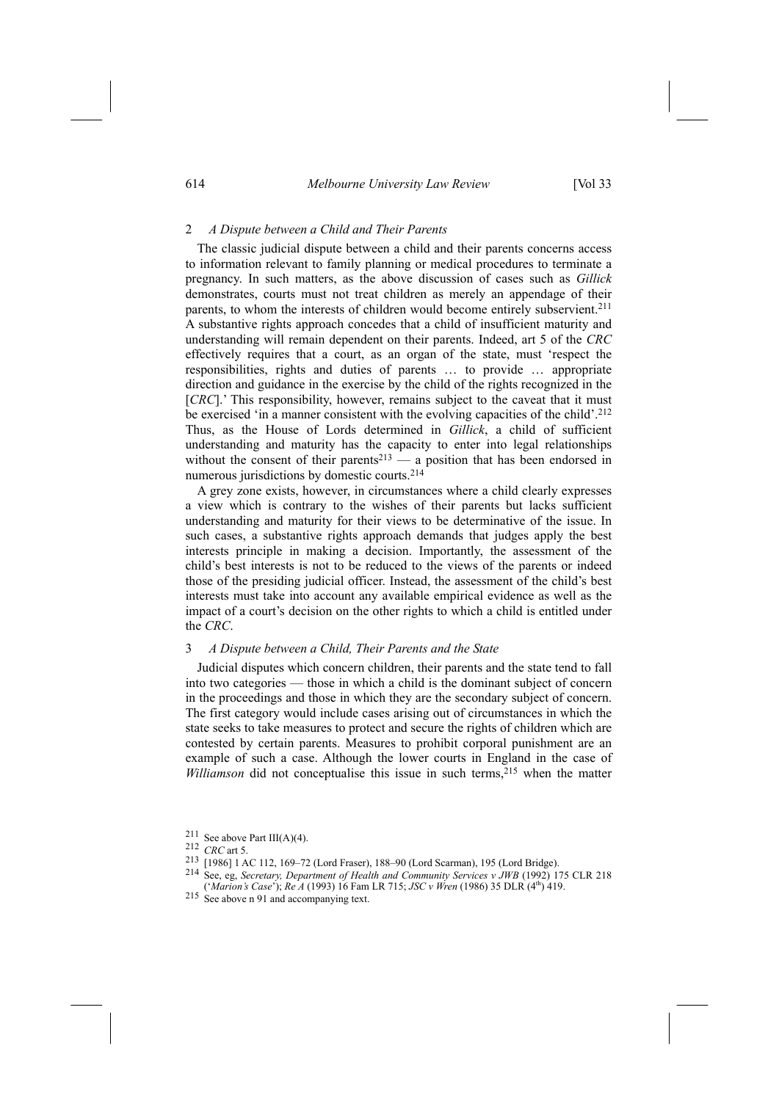### 614 *Melbourne University Law Review* [Vol 33

### 2 *A Dispute between a Child and Their Parents*

The classic judicial dispute between a child and their parents concerns access to information relevant to family planning or medical procedures to terminate a pregnancy. In such matters, as the above discussion of cases such as *Gillick* demonstrates, courts must not treat children as merely an appendage of their parents, to whom the interests of children would become entirely subservient.<sup>211</sup> A substantive rights approach concedes that a child of insufficient maturity and understanding will remain dependent on their parents. Indeed, art 5 of the *CRC* effectively requires that a court, as an organ of the state, must 'respect the responsibilities, rights and duties of parents … to provide … appropriate direction and guidance in the exercise by the child of the rights recognized in the [*CRC*].' This responsibility, however, remains subject to the caveat that it must be exercised 'in a manner consistent with the evolving capacities of the child'.<sup>212</sup> Thus, as the House of Lords determined in *Gillick*, a child of sufficient understanding and maturity has the capacity to enter into legal relationships without the consent of their parents<sup>213</sup> — a position that has been endorsed in numerous jurisdictions by domestic courts.214

A grey zone exists, however, in circumstances where a child clearly expresses a view which is contrary to the wishes of their parents but lacks sufficient understanding and maturity for their views to be determinative of the issue. In such cases, a substantive rights approach demands that judges apply the best interests principle in making a decision. Importantly, the assessment of the child's best interests is not to be reduced to the views of the parents or indeed those of the presiding judicial officer. Instead, the assessment of the child's best interests must take into account any available empirical evidence as well as the impact of a court's decision on the other rights to which a child is entitled under the *CRC*.

### 3 *A Dispute between a Child, Their Parents and the State*

Judicial disputes which concern children, their parents and the state tend to fall into two categories — those in which a child is the dominant subject of concern in the proceedings and those in which they are the secondary subject of concern. The first category would include cases arising out of circumstances in which the state seeks to take measures to protect and secure the rights of children which are contested by certain parents. Measures to prohibit corporal punishment are an example of such a case. Although the lower courts in England in the case of Williamson did not conceptualise this issue in such terms,<sup>215</sup> when the matter

<sup>&</sup>lt;sup>211</sup> See above Part III(A)(4).

<sup>212</sup> *CRC* art 5.

<sup>213 [1986] 1</sup> AC 112, 169–72 (Lord Fraser), 188–90 (Lord Scarman), 195 (Lord Bridge).

<sup>214</sup> See, eg, *Secretary, Department of Health and Community Services v JWB* (1992) 175 CLR 218 ('*Marion's Case*'); *Re A* (1993) 16 Fam LR 715; *JSC v Wren* (1986) 35 DLR (4th) 419.

<sup>215</sup> See above n 91 and accompanying text.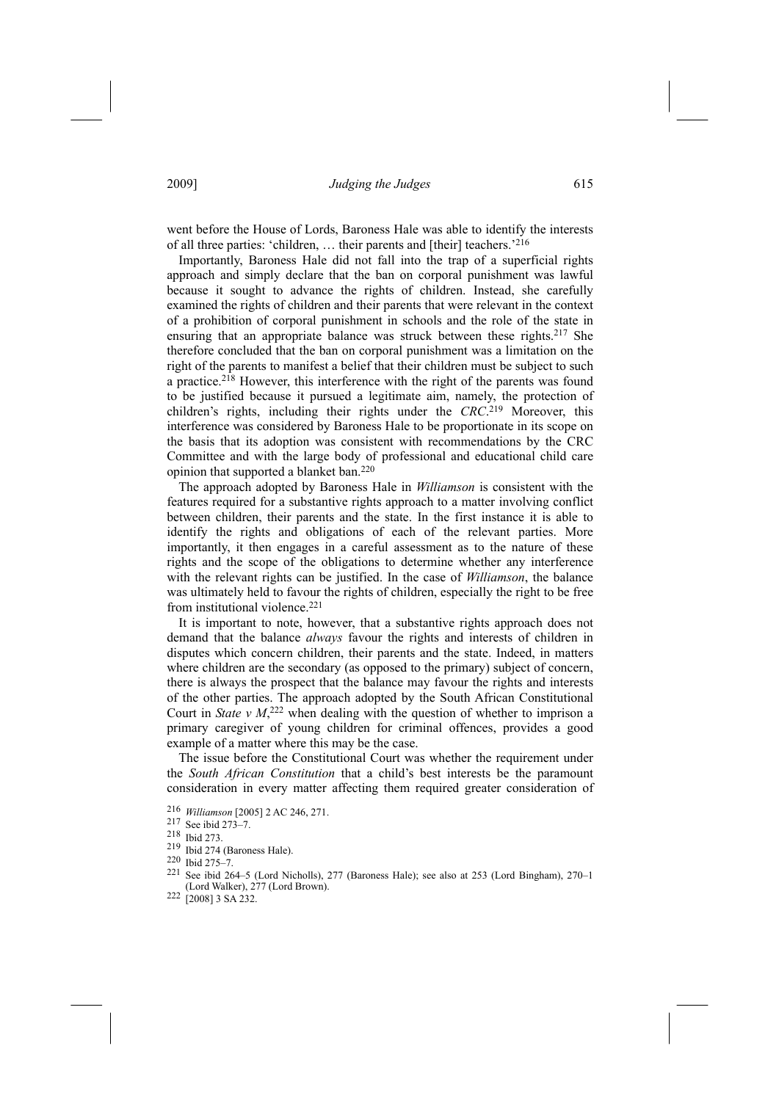went before the House of Lords, Baroness Hale was able to identify the interests of all three parties: 'children, … their parents and [their] teachers.'216

Importantly, Baroness Hale did not fall into the trap of a superficial rights approach and simply declare that the ban on corporal punishment was lawful because it sought to advance the rights of children. Instead, she carefully examined the rights of children and their parents that were relevant in the context of a prohibition of corporal punishment in schools and the role of the state in ensuring that an appropriate balance was struck between these rights.<sup>217</sup> She therefore concluded that the ban on corporal punishment was a limitation on the right of the parents to manifest a belief that their children must be subject to such a practice.218 However, this interference with the right of the parents was found to be justified because it pursued a legitimate aim, namely, the protection of children's rights, including their rights under the *CRC*. 219 Moreover, this interference was considered by Baroness Hale to be proportionate in its scope on the basis that its adoption was consistent with recommendations by the CRC Committee and with the large body of professional and educational child care opinion that supported a blanket ban.220

The approach adopted by Baroness Hale in *Williamson* is consistent with the features required for a substantive rights approach to a matter involving conflict between children, their parents and the state. In the first instance it is able to identify the rights and obligations of each of the relevant parties. More importantly, it then engages in a careful assessment as to the nature of these rights and the scope of the obligations to determine whether any interference with the relevant rights can be justified. In the case of *Williamson*, the balance was ultimately held to favour the rights of children, especially the right to be free from institutional violence.221

It is important to note, however, that a substantive rights approach does not demand that the balance *always* favour the rights and interests of children in disputes which concern children, their parents and the state. Indeed, in matters where children are the secondary (as opposed to the primary) subject of concern, there is always the prospect that the balance may favour the rights and interests of the other parties. The approach adopted by the South African Constitutional Court in *State*  $v$   $M$ <sup>222</sup>, when dealing with the question of whether to imprison a primary caregiver of young children for criminal offences, provides a good example of a matter where this may be the case.

The issue before the Constitutional Court was whether the requirement under the *South African Constitution* that a child's best interests be the paramount consideration in every matter affecting them required greater consideration of

221 See ibid 264–5 (Lord Nicholls), 277 (Baroness Hale); see also at 253 (Lord Bingham), 270–1 (Lord Walker), 277 (Lord Brown).

<sup>216</sup> *Williamson* [2005] 2 AC 246, 271.

<sup>217</sup> See ibid 273–7.

<sup>218</sup> Ibid 273.

<sup>219</sup> Ibid 274 (Baroness Hale).

<sup>220</sup> Ibid 275–7.

<sup>222 [2008] 3</sup> SA 232.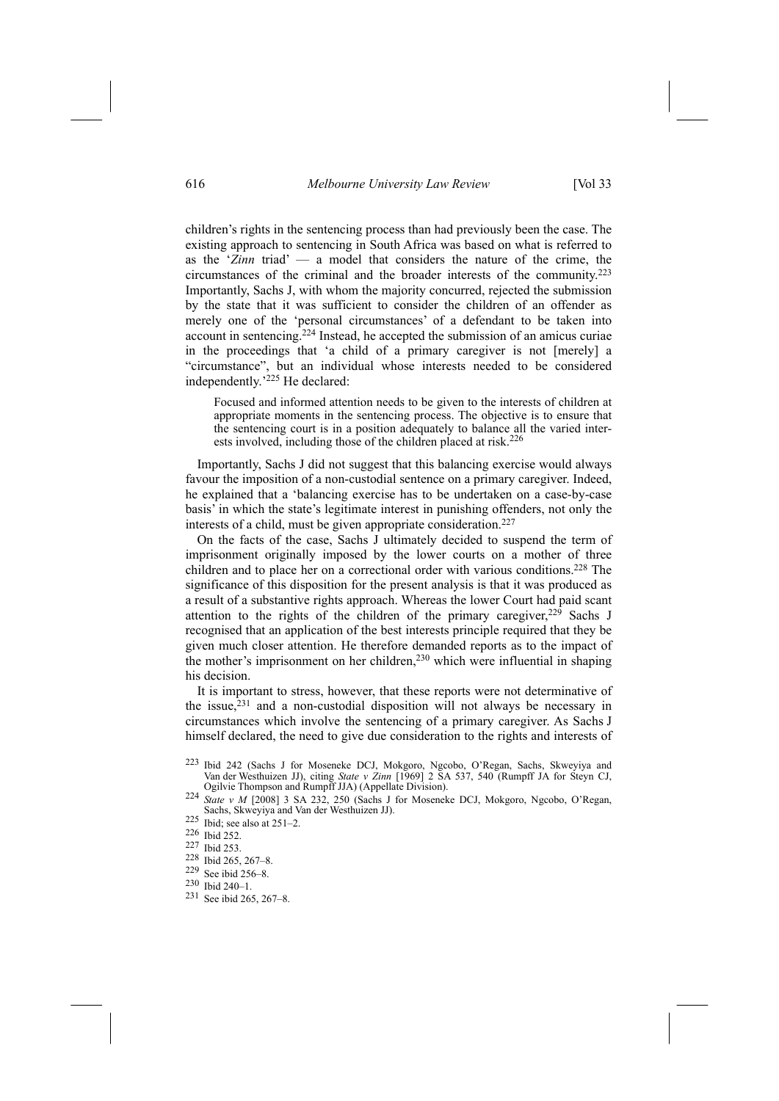children's rights in the sentencing process than had previously been the case. The existing approach to sentencing in South Africa was based on what is referred to as the '*Zinn* triad' — a model that considers the nature of the crime, the circumstances of the criminal and the broader interests of the community.223 Importantly, Sachs J, with whom the majority concurred, rejected the submission by the state that it was sufficient to consider the children of an offender as merely one of the 'personal circumstances' of a defendant to be taken into account in sentencing.224 Instead, he accepted the submission of an amicus curiae in the proceedings that 'a child of a primary caregiver is not [merely] a "circumstance", but an individual whose interests needed to be considered independently.'225 He declared:

Focused and informed attention needs to be given to the interests of children at appropriate moments in the sentencing process. The objective is to ensure that the sentencing court is in a position adequately to balance all the varied interests involved, including those of the children placed at risk.<sup>226</sup>

Importantly, Sachs J did not suggest that this balancing exercise would always favour the imposition of a non-custodial sentence on a primary caregiver. Indeed, he explained that a 'balancing exercise has to be undertaken on a case-by-case basis' in which the state's legitimate interest in punishing offenders, not only the interests of a child, must be given appropriate consideration.<sup>227</sup>

On the facts of the case, Sachs J ultimately decided to suspend the term of imprisonment originally imposed by the lower courts on a mother of three children and to place her on a correctional order with various conditions.228 The significance of this disposition for the present analysis is that it was produced as a result of a substantive rights approach. Whereas the lower Court had paid scant attention to the rights of the children of the primary caregiver, $229$  Sachs J recognised that an application of the best interests principle required that they be given much closer attention. He therefore demanded reports as to the impact of the mother's imprisonment on her children,<sup>230</sup> which were influential in shaping his decision.

It is important to stress, however, that these reports were not determinative of the issue,231 and a non-custodial disposition will not always be necessary in circumstances which involve the sentencing of a primary caregiver. As Sachs J himself declared, the need to give due consideration to the rights and interests of

<sup>223</sup> Ibid 242 (Sachs J for Moseneke DCJ, Mokgoro, Ngcobo, O'Regan, Sachs, Skweyiya and Van der Westhuizen JJ), citing *State v Zinn* [1969] 2 SA 537, 540 (Rumpff JA for Steyn CJ, Ogilvie Thompson and Rumpff JJA) (Appellate Division).

<sup>224</sup> *State v M* [2008] 3 SA 232, 250 (Sachs J for Moseneke DCJ, Mokgoro, Ngcobo, O'Regan, Sachs, Skweyiya and Van der Westhuizen JJ).

 $225$  Ibid; see also at  $251-2$ .

<sup>226</sup> Ibid 252.

<sup>227</sup> Ibid 253.

<sup>228</sup> Ibid 265, 267–8.

<sup>229</sup> See ibid 256–8.

<sup>230</sup> Ibid 240–1.

<sup>231</sup> See ibid 265, 267–8.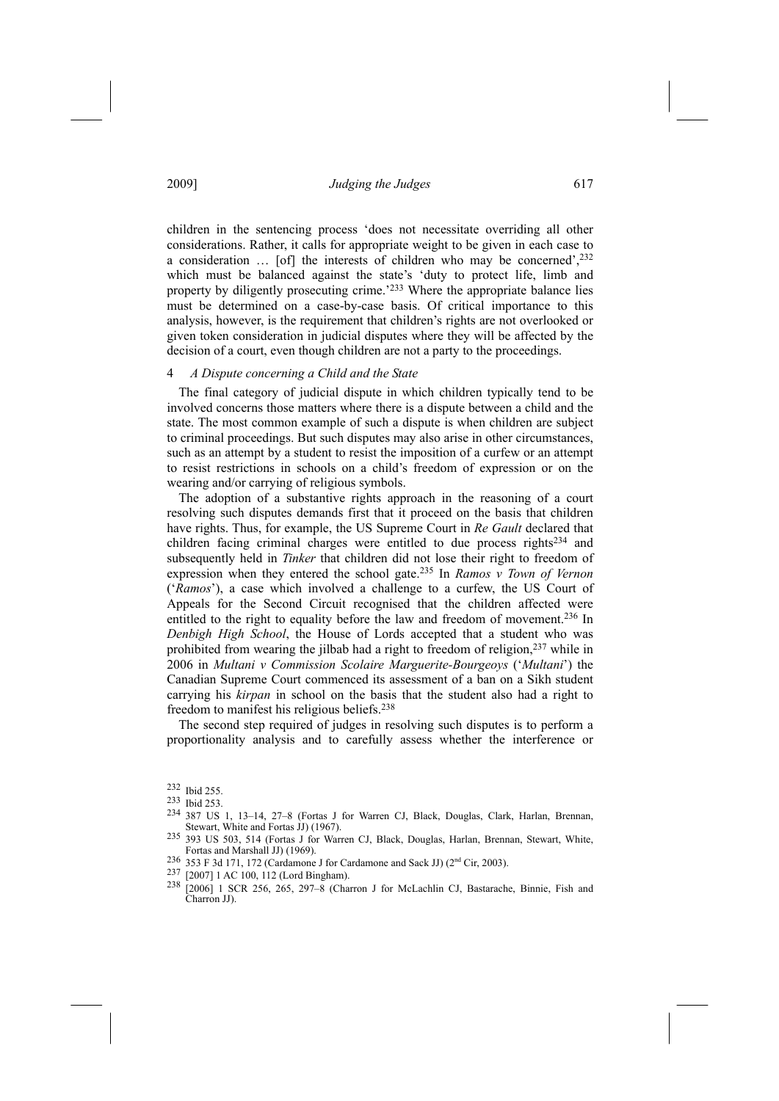children in the sentencing process 'does not necessitate overriding all other considerations. Rather, it calls for appropriate weight to be given in each case to a consideration  $\ldots$  [of] the interests of children who may be concerned',  $232$ which must be balanced against the state's 'duty to protect life, limb and property by diligently prosecuting crime.'<sup>233</sup> Where the appropriate balance lies must be determined on a case-by-case basis. Of critical importance to this analysis, however, is the requirement that children's rights are not overlooked or given token consideration in judicial disputes where they will be affected by the decision of a court, even though children are not a party to the proceedings.

#### 4 *A Dispute concerning a Child and the State*

The final category of judicial dispute in which children typically tend to be involved concerns those matters where there is a dispute between a child and the state. The most common example of such a dispute is when children are subject to criminal proceedings. But such disputes may also arise in other circumstances, such as an attempt by a student to resist the imposition of a curfew or an attempt to resist restrictions in schools on a child's freedom of expression or on the wearing and/or carrying of religious symbols.

The adoption of a substantive rights approach in the reasoning of a court resolving such disputes demands first that it proceed on the basis that children have rights. Thus, for example, the US Supreme Court in *Re Gault* declared that children facing criminal charges were entitled to due process rights<sup>234</sup> and subsequently held in *Tinker* that children did not lose their right to freedom of expression when they entered the school gate.235 In *Ramos v Town of Vernon* ('*Ramos*'), a case which involved a challenge to a curfew, the US Court of Appeals for the Second Circuit recognised that the children affected were entitled to the right to equality before the law and freedom of movement.<sup>236</sup> In *Denbigh High School*, the House of Lords accepted that a student who was prohibited from wearing the jilbab had a right to freedom of religion,237 while in 2006 in *Multani v Commission Scolaire Marguerite-Bourgeoys* ('*Multani*') the Canadian Supreme Court commenced its assessment of a ban on a Sikh student carrying his *kirpan* in school on the basis that the student also had a right to freedom to manifest his religious beliefs.238

The second step required of judges in resolving such disputes is to perform a proportionality analysis and to carefully assess whether the interference or

<sup>232</sup> Ibid 255.

<sup>233</sup> Ibid 253.

<sup>234 387</sup> US 1, 13–14, 27–8 (Fortas J for Warren CJ, Black, Douglas, Clark, Harlan, Brennan, Stewart, White and Fortas JJ) (1967).

<sup>235 393</sup> US 503, 514 (Fortas J for Warren CJ, Black, Douglas, Harlan, Brennan, Stewart, White, Fortas and Marshall JJ) (1969).

<sup>236 353</sup> F 3d 171, 172 (Cardamone J for Cardamone and Sack JJ) ( $2<sup>nd</sup> Cir, 2003$ ).<br>237 [2007] J AC 100, 112 (Lord Bingham).

 $^{237}$  [2007] 1 AC 100, 112 (Lord Bingham).<br>238 [2006] 1 SCP 256, 265, 207, 8 (Cha

<sup>238 [2006] 1</sup> SCR 256, 265, 297–8 (Charron J for McLachlin CJ, Bastarache, Binnie, Fish and Charron JJ).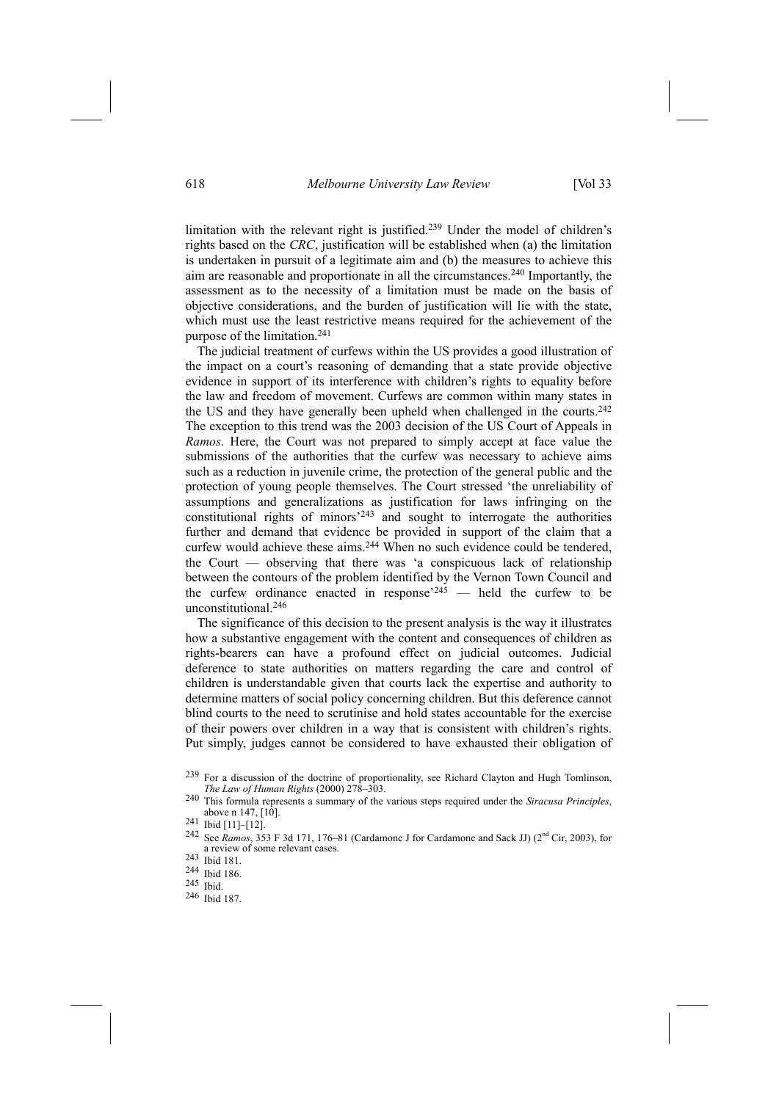limitation with the relevant right is justified.239 Under the model of children's rights based on the *CRC*, justification will be established when (a) the limitation is undertaken in pursuit of a legitimate aim and (b) the measures to achieve this aim are reasonable and proportionate in all the circumstances.240 Importantly, the assessment as to the necessity of a limitation must be made on the basis of objective considerations, and the burden of justification will lie with the state, which must use the least restrictive means required for the achievement of the purpose of the limitation.241

The judicial treatment of curfews within the US provides a good illustration of the impact on a court's reasoning of demanding that a state provide objective evidence in support of its interference with children's rights to equality before the law and freedom of movement. Curfews are common within many states in the US and they have generally been upheld when challenged in the courts.  $242$ The exception to this trend was the 2003 decision of the US Court of Appeals in *Ramos*. Here, the Court was not prepared to simply accept at face value the submissions of the authorities that the curfew was necessary to achieve aims such as a reduction in juvenile crime, the protection of the general public and the protection of young people themselves. The Court stressed 'the unreliability of assumptions and generalizations as justification for laws infringing on the constitutional rights of minors<sup> $243$ </sup> and sought to interrogate the authorities further and demand that evidence be provided in support of the claim that a curfew would achieve these aims.<sup>244</sup> When no such evidence could be tendered, the Court — observing that there was 'a conspicuous lack of relationship between the contours of the problem identified by the Vernon Town Council and the curfew ordinance enacted in response<sup>245</sup> — held the curfew to be unconstitutional.246

The significance of this decision to the present analysis is the way it illustrates how a substantive engagement with the content and consequences of children as rights-bearers can have a profound effect on judicial outcomes. Judicial deference to state authorities on matters regarding the care and control of children is understandable given that courts lack the expertise and authority to determine matters of social policy concerning children. But this deference cannot blind courts to the need to scrutinise and hold states accountable for the exercise of their powers over children in a way that is consistent with children's rights. Put simply, judges cannot be considered to have exhausted their obligation of

246 Ibid 187.

<sup>239</sup> For a discussion of the doctrine of proportionality, see Richard Clayton and Hugh Tomlinson, *The Law of Human Rights* (2000) 278–303.

<sup>240</sup> This formula represents a summary of the various steps required under the *Siracusa Principles*, above n 147, [10].

<sup>241</sup> Ibid [11]–[12].

<sup>242</sup> See *Ramos*, 353 F 3d 171, 176–81 (Cardamone J for Cardamone and Sack JJ) (2nd Cir, 2003), for a review of some relevant cases.

<sup>243</sup> Ibid 181.

<sup>244</sup> Ibid 186.

<sup>245</sup> Ibid.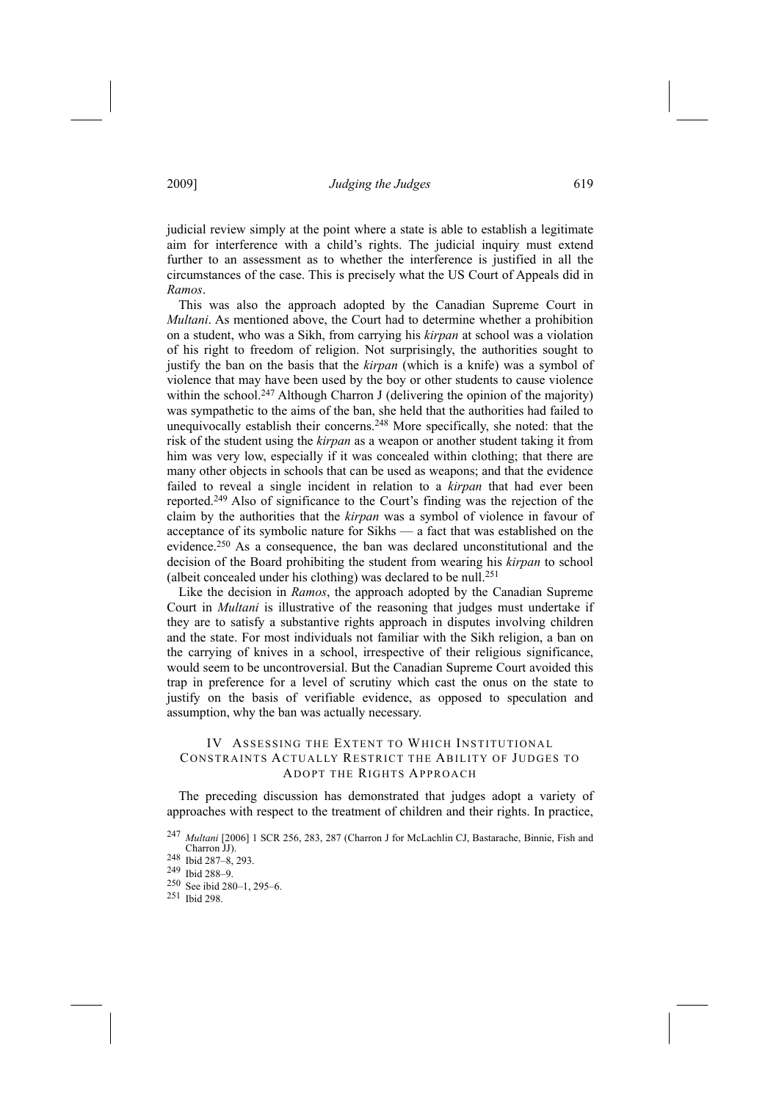judicial review simply at the point where a state is able to establish a legitimate aim for interference with a child's rights. The judicial inquiry must extend further to an assessment as to whether the interference is justified in all the circumstances of the case. This is precisely what the US Court of Appeals did in *Ramos*.

This was also the approach adopted by the Canadian Supreme Court in *Multani*. As mentioned above, the Court had to determine whether a prohibition on a student, who was a Sikh, from carrying his *kirpan* at school was a violation of his right to freedom of religion. Not surprisingly, the authorities sought to justify the ban on the basis that the *kirpan* (which is a knife) was a symbol of violence that may have been used by the boy or other students to cause violence within the school.<sup>247</sup> Although Charron J (delivering the opinion of the majority) was sympathetic to the aims of the ban, she held that the authorities had failed to unequivocally establish their concerns.<sup>248</sup> More specifically, she noted: that the risk of the student using the *kirpan* as a weapon or another student taking it from him was very low, especially if it was concealed within clothing; that there are many other objects in schools that can be used as weapons; and that the evidence failed to reveal a single incident in relation to a *kirpan* that had ever been reported.249 Also of significance to the Court's finding was the rejection of the claim by the authorities that the *kirpan* was a symbol of violence in favour of acceptance of its symbolic nature for Sikhs — a fact that was established on the evidence.250 As a consequence, the ban was declared unconstitutional and the decision of the Board prohibiting the student from wearing his *kirpan* to school (albeit concealed under his clothing) was declared to be null.251

Like the decision in *Ramos*, the approach adopted by the Canadian Supreme Court in *Multani* is illustrative of the reasoning that judges must undertake if they are to satisfy a substantive rights approach in disputes involving children and the state. For most individuals not familiar with the Sikh religion, a ban on the carrying of knives in a school, irrespective of their religious significance, would seem to be uncontroversial. But the Canadian Supreme Court avoided this trap in preference for a level of scrutiny which cast the onus on the state to justify on the basis of verifiable evidence, as opposed to speculation and assumption, why the ban was actually necessary.

## IV ASSESSING THE EXTENT TO WHICH INSTITUTIONAL CONSTRAINTS ACTUALLY RESTRICT THE ABILITY OF JUDGES TO ADOPT THE RIGHTS APPROACH

The preceding discussion has demonstrated that judges adopt a variety of approaches with respect to the treatment of children and their rights. In practice,

<sup>247</sup> *Multani* [2006] 1 SCR 256, 283, 287 (Charron J for McLachlin CJ, Bastarache, Binnie, Fish and Charron JJ).

<sup>248</sup> Ibid 287–8, 293.

<sup>249</sup> Ibid 288–9.

<sup>250</sup> See ibid 280–1, 295–6.

<sup>251</sup> Ibid 298.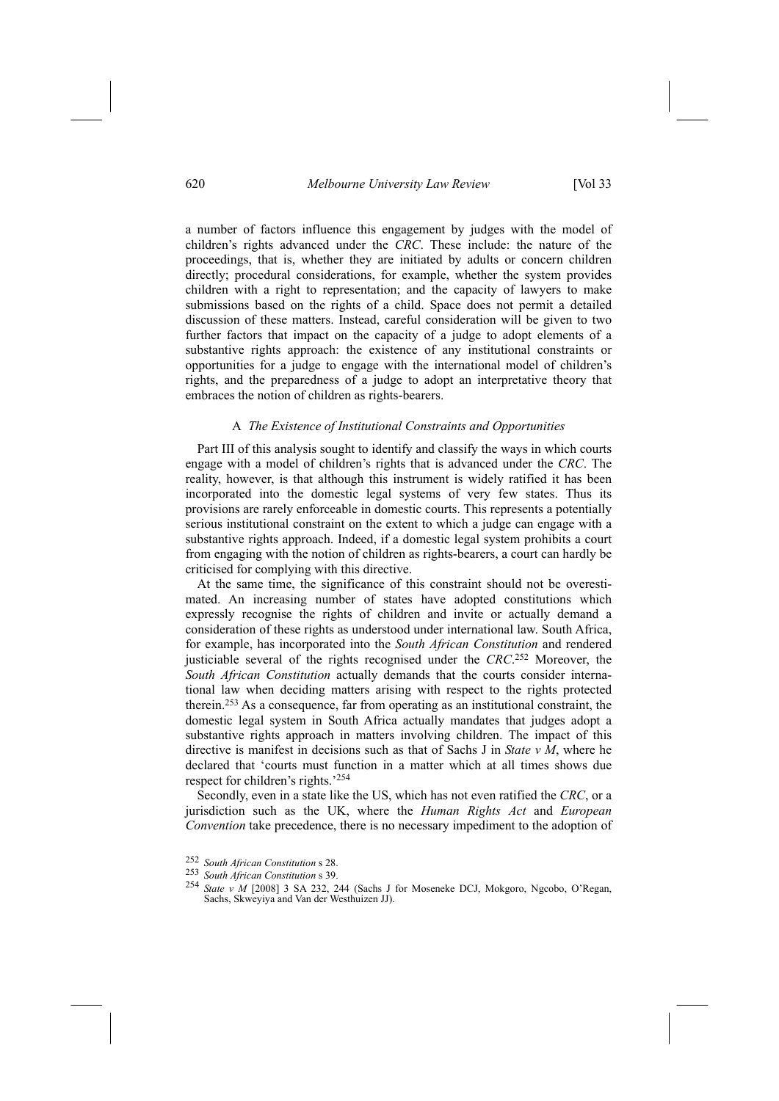a number of factors influence this engagement by judges with the model of children's rights advanced under the *CRC*. These include: the nature of the proceedings, that is, whether they are initiated by adults or concern children directly; procedural considerations, for example, whether the system provides children with a right to representation; and the capacity of lawyers to make submissions based on the rights of a child. Space does not permit a detailed discussion of these matters. Instead, careful consideration will be given to two further factors that impact on the capacity of a judge to adopt elements of a substantive rights approach: the existence of any institutional constraints or opportunities for a judge to engage with the international model of children's rights, and the preparedness of a judge to adopt an interpretative theory that embraces the notion of children as rights-bearers.

### A *The Existence of Institutional Constraints and Opportunities*

Part III of this analysis sought to identify and classify the ways in which courts engage with a model of children's rights that is advanced under the *CRC*. The reality, however, is that although this instrument is widely ratified it has been incorporated into the domestic legal systems of very few states. Thus its provisions are rarely enforceable in domestic courts. This represents a potentially serious institutional constraint on the extent to which a judge can engage with a substantive rights approach. Indeed, if a domestic legal system prohibits a court from engaging with the notion of children as rights-bearers, a court can hardly be criticised for complying with this directive.

At the same time, the significance of this constraint should not be overestimated. An increasing number of states have adopted constitutions which expressly recognise the rights of children and invite or actually demand a consideration of these rights as understood under international law. South Africa, for example, has incorporated into the *South African Constitution* and rendered justiciable several of the rights recognised under the *CRC*. 252 Moreover, the *South African Constitution* actually demands that the courts consider international law when deciding matters arising with respect to the rights protected therein.253 As a consequence, far from operating as an institutional constraint, the domestic legal system in South Africa actually mandates that judges adopt a substantive rights approach in matters involving children. The impact of this directive is manifest in decisions such as that of Sachs J in *State v M*, where he declared that 'courts must function in a matter which at all times shows due respect for children's rights.'254

Secondly, even in a state like the US, which has not even ratified the *CRC*, or a jurisdiction such as the UK, where the *Human Rights Act* and *European Convention* take precedence, there is no necessary impediment to the adoption of

<sup>252</sup> *South African Constitution* s 28.

<sup>253</sup> *South African Constitution* s 39.

<sup>254</sup> *State v M* [2008] 3 SA 232, 244 (Sachs J for Moseneke DCJ, Mokgoro, Ngcobo, O'Regan, Sachs, Skweyiya and Van der Westhuizen JJ).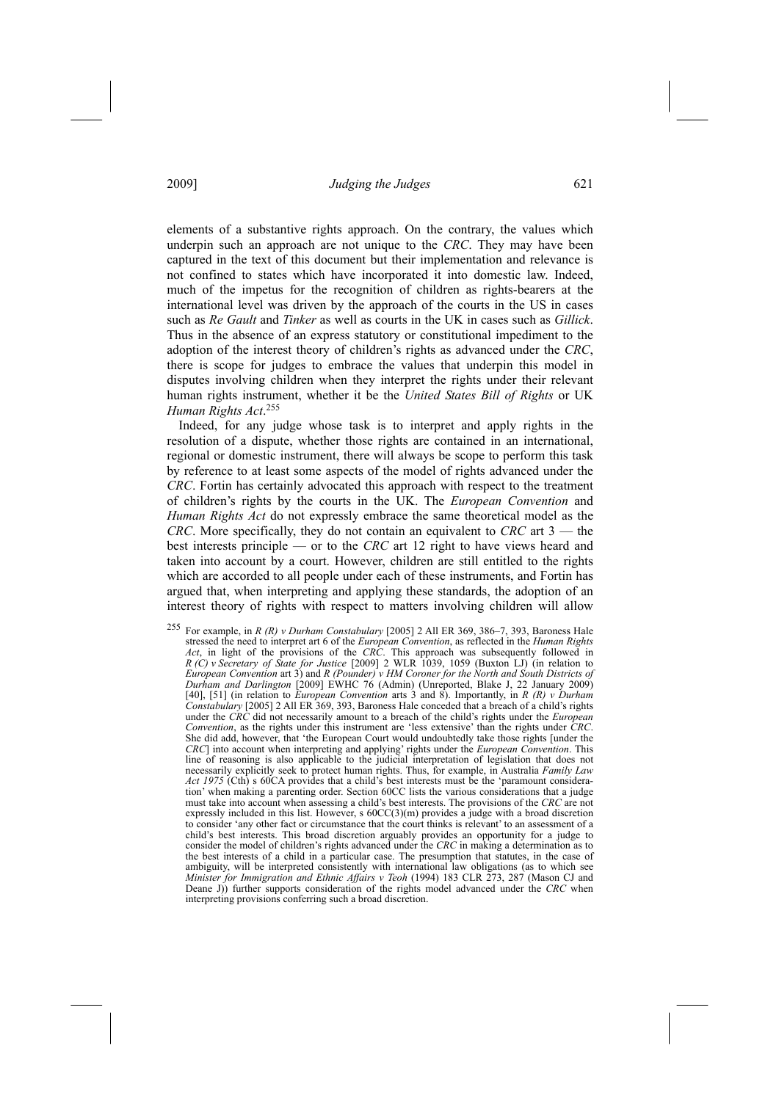elements of a substantive rights approach. On the contrary, the values which underpin such an approach are not unique to the *CRC*. They may have been captured in the text of this document but their implementation and relevance is not confined to states which have incorporated it into domestic law. Indeed, much of the impetus for the recognition of children as rights-bearers at the international level was driven by the approach of the courts in the US in cases such as *Re Gault* and *Tinker* as well as courts in the UK in cases such as *Gillick*. Thus in the absence of an express statutory or constitutional impediment to the adoption of the interest theory of children's rights as advanced under the *CRC*, there is scope for judges to embrace the values that underpin this model in disputes involving children when they interpret the rights under their relevant human rights instrument, whether it be the *United States Bill of Rights* or UK *Human Rights Act*. 255

Indeed, for any judge whose task is to interpret and apply rights in the resolution of a dispute, whether those rights are contained in an international, regional or domestic instrument, there will always be scope to perform this task by reference to at least some aspects of the model of rights advanced under the *CRC*. Fortin has certainly advocated this approach with respect to the treatment of children's rights by the courts in the UK. The *European Convention* and *Human Rights Act* do not expressly embrace the same theoretical model as the *CRC*. More specifically, they do not contain an equivalent to *CRC* art 3 — the best interests principle — or to the *CRC* art 12 right to have views heard and taken into account by a court. However, children are still entitled to the rights which are accorded to all people under each of these instruments, and Fortin has argued that, when interpreting and applying these standards, the adoption of an interest theory of rights with respect to matters involving children will allow

255 For example, in *R (R) v Durham Constabulary* [2005] 2 All ER 369, 386–7, 393, Baroness Hale stressed the need to interpret art 6 of the *European Convention*, as reflected in the *Human Rights Act*, in light of the provisions of the *CRC*. This approach was subsequently followed in *R (C) v Secretary of State for Justice* [2009] 2 WLR 1039, 1059 (Buxton LJ) (in relation to *European Convention* art 3) and *R (Pounder) v HM Coroner for the North and South Districts of Durham and Darlington* [2009] EWHC 76 (Admin) (Unreported, Blake J, 22 January 2009) [40], [51] (in relation to *European Convention* arts 3 and 8). Importantly, in *R (R) v Durham Constabulary* [2005] 2 All ER 369, 393, Baroness Hale conceded that a breach of a child's rights under the *CRC* did not necessarily amount to a breach of the child's rights under the *European Convention*, as the rights under this instrument are 'less extensive' than the rights under *CRC*. She did add, however, that 'the European Court would undoubtedly take those rights [under the *CRC*] into account when interpreting and applying' rights under the *European Convention*. This line of reasoning is also applicable to the judicial interpretation of legislation that does not necessarily explicitly seek to protect human rights. Thus, for example, in Australia *Family Law Act 1975* (Cth) s 60CA provides that a child's best interests must be the 'paramount consideration' when making a parenting order. Section 60CC lists the various considerations that a judge must take into account when assessing a child's best interests. The provisions of the *CRC* are not expressly included in this list. However, s  $60CC(3)(m)$  provides a judge with a broad discretion to consider 'any other fact or circumstance that the court thinks is relevant' to an assessment of a child's best interests. This broad discretion arguably provides an opportunity for a judge to consider the model of children's rights advanced under the *CRC* in making a determination as to the best interests of a child in a particular case. The presumption that statutes, in the case of ambiguity, will be interpreted consistently with international law obligations (as to which see *Minister for Immigration and Ethnic Affairs v Teoh* (1994) 183 CLR 273, 287 (Mason CJ and Deane J<sub>)</sub>) further supports consideration of the rights model advanced under the *CRC* when interpreting provisions conferring such a broad discretion.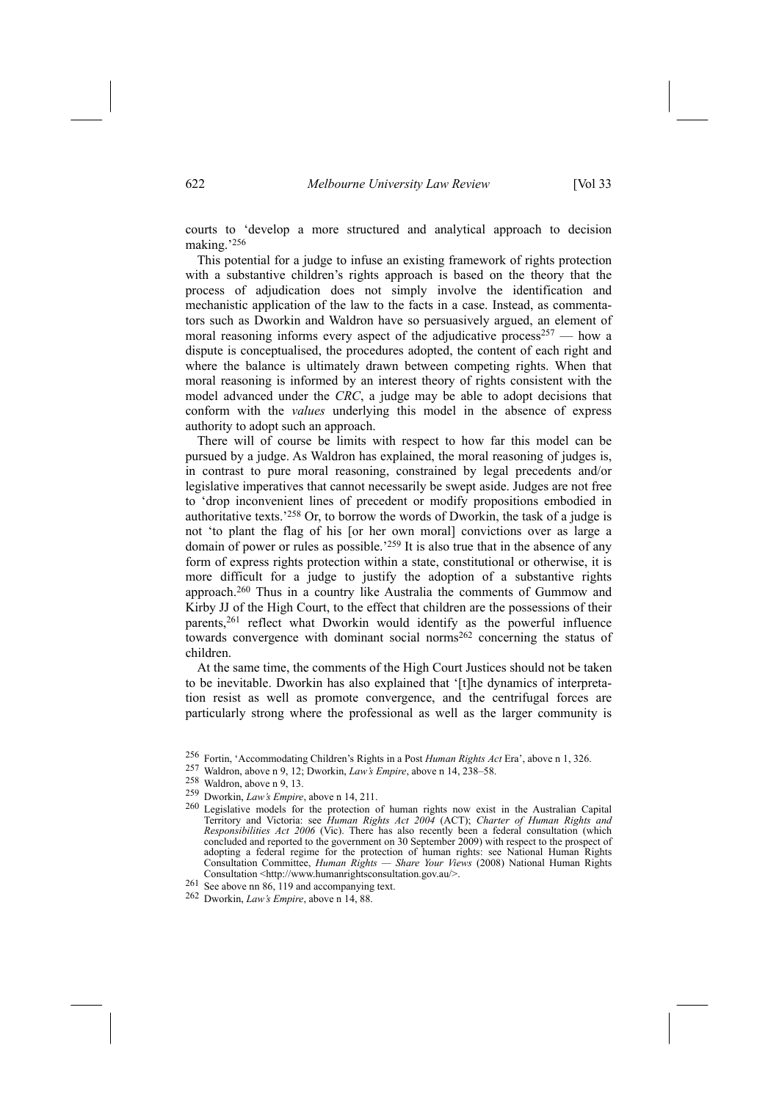courts to 'develop a more structured and analytical approach to decision making.'256

This potential for a judge to infuse an existing framework of rights protection with a substantive children's rights approach is based on the theory that the process of adjudication does not simply involve the identification and mechanistic application of the law to the facts in a case. Instead, as commentators such as Dworkin and Waldron have so persuasively argued, an element of moral reasoning informs every aspect of the adjudicative process<sup>257</sup> — how a dispute is conceptualised, the procedures adopted, the content of each right and where the balance is ultimately drawn between competing rights. When that moral reasoning is informed by an interest theory of rights consistent with the model advanced under the *CRC*, a judge may be able to adopt decisions that conform with the *values* underlying this model in the absence of express authority to adopt such an approach.

There will of course be limits with respect to how far this model can be pursued by a judge. As Waldron has explained, the moral reasoning of judges is, in contrast to pure moral reasoning, constrained by legal precedents and/or legislative imperatives that cannot necessarily be swept aside. Judges are not free to 'drop inconvenient lines of precedent or modify propositions embodied in authoritative texts.'258 Or, to borrow the words of Dworkin, the task of a judge is not 'to plant the flag of his [or her own moral] convictions over as large a domain of power or rules as possible.<sup>'259</sup> It is also true that in the absence of any form of express rights protection within a state, constitutional or otherwise, it is more difficult for a judge to justify the adoption of a substantive rights approach.260 Thus in a country like Australia the comments of Gummow and Kirby JJ of the High Court, to the effect that children are the possessions of their parents,<sup>261</sup> reflect what Dworkin would identify as the powerful influence towards convergence with dominant social norms262 concerning the status of children.

At the same time, the comments of the High Court Justices should not be taken to be inevitable. Dworkin has also explained that '[t]he dynamics of interpretation resist as well as promote convergence, and the centrifugal forces are particularly strong where the professional as well as the larger community is

<sup>256</sup> Fortin, 'Accommodating Children's Rights in a Post *Human Rights Act* Era', above n 1, 326.

<sup>257</sup> Waldron, above n 9, 12; Dworkin, *Law's Empire*, above n 14, 238–58.

<sup>258</sup> Waldron, above n 9, 13.

<sup>259</sup> Dworkin, *Law's Empire*, above n 14, 211.

<sup>260</sup> Legislative models for the protection of human rights now exist in the Australian Capital Territory and Victoria: see *Human Rights Act 2004* (ACT); *Charter of Human Rights and Responsibilities Act 2006* (Vic). There has also recently been a federal consultation (which concluded and reported to the government on 30 September 2009) with respect to the prospect of adopting a federal regime for the protection of human rights: see National Human Rights Consultation Committee, *Human Rights — Share Your Views* (2008) National Human Rights Consultation <http://www.humanrightsconsultation.gov.au/>.

<sup>261</sup> See above nn 86, 119 and accompanying text.

<sup>262</sup> Dworkin, *Law's Empire*, above n 14, 88.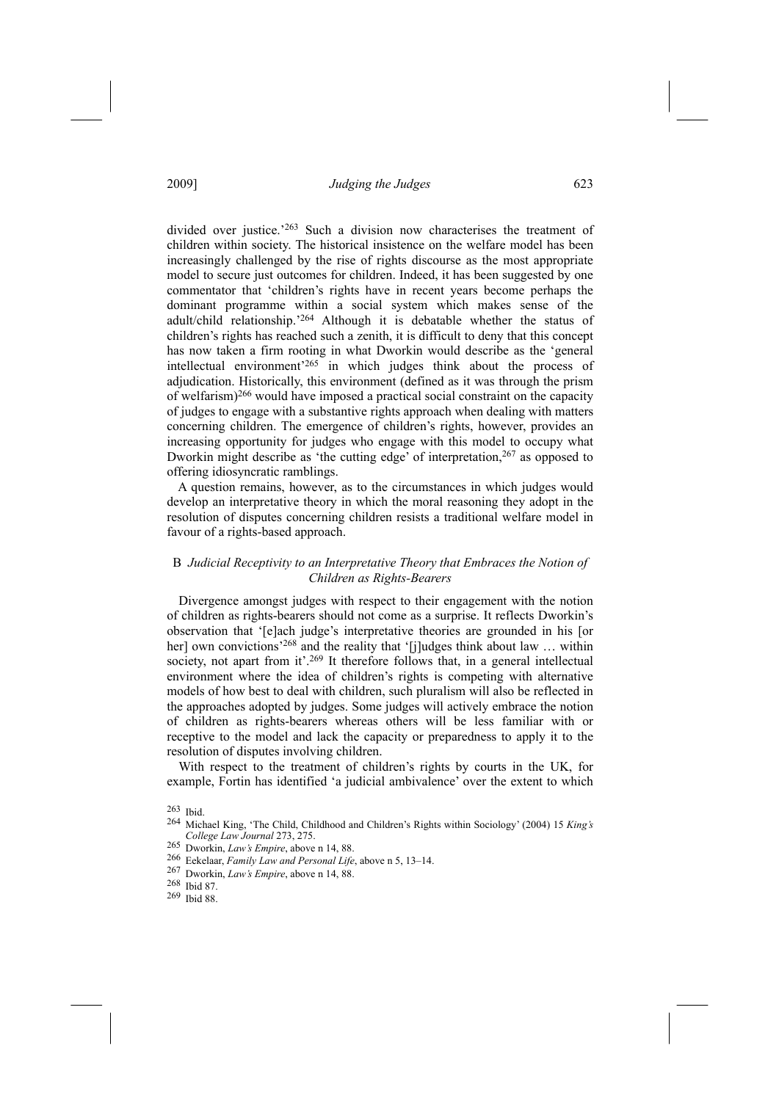divided over justice.'263 Such a division now characterises the treatment of children within society. The historical insistence on the welfare model has been increasingly challenged by the rise of rights discourse as the most appropriate model to secure just outcomes for children. Indeed, it has been suggested by one commentator that 'children's rights have in recent years become perhaps the dominant programme within a social system which makes sense of the adult/child relationship.'264 Although it is debatable whether the status of children's rights has reached such a zenith, it is difficult to deny that this concept has now taken a firm rooting in what Dworkin would describe as the 'general intellectual environment<sup> $265$ </sup> in which judges think about the process of adjudication. Historically, this environment (defined as it was through the prism of welfarism)266 would have imposed a practical social constraint on the capacity of judges to engage with a substantive rights approach when dealing with matters concerning children. The emergence of children's rights, however, provides an increasing opportunity for judges who engage with this model to occupy what Dworkin might describe as 'the cutting edge' of interpretation, <sup>267</sup> as opposed to offering idiosyncratic ramblings.

A question remains, however, as to the circumstances in which judges would develop an interpretative theory in which the moral reasoning they adopt in the resolution of disputes concerning children resists a traditional welfare model in favour of a rights-based approach.

## B *Judicial Receptivity to an Interpretative Theory that Embraces the Notion of Children as Rights-Bearers*

Divergence amongst judges with respect to their engagement with the notion of children as rights-bearers should not come as a surprise. It reflects Dworkin's observation that '[e]ach judge's interpretative theories are grounded in his [or her] own convictions'<sup>268</sup> and the reality that '[j]udges think about law ... within society, not apart from it'.<sup>269</sup> It therefore follows that, in a general intellectual environment where the idea of children's rights is competing with alternative models of how best to deal with children, such pluralism will also be reflected in the approaches adopted by judges. Some judges will actively embrace the notion of children as rights-bearers whereas others will be less familiar with or receptive to the model and lack the capacity or preparedness to apply it to the resolution of disputes involving children.

With respect to the treatment of children's rights by courts in the UK, for example, Fortin has identified 'a judicial ambivalence' over the extent to which

263 Ibid.

<sup>264</sup> Michael King, 'The Child, Childhood and Children's Rights within Sociology' (2004) 15 *King's College Law Journal* 273, 275.

<sup>265</sup> Dworkin, *Law's Empire*, above n 14, 88.

<sup>266</sup> Eekelaar, *Family Law and Personal Life*, above n 5, 13–14.

<sup>267</sup> Dworkin, *Law's Empire*, above n 14, 88.

<sup>268</sup> Ibid 87.

<sup>269</sup> Ibid 88.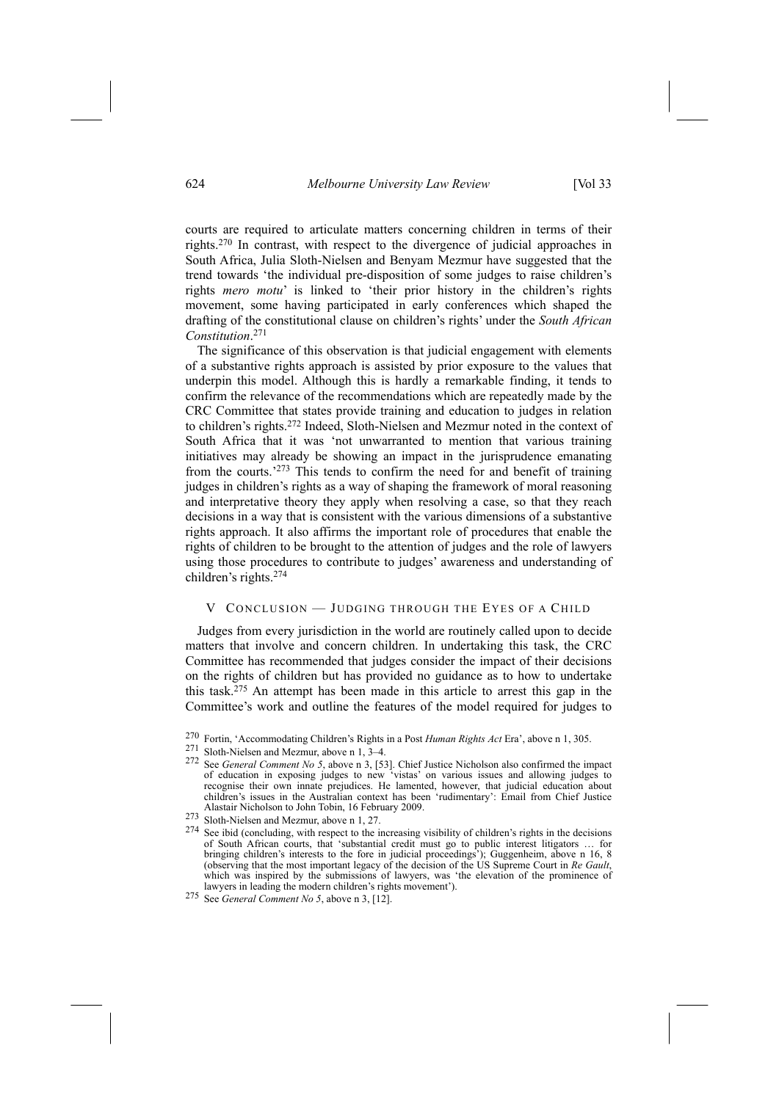courts are required to articulate matters concerning children in terms of their rights.270 In contrast, with respect to the divergence of judicial approaches in South Africa, Julia Sloth-Nielsen and Benyam Mezmur have suggested that the trend towards 'the individual pre-disposition of some judges to raise children's rights *mero motu*' is linked to 'their prior history in the children's rights movement, some having participated in early conferences which shaped the drafting of the constitutional clause on children's rights' under the *South African Constitution*. 271

The significance of this observation is that judicial engagement with elements of a substantive rights approach is assisted by prior exposure to the values that underpin this model. Although this is hardly a remarkable finding, it tends to confirm the relevance of the recommendations which are repeatedly made by the CRC Committee that states provide training and education to judges in relation to children's rights.272 Indeed, Sloth-Nielsen and Mezmur noted in the context of South Africa that it was 'not unwarranted to mention that various training initiatives may already be showing an impact in the jurisprudence emanating from the courts.'273 This tends to confirm the need for and benefit of training judges in children's rights as a way of shaping the framework of moral reasoning and interpretative theory they apply when resolving a case, so that they reach decisions in a way that is consistent with the various dimensions of a substantive rights approach. It also affirms the important role of procedures that enable the rights of children to be brought to the attention of judges and the role of lawyers using those procedures to contribute to judges' awareness and understanding of children's rights.274

## V CONCLUSION — JUDGING THROUGH THE EYES OF A CHILD

Judges from every jurisdiction in the world are routinely called upon to decide matters that involve and concern children. In undertaking this task, the CRC Committee has recommended that judges consider the impact of their decisions on the rights of children but has provided no guidance as to how to undertake this task.275 An attempt has been made in this article to arrest this gap in the Committee's work and outline the features of the model required for judges to

271 Sloth-Nielsen and Mezmur, above n 1, 3–4.

<sup>270</sup> Fortin, 'Accommodating Children's Rights in a Post *Human Rights Act* Era', above n 1, 305.

<sup>272</sup> See *General Comment No 5*, above n 3, [53]. Chief Justice Nicholson also confirmed the impact of education in exposing judges to new 'vistas' on various issues and allowing judges to recognise their own innate prejudices. He lamented, however, that judicial education about children's issues in the Australian context has been 'rudimentary': Email from Chief Justice Alastair Nicholson to John Tobin, 16 February 2009.

<sup>273</sup> Sloth-Nielsen and Mezmur, above n 1, 27.

<sup>274</sup> See ibid (concluding, with respect to the increasing visibility of children's rights in the decisions of South African courts, that 'substantial credit must go to public interest litigators … for bringing children's interests to the fore in judicial proceedings'); Guggenheim, above n 16, 8 (observing that the most important legacy of the decision of the US Supreme Court in *Re Gault*, which was inspired by the submissions of lawyers, was 'the elevation of the prominence of lawyers in leading the modern children's rights movement').

<sup>275</sup> See *General Comment No 5*, above n 3, [12].